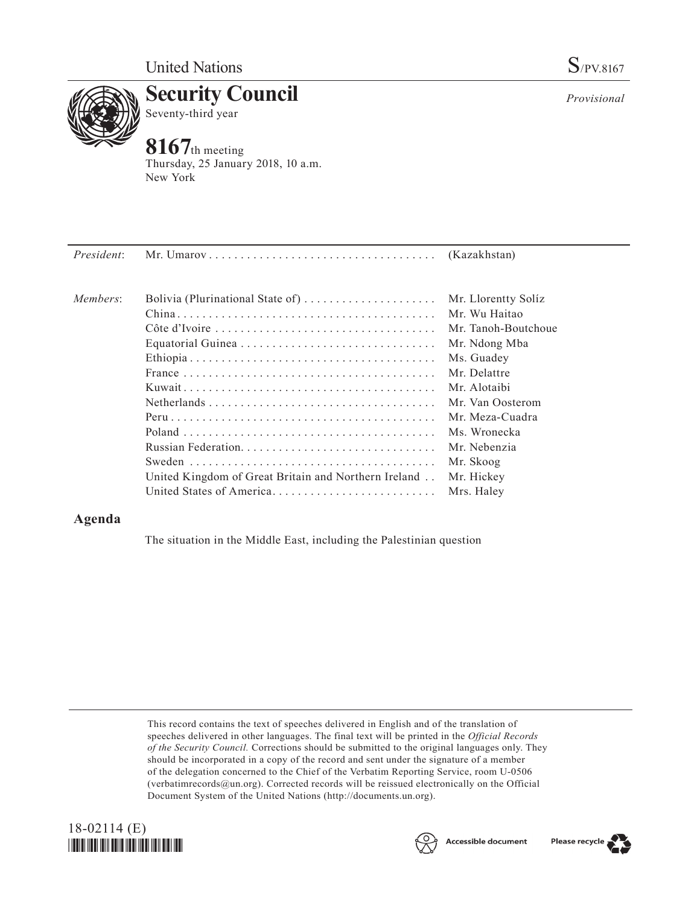

**Security Council** Seventy-third year

# **8167**th meeting

Thursday, 25 January 2018, 10 a.m. New York

| President: |                                                      |                     |
|------------|------------------------------------------------------|---------------------|
| Members:   | Bolivia (Plurinational State of)                     | Mr. Llorentty Solíz |
|            |                                                      | Mr. Wu Haitao       |
|            |                                                      | Mr. Tanoh-Boutchoue |
|            |                                                      | Mr. Ndong Mba       |
|            |                                                      | Ms. Guadey          |
|            |                                                      | Mr. Delattre        |
|            |                                                      | Mr. Alotaibi        |
|            |                                                      | Mr. Van Oosterom    |
|            |                                                      | Mr. Meza-Cuadra     |
|            |                                                      | Ms. Wronecka        |
|            |                                                      | Mr. Nebenzia        |
|            |                                                      | Mr. Skoog           |
|            | United Kingdom of Great Britain and Northern Ireland | Mr. Hickey          |
|            | United States of America                             | Mrs. Haley          |
|            |                                                      |                     |

## **Agenda**

The situation in the Middle East, including the Palestinian question

This record contains the text of speeches delivered in English and of the translation of speeches delivered in other languages. The final text will be printed in the *Official Records of the Security Council.* Corrections should be submitted to the original languages only. They should be incorporated in a copy of the record and sent under the signature of a member of the delegation concerned to the Chief of the Verbatim Reporting Service, room U-0506 (verbatimrecords $@un.org$ ). Corrected records will be reissued electronically on the Official Document System of the United Nations [\(http://documents.un.org\)](http://documents.un.org).





Please recycle

*Provisional*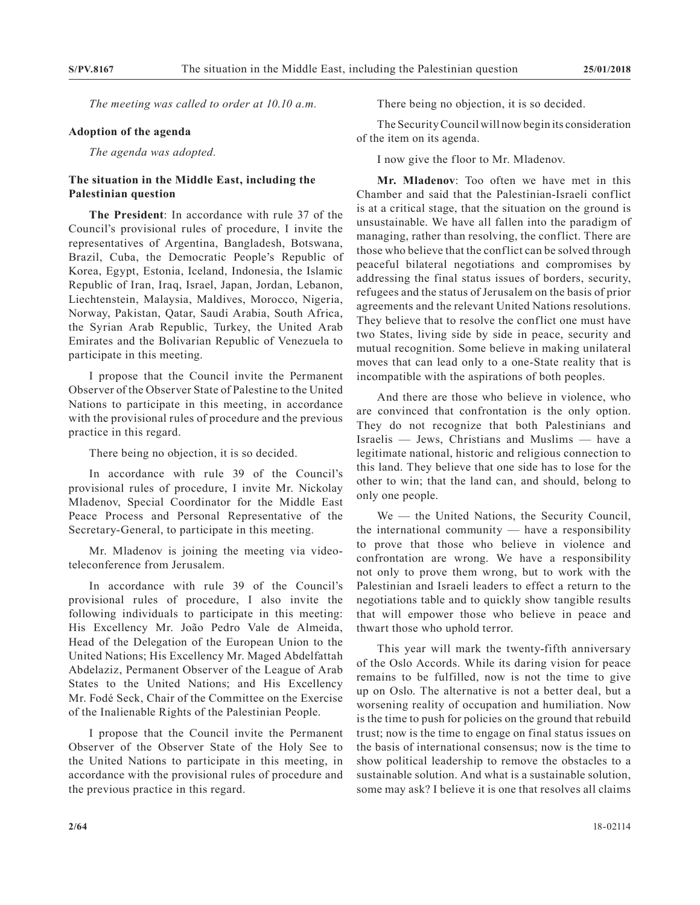*The meeting was called to order at 10.10 a.m.*

#### **Adoption of the agenda**

*The agenda was adopted.*

### **The situation in the Middle East, including the Palestinian question**

**The President**: In accordance with rule 37 of the Council's provisional rules of procedure, I invite the representatives of Argentina, Bangladesh, Botswana, Brazil, Cuba, the Democratic People's Republic of Korea, Egypt, Estonia, Iceland, Indonesia, the Islamic Republic of Iran, Iraq, Israel, Japan, Jordan, Lebanon, Liechtenstein, Malaysia, Maldives, Morocco, Nigeria, Norway, Pakistan, Qatar, Saudi Arabia, South Africa, the Syrian Arab Republic, Turkey, the United Arab Emirates and the Bolivarian Republic of Venezuela to participate in this meeting.

I propose that the Council invite the Permanent Observer of the Observer State of Palestine to the United Nations to participate in this meeting, in accordance with the provisional rules of procedure and the previous practice in this regard.

There being no objection, it is so decided.

In accordance with rule 39 of the Council's provisional rules of procedure, I invite Mr. Nickolay Mladenov, Special Coordinator for the Middle East Peace Process and Personal Representative of the Secretary-General, to participate in this meeting.

Mr. Mladenov is joining the meeting via videoteleconference from Jerusalem.

In accordance with rule 39 of the Council's provisional rules of procedure, I also invite the following individuals to participate in this meeting: His Excellency Mr. João Pedro Vale de Almeida, Head of the Delegation of the European Union to the United Nations; His Excellency Mr. Maged Abdelfattah Abdelaziz, Permanent Observer of the League of Arab States to the United Nations; and His Excellency Mr. Fodé Seck, Chair of the Committee on the Exercise of the Inalienable Rights of the Palestinian People.

I propose that the Council invite the Permanent Observer of the Observer State of the Holy See to the United Nations to participate in this meeting, in accordance with the provisional rules of procedure and the previous practice in this regard.

There being no objection, it is so decided.

The Security Council will now begin its consideration of the item on its agenda.

I now give the floor to Mr. Mladenov.

**Mr. Mladenov**: Too often we have met in this Chamber and said that the Palestinian-Israeli conflict is at a critical stage, that the situation on the ground is unsustainable. We have all fallen into the paradigm of managing, rather than resolving, the conflict. There are those who believe that the conflict can be solved through peaceful bilateral negotiations and compromises by addressing the final status issues of borders, security, refugees and the status of Jerusalem on the basis of prior agreements and the relevant United Nations resolutions. They believe that to resolve the conflict one must have two States, living side by side in peace, security and mutual recognition. Some believe in making unilateral moves that can lead only to a one-State reality that is incompatible with the aspirations of both peoples.

And there are those who believe in violence, who are convinced that confrontation is the only option. They do not recognize that both Palestinians and Israelis — Jews, Christians and Muslims — have a legitimate national, historic and religious connection to this land. They believe that one side has to lose for the other to win; that the land can, and should, belong to only one people.

We — the United Nations, the Security Council, the international community — have a responsibility to prove that those who believe in violence and confrontation are wrong. We have a responsibility not only to prove them wrong, but to work with the Palestinian and Israeli leaders to effect a return to the negotiations table and to quickly show tangible results that will empower those who believe in peace and thwart those who uphold terror.

This year will mark the twenty-fifth anniversary of the Oslo Accords. While its daring vision for peace remains to be fulfilled, now is not the time to give up on Oslo. The alternative is not a better deal, but a worsening reality of occupation and humiliation. Now is the time to push for policies on the ground that rebuild trust; now is the time to engage on final status issues on the basis of international consensus; now is the time to show political leadership to remove the obstacles to a sustainable solution. And what is a sustainable solution, some may ask? I believe it is one that resolves all claims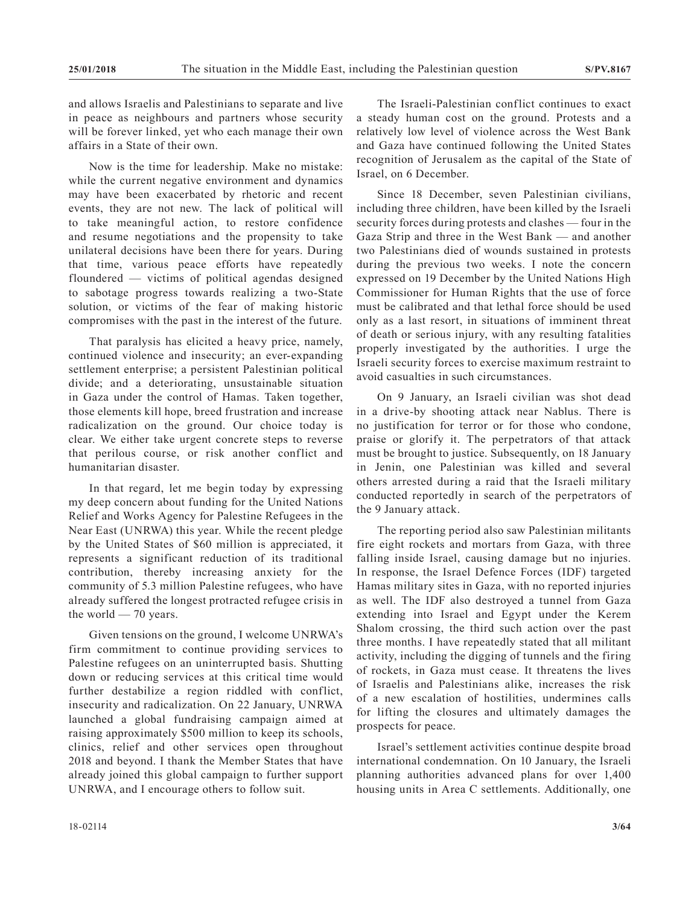and allows Israelis and Palestinians to separate and live in peace as neighbours and partners whose security will be forever linked, yet who each manage their own affairs in a State of their own.

Now is the time for leadership. Make no mistake: while the current negative environment and dynamics may have been exacerbated by rhetoric and recent events, they are not new. The lack of political will to take meaningful action, to restore confidence and resume negotiations and the propensity to take unilateral decisions have been there for years. During that time, various peace efforts have repeatedly floundered — victims of political agendas designed to sabotage progress towards realizing a two-State solution, or victims of the fear of making historic compromises with the past in the interest of the future.

That paralysis has elicited a heavy price, namely, continued violence and insecurity; an ever-expanding settlement enterprise; a persistent Palestinian political divide; and a deteriorating, unsustainable situation in Gaza under the control of Hamas. Taken together, those elements kill hope, breed frustration and increase radicalization on the ground. Our choice today is clear. We either take urgent concrete steps to reverse that perilous course, or risk another conflict and humanitarian disaster.

In that regard, let me begin today by expressing my deep concern about funding for the United Nations Relief and Works Agency for Palestine Refugees in the Near East (UNRWA) this year. While the recent pledge by the United States of \$60 million is appreciated, it represents a significant reduction of its traditional contribution, thereby increasing anxiety for the community of 5.3 million Palestine refugees, who have already suffered the longest protracted refugee crisis in the world — 70 years.

Given tensions on the ground, I welcome UNRWA's firm commitment to continue providing services to Palestine refugees on an uninterrupted basis. Shutting down or reducing services at this critical time would further destabilize a region riddled with conflict, insecurity and radicalization. On 22 January, UNRWA launched a global fundraising campaign aimed at raising approximately \$500 million to keep its schools, clinics, relief and other services open throughout 2018 and beyond. I thank the Member States that have already joined this global campaign to further support UNRWA, and I encourage others to follow suit.

The Israeli-Palestinian conflict continues to exact a steady human cost on the ground. Protests and a relatively low level of violence across the West Bank and Gaza have continued following the United States recognition of Jerusalem as the capital of the State of Israel, on 6 December.

Since 18 December, seven Palestinian civilians, including three children, have been killed by the Israeli security forces during protests and clashes — four in the Gaza Strip and three in the West Bank — and another two Palestinians died of wounds sustained in protests during the previous two weeks. I note the concern expressed on 19 December by the United Nations High Commissioner for Human Rights that the use of force must be calibrated and that lethal force should be used only as a last resort, in situations of imminent threat of death or serious injury, with any resulting fatalities properly investigated by the authorities. I urge the Israeli security forces to exercise maximum restraint to avoid casualties in such circumstances.

On 9 January, an Israeli civilian was shot dead in a drive-by shooting attack near Nablus. There is no justification for terror or for those who condone, praise or glorify it. The perpetrators of that attack must be brought to justice. Subsequently, on 18 January in Jenin, one Palestinian was killed and several others arrested during a raid that the Israeli military conducted reportedly in search of the perpetrators of the 9 January attack.

The reporting period also saw Palestinian militants fire eight rockets and mortars from Gaza, with three falling inside Israel, causing damage but no injuries. In response, the Israel Defence Forces (IDF) targeted Hamas military sites in Gaza, with no reported injuries as well. The IDF also destroyed a tunnel from Gaza extending into Israel and Egypt under the Kerem Shalom crossing, the third such action over the past three months. I have repeatedly stated that all militant activity, including the digging of tunnels and the firing of rockets, in Gaza must cease. It threatens the lives of Israelis and Palestinians alike, increases the risk of a new escalation of hostilities, undermines calls for lifting the closures and ultimately damages the prospects for peace.

Israel's settlement activities continue despite broad international condemnation. On 10 January, the Israeli planning authorities advanced plans for over 1,400 housing units in Area C settlements. Additionally, one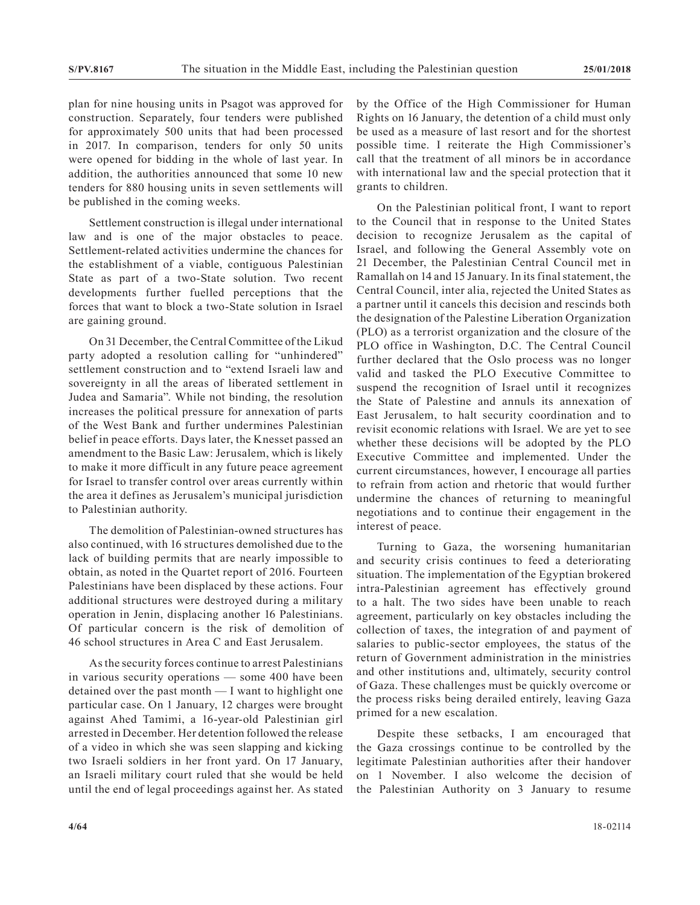plan for nine housing units in Psagot was approved for construction. Separately, four tenders were published for approximately 500 units that had been processed in 2017. In comparison, tenders for only 50 units were opened for bidding in the whole of last year. In addition, the authorities announced that some 10 new tenders for 880 housing units in seven settlements will be published in the coming weeks.

Settlement construction is illegal under international law and is one of the major obstacles to peace. Settlement-related activities undermine the chances for the establishment of a viable, contiguous Palestinian State as part of a two-State solution. Two recent developments further fuelled perceptions that the forces that want to block a two-State solution in Israel are gaining ground.

On 31 December, the Central Committee of the Likud party adopted a resolution calling for "unhindered" settlement construction and to "extend Israeli law and sovereignty in all the areas of liberated settlement in Judea and Samaria". While not binding, the resolution increases the political pressure for annexation of parts of the West Bank and further undermines Palestinian belief in peace efforts. Days later, the Knesset passed an amendment to the Basic Law: Jerusalem, which is likely to make it more difficult in any future peace agreement for Israel to transfer control over areas currently within the area it defines as Jerusalem's municipal jurisdiction to Palestinian authority.

The demolition of Palestinian-owned structures has also continued, with 16 structures demolished due to the lack of building permits that are nearly impossible to obtain, as noted in the Quartet report of 2016. Fourteen Palestinians have been displaced by these actions. Four additional structures were destroyed during a military operation in Jenin, displacing another 16 Palestinians. Of particular concern is the risk of demolition of 46 school structures in Area C and East Jerusalem.

As the security forces continue to arrest Palestinians in various security operations — some 400 have been detained over the past month — I want to highlight one particular case. On 1 January, 12 charges were brought against Ahed Tamimi, a 16-year-old Palestinian girl arrested in December. Her detention followed the release of a video in which she was seen slapping and kicking two Israeli soldiers in her front yard. On 17 January, an Israeli military court ruled that she would be held until the end of legal proceedings against her. As stated

by the Office of the High Commissioner for Human Rights on 16 January, the detention of a child must only be used as a measure of last resort and for the shortest possible time. I reiterate the High Commissioner's call that the treatment of all minors be in accordance with international law and the special protection that it grants to children.

On the Palestinian political front, I want to report to the Council that in response to the United States decision to recognize Jerusalem as the capital of Israel, and following the General Assembly vote on 21 December, the Palestinian Central Council met in Ramallah on 14 and 15 January. In its final statement, the Central Council, inter alia, rejected the United States as a partner until it cancels this decision and rescinds both the designation of the Palestine Liberation Organization (PLO) as a terrorist organization and the closure of the PLO office in Washington, D.C. The Central Council further declared that the Oslo process was no longer valid and tasked the PLO Executive Committee to suspend the recognition of Israel until it recognizes the State of Palestine and annuls its annexation of East Jerusalem, to halt security coordination and to revisit economic relations with Israel. We are yet to see whether these decisions will be adopted by the PLO Executive Committee and implemented. Under the current circumstances, however, I encourage all parties to refrain from action and rhetoric that would further undermine the chances of returning to meaningful negotiations and to continue their engagement in the interest of peace.

Turning to Gaza, the worsening humanitarian and security crisis continues to feed a deteriorating situation. The implementation of the Egyptian brokered intra-Palestinian agreement has effectively ground to a halt. The two sides have been unable to reach agreement, particularly on key obstacles including the collection of taxes, the integration of and payment of salaries to public-sector employees, the status of the return of Government administration in the ministries and other institutions and, ultimately, security control of Gaza. These challenges must be quickly overcome or the process risks being derailed entirely, leaving Gaza primed for a new escalation.

Despite these setbacks, I am encouraged that the Gaza crossings continue to be controlled by the legitimate Palestinian authorities after their handover on 1 November. I also welcome the decision of the Palestinian Authority on 3 January to resume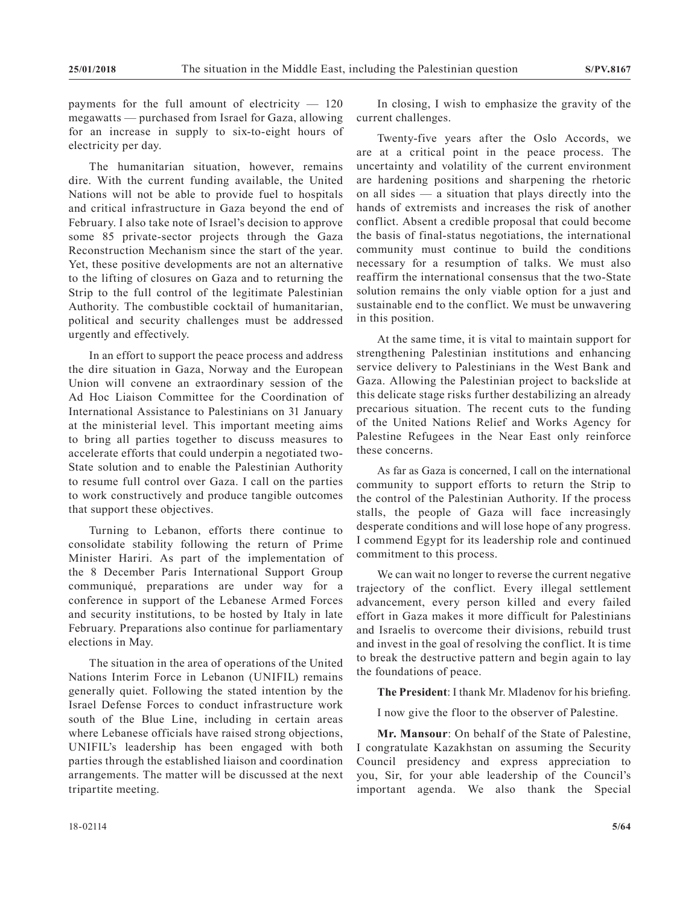payments for the full amount of electricity  $-120$ megawatts — purchased from Israel for Gaza, allowing for an increase in supply to six-to-eight hours of electricity per day.

The humanitarian situation, however, remains dire. With the current funding available, the United Nations will not be able to provide fuel to hospitals and critical infrastructure in Gaza beyond the end of February. I also take note of Israel's decision to approve some 85 private-sector projects through the Gaza Reconstruction Mechanism since the start of the year. Yet, these positive developments are not an alternative to the lifting of closures on Gaza and to returning the Strip to the full control of the legitimate Palestinian Authority. The combustible cocktail of humanitarian, political and security challenges must be addressed urgently and effectively.

In an effort to support the peace process and address the dire situation in Gaza, Norway and the European Union will convene an extraordinary session of the Ad Hoc Liaison Committee for the Coordination of International Assistance to Palestinians on 31 January at the ministerial level. This important meeting aims to bring all parties together to discuss measures to accelerate efforts that could underpin a negotiated two-State solution and to enable the Palestinian Authority to resume full control over Gaza. I call on the parties to work constructively and produce tangible outcomes that support these objectives.

Turning to Lebanon, efforts there continue to consolidate stability following the return of Prime Minister Hariri. As part of the implementation of the 8 December Paris International Support Group communiqué, preparations are under way for a conference in support of the Lebanese Armed Forces and security institutions, to be hosted by Italy in late February. Preparations also continue for parliamentary elections in May.

The situation in the area of operations of the United Nations Interim Force in Lebanon (UNIFIL) remains generally quiet. Following the stated intention by the Israel Defense Forces to conduct infrastructure work south of the Blue Line, including in certain areas where Lebanese officials have raised strong objections, UNIFIL's leadership has been engaged with both parties through the established liaison and coordination arrangements. The matter will be discussed at the next tripartite meeting.

In closing, I wish to emphasize the gravity of the current challenges.

Twenty-five years after the Oslo Accords, we are at a critical point in the peace process. The uncertainty and volatility of the current environment are hardening positions and sharpening the rhetoric on all sides — a situation that plays directly into the hands of extremists and increases the risk of another conflict. Absent a credible proposal that could become the basis of final-status negotiations, the international community must continue to build the conditions necessary for a resumption of talks. We must also reaffirm the international consensus that the two-State solution remains the only viable option for a just and sustainable end to the conflict. We must be unwavering in this position.

At the same time, it is vital to maintain support for strengthening Palestinian institutions and enhancing service delivery to Palestinians in the West Bank and Gaza. Allowing the Palestinian project to backslide at this delicate stage risks further destabilizing an already precarious situation. The recent cuts to the funding of the United Nations Relief and Works Agency for Palestine Refugees in the Near East only reinforce these concerns.

As far as Gaza is concerned, I call on the international community to support efforts to return the Strip to the control of the Palestinian Authority. If the process stalls, the people of Gaza will face increasingly desperate conditions and will lose hope of any progress. I commend Egypt for its leadership role and continued commitment to this process.

We can wait no longer to reverse the current negative trajectory of the conflict. Every illegal settlement advancement, every person killed and every failed effort in Gaza makes it more difficult for Palestinians and Israelis to overcome their divisions, rebuild trust and invest in the goal of resolving the conflict. It is time to break the destructive pattern and begin again to lay the foundations of peace.

**The President**: I thank Mr. Mladenov for his briefing.

I now give the floor to the observer of Palestine.

**Mr. Mansour**: On behalf of the State of Palestine, I congratulate Kazakhstan on assuming the Security Council presidency and express appreciation to you, Sir, for your able leadership of the Council's important agenda. We also thank the Special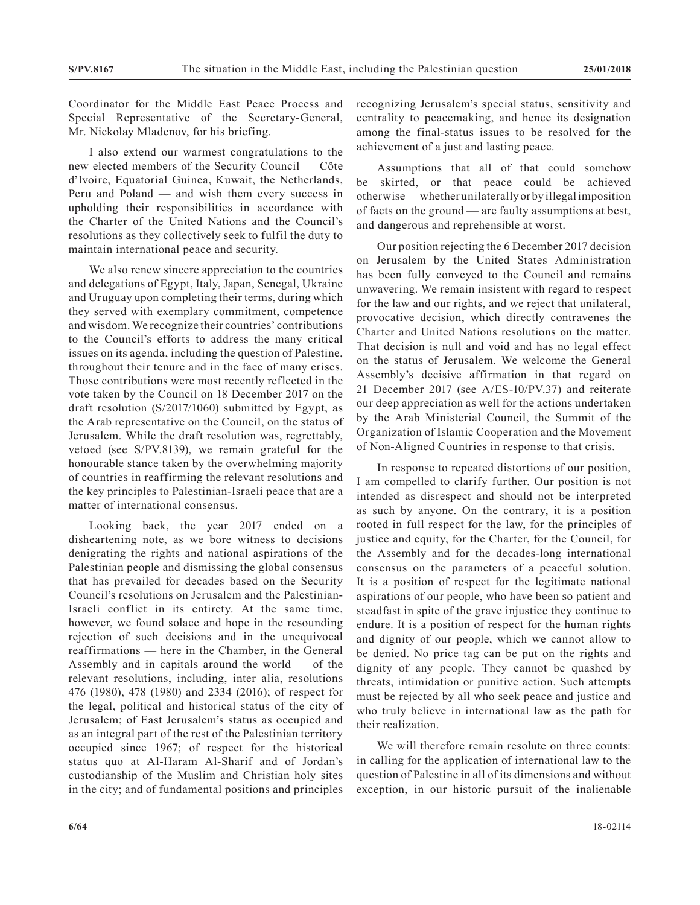Coordinator for the Middle East Peace Process and Special Representative of the Secretary-General, Mr. Nickolay Mladenov, for his briefing.

I also extend our warmest congratulations to the new elected members of the Security Council — Côte d'Ivoire, Equatorial Guinea, Kuwait, the Netherlands, Peru and Poland — and wish them every success in upholding their responsibilities in accordance with the Charter of the United Nations and the Council's resolutions as they collectively seek to fulfil the duty to maintain international peace and security.

We also renew sincere appreciation to the countries and delegations of Egypt, Italy, Japan, Senegal, Ukraine and Uruguay upon completing their terms, during which they served with exemplary commitment, competence and wisdom. We recognize their countries' contributions to the Council's efforts to address the many critical issues on its agenda, including the question of Palestine, throughout their tenure and in the face of many crises. Those contributions were most recently reflected in the vote taken by the Council on 18 December 2017 on the draft resolution (S/2017/1060) submitted by Egypt, as the Arab representative on the Council, on the status of Jerusalem. While the draft resolution was, regrettably, vetoed (see S/PV.8139), we remain grateful for the honourable stance taken by the overwhelming majority of countries in reaffirming the relevant resolutions and the key principles to Palestinian-Israeli peace that are a matter of international consensus.

Looking back, the year 2017 ended on a disheartening note, as we bore witness to decisions denigrating the rights and national aspirations of the Palestinian people and dismissing the global consensus that has prevailed for decades based on the Security Council's resolutions on Jerusalem and the Palestinian-Israeli conflict in its entirety. At the same time, however, we found solace and hope in the resounding rejection of such decisions and in the unequivocal reaffirmations — here in the Chamber, in the General Assembly and in capitals around the world — of the relevant resolutions, including, inter alia, resolutions 476 (1980), 478 (1980) and 2334 (2016); of respect for the legal, political and historical status of the city of Jerusalem; of East Jerusalem's status as occupied and as an integral part of the rest of the Palestinian territory occupied since 1967; of respect for the historical status quo at Al-Haram Al-Sharif and of Jordan's custodianship of the Muslim and Christian holy sites in the city; and of fundamental positions and principles

recognizing Jerusalem's special status, sensitivity and centrality to peacemaking, and hence its designation among the final-status issues to be resolved for the achievement of a just and lasting peace.

Assumptions that all of that could somehow be skirted, or that peace could be achieved otherwise — whether unilaterally or by illegal imposition of facts on the ground — are faulty assumptions at best, and dangerous and reprehensible at worst.

Our position rejecting the 6 December 2017 decision on Jerusalem by the United States Administration has been fully conveyed to the Council and remains unwavering. We remain insistent with regard to respect for the law and our rights, and we reject that unilateral, provocative decision, which directly contravenes the Charter and United Nations resolutions on the matter. That decision is null and void and has no legal effect on the status of Jerusalem. We welcome the General Assembly's decisive affirmation in that regard on 21 December 2017 (see A/ES-10/PV.37) and reiterate our deep appreciation as well for the actions undertaken by the Arab Ministerial Council, the Summit of the Organization of Islamic Cooperation and the Movement of Non-Aligned Countries in response to that crisis.

In response to repeated distortions of our position, I am compelled to clarify further. Our position is not intended as disrespect and should not be interpreted as such by anyone. On the contrary, it is a position rooted in full respect for the law, for the principles of justice and equity, for the Charter, for the Council, for the Assembly and for the decades-long international consensus on the parameters of a peaceful solution. It is a position of respect for the legitimate national aspirations of our people, who have been so patient and steadfast in spite of the grave injustice they continue to endure. It is a position of respect for the human rights and dignity of our people, which we cannot allow to be denied. No price tag can be put on the rights and dignity of any people. They cannot be quashed by threats, intimidation or punitive action. Such attempts must be rejected by all who seek peace and justice and who truly believe in international law as the path for their realization.

We will therefore remain resolute on three counts: in calling for the application of international law to the question of Palestine in all of its dimensions and without exception, in our historic pursuit of the inalienable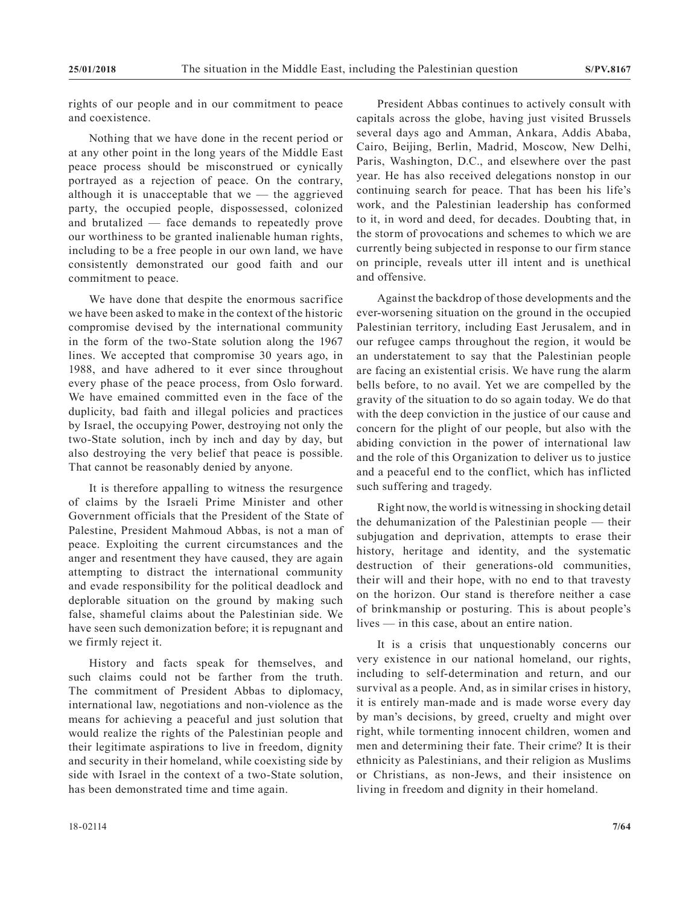rights of our people and in our commitment to peace and coexistence.

Nothing that we have done in the recent period or at any other point in the long years of the Middle East peace process should be misconstrued or cynically portrayed as a rejection of peace. On the contrary, although it is unacceptable that  $we$  — the aggrieved party, the occupied people, dispossessed, colonized and brutalized — face demands to repeatedly prove our worthiness to be granted inalienable human rights, including to be a free people in our own land, we have consistently demonstrated our good faith and our commitment to peace.

We have done that despite the enormous sacrifice we have been asked to make in the context of the historic compromise devised by the international community in the form of the two-State solution along the 1967 lines. We accepted that compromise 30 years ago, in 1988, and have adhered to it ever since throughout every phase of the peace process, from Oslo forward. We have emained committed even in the face of the duplicity, bad faith and illegal policies and practices by Israel, the occupying Power, destroying not only the two-State solution, inch by inch and day by day, but also destroying the very belief that peace is possible. That cannot be reasonably denied by anyone.

It is therefore appalling to witness the resurgence of claims by the Israeli Prime Minister and other Government officials that the President of the State of Palestine, President Mahmoud Abbas, is not a man of peace. Exploiting the current circumstances and the anger and resentment they have caused, they are again attempting to distract the international community and evade responsibility for the political deadlock and deplorable situation on the ground by making such false, shameful claims about the Palestinian side. We have seen such demonization before; it is repugnant and we firmly reject it.

History and facts speak for themselves, and such claims could not be farther from the truth. The commitment of President Abbas to diplomacy, international law, negotiations and non-violence as the means for achieving a peaceful and just solution that would realize the rights of the Palestinian people and their legitimate aspirations to live in freedom, dignity and security in their homeland, while coexisting side by side with Israel in the context of a two-State solution, has been demonstrated time and time again.

President Abbas continues to actively consult with capitals across the globe, having just visited Brussels several days ago and Amman, Ankara, Addis Ababa, Cairo, Beijing, Berlin, Madrid, Moscow, New Delhi, Paris, Washington, D.C., and elsewhere over the past year. He has also received delegations nonstop in our continuing search for peace. That has been his life's work, and the Palestinian leadership has conformed to it, in word and deed, for decades. Doubting that, in the storm of provocations and schemes to which we are currently being subjected in response to our firm stance on principle, reveals utter ill intent and is unethical and offensive.

Against the backdrop of those developments and the ever-worsening situation on the ground in the occupied Palestinian territory, including East Jerusalem, and in our refugee camps throughout the region, it would be an understatement to say that the Palestinian people are facing an existential crisis. We have rung the alarm bells before, to no avail. Yet we are compelled by the gravity of the situation to do so again today. We do that with the deep conviction in the justice of our cause and concern for the plight of our people, but also with the abiding conviction in the power of international law and the role of this Organization to deliver us to justice and a peaceful end to the conflict, which has inflicted such suffering and tragedy.

Right now, the world is witnessing in shocking detail the dehumanization of the Palestinian people — their subjugation and deprivation, attempts to erase their history, heritage and identity, and the systematic destruction of their generations-old communities, their will and their hope, with no end to that travesty on the horizon. Our stand is therefore neither a case of brinkmanship or posturing. This is about people's lives — in this case, about an entire nation.

It is a crisis that unquestionably concerns our very existence in our national homeland, our rights, including to self-determination and return, and our survival as a people. And, as in similar crises in history, it is entirely man-made and is made worse every day by man's decisions, by greed, cruelty and might over right, while tormenting innocent children, women and men and determining their fate. Their crime? It is their ethnicity as Palestinians, and their religion as Muslims or Christians, as non-Jews, and their insistence on living in freedom and dignity in their homeland.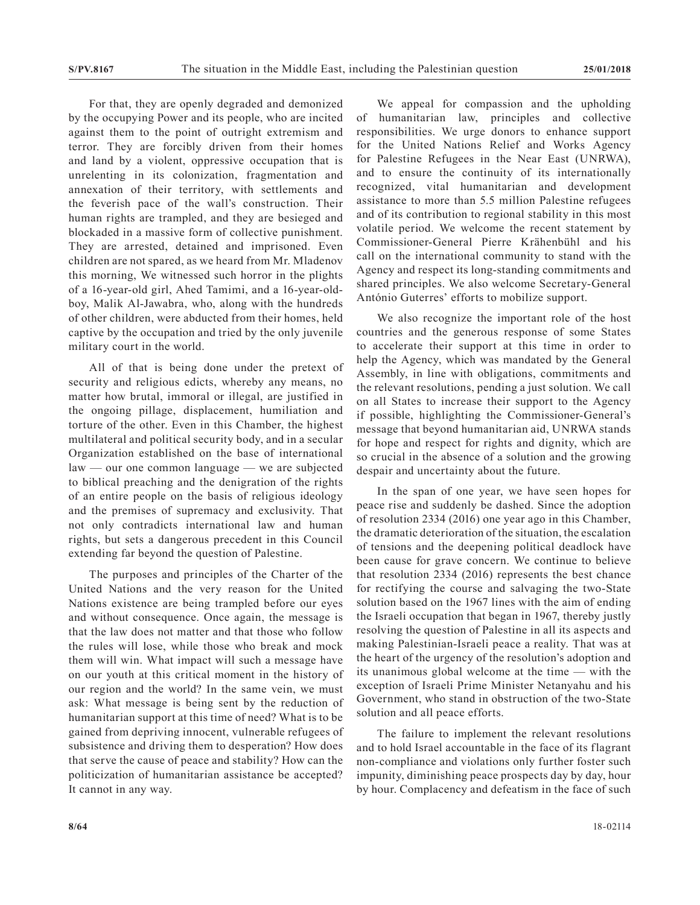For that, they are openly degraded and demonized by the occupying Power and its people, who are incited against them to the point of outright extremism and terror. They are forcibly driven from their homes and land by a violent, oppressive occupation that is unrelenting in its colonization, fragmentation and annexation of their territory, with settlements and the feverish pace of the wall's construction. Their human rights are trampled, and they are besieged and blockaded in a massive form of collective punishment. They are arrested, detained and imprisoned. Even children are not spared, as we heard from Mr. Mladenov this morning, We witnessed such horror in the plights of a 16-year-old girl, Ahed Tamimi, and a 16-year-oldboy, Malik Al-Jawabra, who, along with the hundreds of other children, were abducted from their homes, held captive by the occupation and tried by the only juvenile military court in the world.

All of that is being done under the pretext of security and religious edicts, whereby any means, no matter how brutal, immoral or illegal, are justified in the ongoing pillage, displacement, humiliation and torture of the other. Even in this Chamber, the highest multilateral and political security body, and in a secular Organization established on the base of international law — our one common language — we are subjected to biblical preaching and the denigration of the rights of an entire people on the basis of religious ideology and the premises of supremacy and exclusivity. That not only contradicts international law and human rights, but sets a dangerous precedent in this Council extending far beyond the question of Palestine.

The purposes and principles of the Charter of the United Nations and the very reason for the United Nations existence are being trampled before our eyes and without consequence. Once again, the message is that the law does not matter and that those who follow the rules will lose, while those who break and mock them will win. What impact will such a message have on our youth at this critical moment in the history of our region and the world? In the same vein, we must ask: What message is being sent by the reduction of humanitarian support at this time of need? What is to be gained from depriving innocent, vulnerable refugees of subsistence and driving them to desperation? How does that serve the cause of peace and stability? How can the politicization of humanitarian assistance be accepted? It cannot in any way.

We appeal for compassion and the upholding of humanitarian law, principles and collective responsibilities. We urge donors to enhance support for the United Nations Relief and Works Agency for Palestine Refugees in the Near East (UNRWA), and to ensure the continuity of its internationally recognized, vital humanitarian and development assistance to more than 5.5 million Palestine refugees and of its contribution to regional stability in this most volatile period. We welcome the recent statement by Commissioner-General Pierre Krähenbühl and his call on the international community to stand with the Agency and respect its long-standing commitments and shared principles. We also welcome Secretary-General António Guterres' efforts to mobilize support.

We also recognize the important role of the host countries and the generous response of some States to accelerate their support at this time in order to help the Agency, which was mandated by the General Assembly, in line with obligations, commitments and the relevant resolutions, pending a just solution. We call on all States to increase their support to the Agency if possible, highlighting the Commissioner-General's message that beyond humanitarian aid, UNRWA stands for hope and respect for rights and dignity, which are so crucial in the absence of a solution and the growing despair and uncertainty about the future.

In the span of one year, we have seen hopes for peace rise and suddenly be dashed. Since the adoption of resolution 2334 (2016) one year ago in this Chamber, the dramatic deterioration of the situation, the escalation of tensions and the deepening political deadlock have been cause for grave concern. We continue to believe that resolution 2334 (2016) represents the best chance for rectifying the course and salvaging the two-State solution based on the 1967 lines with the aim of ending the Israeli occupation that began in 1967, thereby justly resolving the question of Palestine in all its aspects and making Palestinian-Israeli peace a reality. That was at the heart of the urgency of the resolution's adoption and its unanimous global welcome at the time — with the exception of Israeli Prime Minister Netanyahu and his Government, who stand in obstruction of the two-State solution and all peace efforts.

The failure to implement the relevant resolutions and to hold Israel accountable in the face of its flagrant non-compliance and violations only further foster such impunity, diminishing peace prospects day by day, hour by hour. Complacency and defeatism in the face of such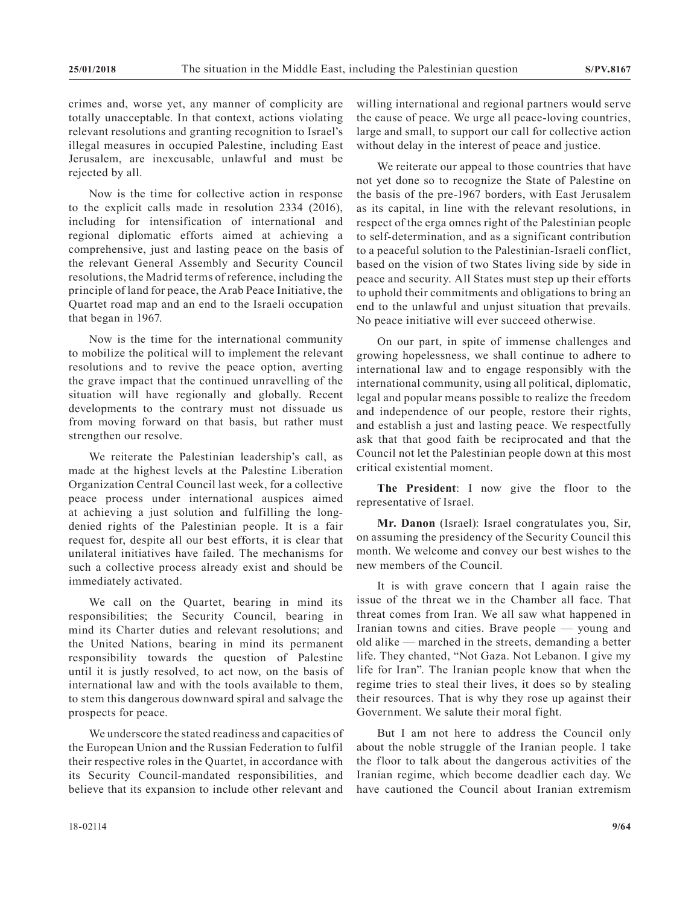crimes and, worse yet, any manner of complicity are totally unacceptable. In that context, actions violating relevant resolutions and granting recognition to Israel's illegal measures in occupied Palestine, including East Jerusalem, are inexcusable, unlawful and must be rejected by all.

Now is the time for collective action in response to the explicit calls made in resolution 2334 (2016), including for intensification of international and regional diplomatic efforts aimed at achieving a comprehensive, just and lasting peace on the basis of the relevant General Assembly and Security Council resolutions, the Madrid terms of reference, including the principle of land for peace, the Arab Peace Initiative, the Quartet road map and an end to the Israeli occupation that began in 1967.

Now is the time for the international community to mobilize the political will to implement the relevant resolutions and to revive the peace option, averting the grave impact that the continued unravelling of the situation will have regionally and globally. Recent developments to the contrary must not dissuade us from moving forward on that basis, but rather must strengthen our resolve.

We reiterate the Palestinian leadership's call, as made at the highest levels at the Palestine Liberation Organization Central Council last week, for a collective peace process under international auspices aimed at achieving a just solution and fulfilling the longdenied rights of the Palestinian people. It is a fair request for, despite all our best efforts, it is clear that unilateral initiatives have failed. The mechanisms for such a collective process already exist and should be immediately activated.

We call on the Quartet, bearing in mind its responsibilities; the Security Council, bearing in mind its Charter duties and relevant resolutions; and the United Nations, bearing in mind its permanent responsibility towards the question of Palestine until it is justly resolved, to act now, on the basis of international law and with the tools available to them, to stem this dangerous downward spiral and salvage the prospects for peace.

We underscore the stated readiness and capacities of the European Union and the Russian Federation to fulfil their respective roles in the Quartet, in accordance with its Security Council-mandated responsibilities, and believe that its expansion to include other relevant and

willing international and regional partners would serve the cause of peace. We urge all peace-loving countries, large and small, to support our call for collective action without delay in the interest of peace and justice.

We reiterate our appeal to those countries that have not yet done so to recognize the State of Palestine on the basis of the pre-1967 borders, with East Jerusalem as its capital, in line with the relevant resolutions, in respect of the erga omnes right of the Palestinian people to self-determination, and as a significant contribution to a peaceful solution to the Palestinian-Israeli conflict, based on the vision of two States living side by side in peace and security. All States must step up their efforts to uphold their commitments and obligations to bring an end to the unlawful and unjust situation that prevails. No peace initiative will ever succeed otherwise.

On our part, in spite of immense challenges and growing hopelessness, we shall continue to adhere to international law and to engage responsibly with the international community, using all political, diplomatic, legal and popular means possible to realize the freedom and independence of our people, restore their rights, and establish a just and lasting peace. We respectfully ask that that good faith be reciprocated and that the Council not let the Palestinian people down at this most critical existential moment.

**The President**: I now give the floor to the representative of Israel.

**Mr. Danon** (Israel): Israel congratulates you, Sir, on assuming the presidency of the Security Council this month. We welcome and convey our best wishes to the new members of the Council.

It is with grave concern that I again raise the issue of the threat we in the Chamber all face. That threat comes from Iran. We all saw what happened in Iranian towns and cities. Brave people — young and old alike — marched in the streets, demanding a better life. They chanted, "Not Gaza. Not Lebanon. I give my life for Iran". The Iranian people know that when the regime tries to steal their lives, it does so by stealing their resources. That is why they rose up against their Government. We salute their moral fight.

But I am not here to address the Council only about the noble struggle of the Iranian people. I take the floor to talk about the dangerous activities of the Iranian regime, which become deadlier each day. We have cautioned the Council about Iranian extremism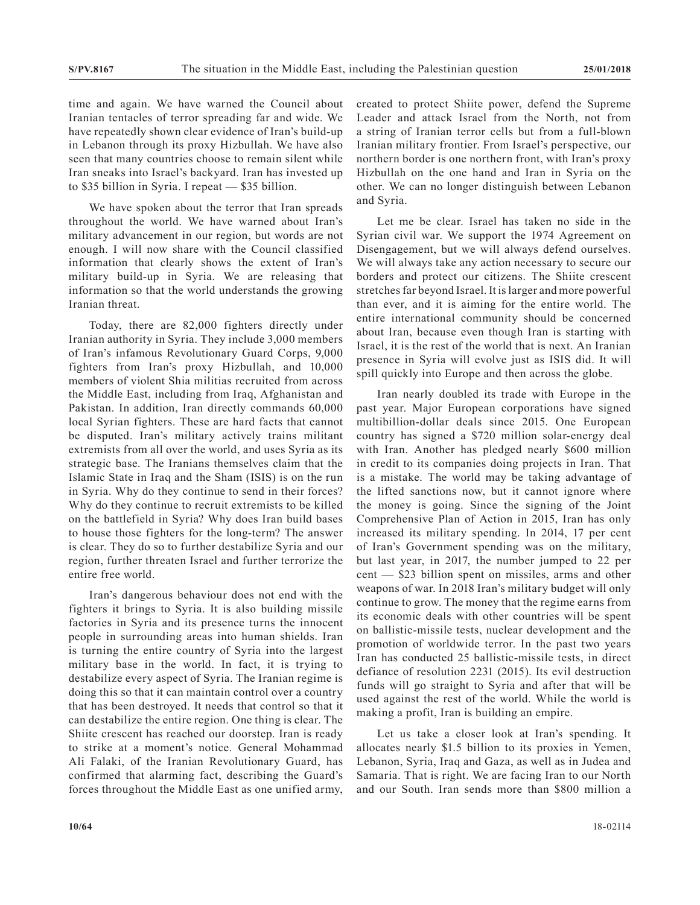time and again. We have warned the Council about Iranian tentacles of terror spreading far and wide. We have repeatedly shown clear evidence of Iran's build-up in Lebanon through its proxy Hizbullah. We have also seen that many countries choose to remain silent while Iran sneaks into Israel's backyard. Iran has invested up to \$35 billion in Syria. I repeat — \$35 billion.

We have spoken about the terror that Iran spreads throughout the world. We have warned about Iran's military advancement in our region, but words are not enough. I will now share with the Council classified information that clearly shows the extent of Iran's military build-up in Syria. We are releasing that information so that the world understands the growing Iranian threat.

Today, there are 82,000 fighters directly under Iranian authority in Syria. They include 3,000 members of Iran's infamous Revolutionary Guard Corps, 9,000 fighters from Iran's proxy Hizbullah, and 10,000 members of violent Shia militias recruited from across the Middle East, including from Iraq, Afghanistan and Pakistan. In addition, Iran directly commands 60,000 local Syrian fighters. These are hard facts that cannot be disputed. Iran's military actively trains militant extremists from all over the world, and uses Syria as its strategic base. The Iranians themselves claim that the Islamic State in Iraq and the Sham (ISIS) is on the run in Syria. Why do they continue to send in their forces? Why do they continue to recruit extremists to be killed on the battlefield in Syria? Why does Iran build bases to house those fighters for the long-term? The answer is clear. They do so to further destabilize Syria and our region, further threaten Israel and further terrorize the entire free world.

Iran's dangerous behaviour does not end with the fighters it brings to Syria. It is also building missile factories in Syria and its presence turns the innocent people in surrounding areas into human shields. Iran is turning the entire country of Syria into the largest military base in the world. In fact, it is trying to destabilize every aspect of Syria. The Iranian regime is doing this so that it can maintain control over a country that has been destroyed. It needs that control so that it can destabilize the entire region. One thing is clear. The Shiite crescent has reached our doorstep. Iran is ready to strike at a moment's notice. General Mohammad Ali Falaki, of the Iranian Revolutionary Guard, has confirmed that alarming fact, describing the Guard's forces throughout the Middle East as one unified army,

created to protect Shiite power, defend the Supreme Leader and attack Israel from the North, not from a string of Iranian terror cells but from a full-blown Iranian military frontier. From Israel's perspective, our northern border is one northern front, with Iran's proxy Hizbullah on the one hand and Iran in Syria on the other. We can no longer distinguish between Lebanon and Syria.

Let me be clear. Israel has taken no side in the Syrian civil war. We support the 1974 Agreement on Disengagement, but we will always defend ourselves. We will always take any action necessary to secure our borders and protect our citizens. The Shiite crescent stretches far beyond Israel. It is larger and more powerful than ever, and it is aiming for the entire world. The entire international community should be concerned about Iran, because even though Iran is starting with Israel, it is the rest of the world that is next. An Iranian presence in Syria will evolve just as ISIS did. It will spill quickly into Europe and then across the globe.

Iran nearly doubled its trade with Europe in the past year. Major European corporations have signed multibillion-dollar deals since 2015. One European country has signed a \$720 million solar-energy deal with Iran. Another has pledged nearly \$600 million in credit to its companies doing projects in Iran. That is a mistake. The world may be taking advantage of the lifted sanctions now, but it cannot ignore where the money is going. Since the signing of the Joint Comprehensive Plan of Action in 2015, Iran has only increased its military spending. In 2014, 17 per cent of Iran's Government spending was on the military, but last year, in 2017, the number jumped to 22 per cent — \$23 billion spent on missiles, arms and other weapons of war. In 2018 Iran's military budget will only continue to grow. The money that the regime earns from its economic deals with other countries will be spent on ballistic-missile tests, nuclear development and the promotion of worldwide terror. In the past two years Iran has conducted 25 ballistic-missile tests, in direct defiance of resolution 2231 (2015). Its evil destruction funds will go straight to Syria and after that will be used against the rest of the world. While the world is making a profit, Iran is building an empire.

Let us take a closer look at Iran's spending. It allocates nearly \$1.5 billion to its proxies in Yemen, Lebanon, Syria, Iraq and Gaza, as well as in Judea and Samaria. That is right. We are facing Iran to our North and our South. Iran sends more than \$800 million a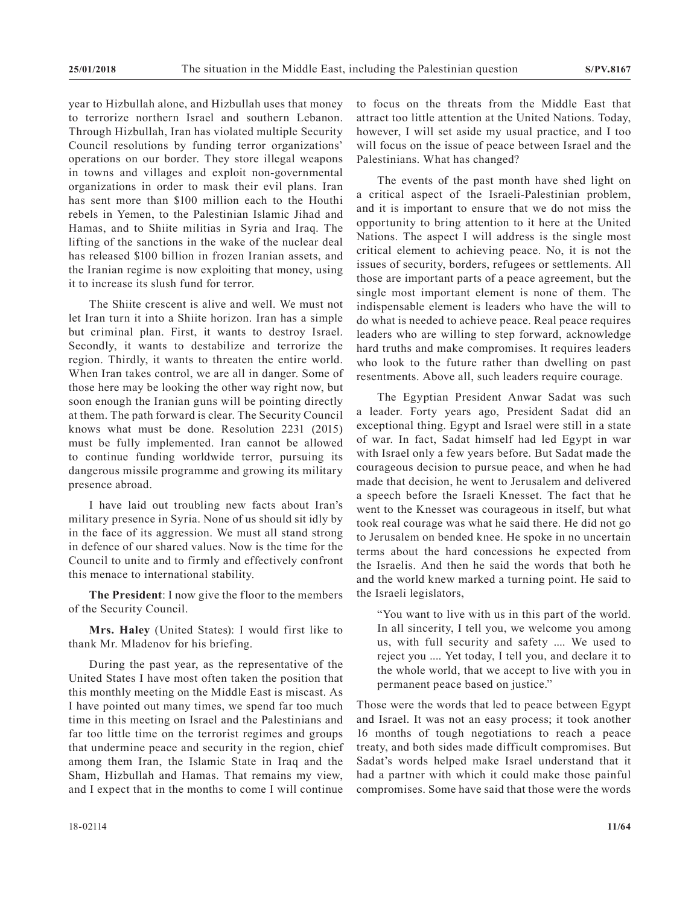year to Hizbullah alone, and Hizbullah uses that money to terrorize northern Israel and southern Lebanon. Through Hizbullah, Iran has violated multiple Security Council resolutions by funding terror organizations' operations on our border. They store illegal weapons in towns and villages and exploit non-governmental organizations in order to mask their evil plans. Iran has sent more than \$100 million each to the Houthi rebels in Yemen, to the Palestinian Islamic Jihad and Hamas, and to Shiite militias in Syria and Iraq. The lifting of the sanctions in the wake of the nuclear deal has released \$100 billion in frozen Iranian assets, and the Iranian regime is now exploiting that money, using it to increase its slush fund for terror.

The Shiite crescent is alive and well. We must not let Iran turn it into a Shiite horizon. Iran has a simple but criminal plan. First, it wants to destroy Israel. Secondly, it wants to destabilize and terrorize the region. Thirdly, it wants to threaten the entire world. When Iran takes control, we are all in danger. Some of those here may be looking the other way right now, but soon enough the Iranian guns will be pointing directly at them. The path forward is clear. The Security Council knows what must be done. Resolution 2231 (2015) must be fully implemented. Iran cannot be allowed to continue funding worldwide terror, pursuing its dangerous missile programme and growing its military presence abroad.

I have laid out troubling new facts about Iran's military presence in Syria. None of us should sit idly by in the face of its aggression. We must all stand strong in defence of our shared values. Now is the time for the Council to unite and to firmly and effectively confront this menace to international stability.

**The President**: I now give the floor to the members of the Security Council.

**Mrs. Haley** (United States): I would first like to thank Mr. Mladenov for his briefing.

During the past year, as the representative of the United States I have most often taken the position that this monthly meeting on the Middle East is miscast. As I have pointed out many times, we spend far too much time in this meeting on Israel and the Palestinians and far too little time on the terrorist regimes and groups that undermine peace and security in the region, chief among them Iran, the Islamic State in Iraq and the Sham, Hizbullah and Hamas. That remains my view, and I expect that in the months to come I will continue

to focus on the threats from the Middle East that attract too little attention at the United Nations. Today, however, I will set aside my usual practice, and I too will focus on the issue of peace between Israel and the Palestinians. What has changed?

The events of the past month have shed light on a critical aspect of the Israeli-Palestinian problem, and it is important to ensure that we do not miss the opportunity to bring attention to it here at the United Nations. The aspect I will address is the single most critical element to achieving peace. No, it is not the issues of security, borders, refugees or settlements. All those are important parts of a peace agreement, but the single most important element is none of them. The indispensable element is leaders who have the will to do what is needed to achieve peace. Real peace requires leaders who are willing to step forward, acknowledge hard truths and make compromises. It requires leaders who look to the future rather than dwelling on past resentments. Above all, such leaders require courage.

The Egyptian President Anwar Sadat was such a leader. Forty years ago, President Sadat did an exceptional thing. Egypt and Israel were still in a state of war. In fact, Sadat himself had led Egypt in war with Israel only a few years before. But Sadat made the courageous decision to pursue peace, and when he had made that decision, he went to Jerusalem and delivered a speech before the Israeli Knesset. The fact that he went to the Knesset was courageous in itself, but what took real courage was what he said there. He did not go to Jerusalem on bended knee. He spoke in no uncertain terms about the hard concessions he expected from the Israelis. And then he said the words that both he and the world knew marked a turning point. He said to the Israeli legislators,

"You want to live with us in this part of the world. In all sincerity, I tell you, we welcome you among us, with full security and safety .... We used to reject you .... Yet today, I tell you, and declare it to the whole world, that we accept to live with you in permanent peace based on justice."

Those were the words that led to peace between Egypt and Israel. It was not an easy process; it took another 16 months of tough negotiations to reach a peace treaty, and both sides made difficult compromises. But Sadat's words helped make Israel understand that it had a partner with which it could make those painful compromises. Some have said that those were the words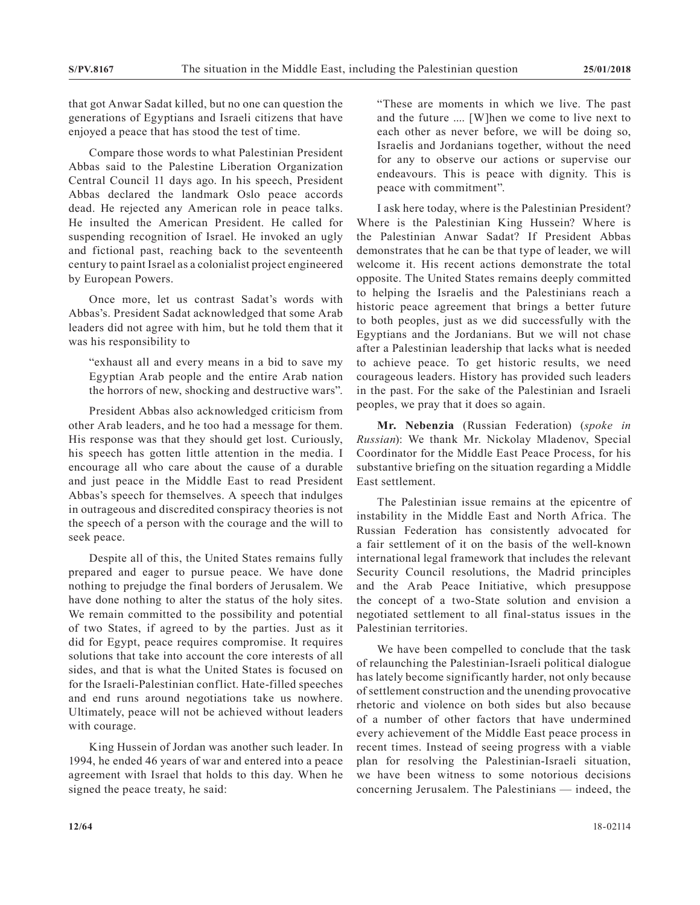that got Anwar Sadat killed, but no one can question the generations of Egyptians and Israeli citizens that have enjoyed a peace that has stood the test of time.

Compare those words to what Palestinian President Abbas said to the Palestine Liberation Organization Central Council 11 days ago. In his speech, President Abbas declared the landmark Oslo peace accords dead. He rejected any American role in peace talks. He insulted the American President. He called for suspending recognition of Israel. He invoked an ugly and fictional past, reaching back to the seventeenth century to paint Israel as a colonialist project engineered by European Powers.

Once more, let us contrast Sadat's words with Abbas's. President Sadat acknowledged that some Arab leaders did not agree with him, but he told them that it was his responsibility to

"exhaust all and every means in a bid to save my Egyptian Arab people and the entire Arab nation the horrors of new, shocking and destructive wars".

President Abbas also acknowledged criticism from other Arab leaders, and he too had a message for them. His response was that they should get lost. Curiously, his speech has gotten little attention in the media. I encourage all who care about the cause of a durable and just peace in the Middle East to read President Abbas's speech for themselves. A speech that indulges in outrageous and discredited conspiracy theories is not the speech of a person with the courage and the will to seek peace.

Despite all of this, the United States remains fully prepared and eager to pursue peace. We have done nothing to prejudge the final borders of Jerusalem. We have done nothing to alter the status of the holy sites. We remain committed to the possibility and potential of two States, if agreed to by the parties. Just as it did for Egypt, peace requires compromise. It requires solutions that take into account the core interests of all sides, and that is what the United States is focused on for the Israeli-Palestinian conflict. Hate-filled speeches and end runs around negotiations take us nowhere. Ultimately, peace will not be achieved without leaders with courage.

King Hussein of Jordan was another such leader. In 1994, he ended 46 years of war and entered into a peace agreement with Israel that holds to this day. When he signed the peace treaty, he said:

"These are moments in which we live. The past and the future .... [W]hen we come to live next to each other as never before, we will be doing so, Israelis and Jordanians together, without the need for any to observe our actions or supervise our endeavours. This is peace with dignity. This is peace with commitment".

I ask here today, where is the Palestinian President? Where is the Palestinian King Hussein? Where is the Palestinian Anwar Sadat? If President Abbas demonstrates that he can be that type of leader, we will welcome it. His recent actions demonstrate the total opposite. The United States remains deeply committed to helping the Israelis and the Palestinians reach a historic peace agreement that brings a better future to both peoples, just as we did successfully with the Egyptians and the Jordanians. But we will not chase after a Palestinian leadership that lacks what is needed to achieve peace. To get historic results, we need courageous leaders. History has provided such leaders in the past. For the sake of the Palestinian and Israeli peoples, we pray that it does so again.

**Mr. Nebenzia** (Russian Federation) (*spoke in Russian*): We thank Mr. Nickolay Mladenov, Special Coordinator for the Middle East Peace Process, for his substantive briefing on the situation regarding a Middle East settlement.

The Palestinian issue remains at the epicentre of instability in the Middle East and North Africa. The Russian Federation has consistently advocated for a fair settlement of it on the basis of the well-known international legal framework that includes the relevant Security Council resolutions, the Madrid principles and the Arab Peace Initiative, which presuppose the concept of a two-State solution and envision a negotiated settlement to all final-status issues in the Palestinian territories.

We have been compelled to conclude that the task of relaunching the Palestinian-Israeli political dialogue has lately become significantly harder, not only because of settlement construction and the unending provocative rhetoric and violence on both sides but also because of a number of other factors that have undermined every achievement of the Middle East peace process in recent times. Instead of seeing progress with a viable plan for resolving the Palestinian-Israeli situation, we have been witness to some notorious decisions concerning Jerusalem. The Palestinians — indeed, the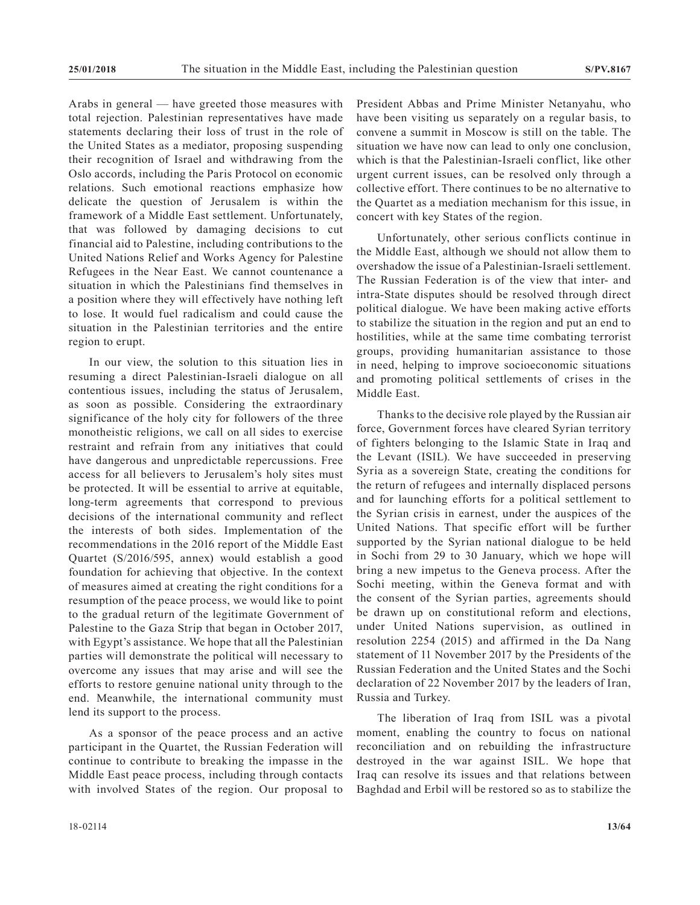Arabs in general — have greeted those measures with total rejection. Palestinian representatives have made statements declaring their loss of trust in the role of the United States as a mediator, proposing suspending their recognition of Israel and withdrawing from the Oslo accords, including the Paris Protocol on economic relations. Such emotional reactions emphasize how delicate the question of Jerusalem is within the framework of a Middle East settlement. Unfortunately, that was followed by damaging decisions to cut financial aid to Palestine, including contributions to the United Nations Relief and Works Agency for Palestine Refugees in the Near East. We cannot countenance a situation in which the Palestinians find themselves in a position where they will effectively have nothing left to lose. It would fuel radicalism and could cause the situation in the Palestinian territories and the entire region to erupt.

In our view, the solution to this situation lies in resuming a direct Palestinian-Israeli dialogue on all contentious issues, including the status of Jerusalem, as soon as possible. Considering the extraordinary significance of the holy city for followers of the three monotheistic religions, we call on all sides to exercise restraint and refrain from any initiatives that could have dangerous and unpredictable repercussions. Free access for all believers to Jerusalem's holy sites must be protected. It will be essential to arrive at equitable, long-term agreements that correspond to previous decisions of the international community and reflect the interests of both sides. Implementation of the recommendations in the 2016 report of the Middle East Quartet (S/2016/595, annex) would establish a good foundation for achieving that objective. In the context of measures aimed at creating the right conditions for a resumption of the peace process, we would like to point to the gradual return of the legitimate Government of Palestine to the Gaza Strip that began in October 2017, with Egypt's assistance. We hope that all the Palestinian parties will demonstrate the political will necessary to overcome any issues that may arise and will see the efforts to restore genuine national unity through to the end. Meanwhile, the international community must lend its support to the process.

As a sponsor of the peace process and an active participant in the Quartet, the Russian Federation will continue to contribute to breaking the impasse in the Middle East peace process, including through contacts with involved States of the region. Our proposal to

President Abbas and Prime Minister Netanyahu, who have been visiting us separately on a regular basis, to convene a summit in Moscow is still on the table. The situation we have now can lead to only one conclusion, which is that the Palestinian-Israeli conflict, like other urgent current issues, can be resolved only through a collective effort. There continues to be no alternative to the Quartet as a mediation mechanism for this issue, in concert with key States of the region.

Unfortunately, other serious conflicts continue in the Middle East, although we should not allow them to overshadow the issue of a Palestinian-Israeli settlement. The Russian Federation is of the view that inter- and intra-State disputes should be resolved through direct political dialogue. We have been making active efforts to stabilize the situation in the region and put an end to hostilities, while at the same time combating terrorist groups, providing humanitarian assistance to those in need, helping to improve socioeconomic situations and promoting political settlements of crises in the Middle East.

Thanks to the decisive role played by the Russian air force, Government forces have cleared Syrian territory of fighters belonging to the Islamic State in Iraq and the Levant (ISIL). We have succeeded in preserving Syria as a sovereign State, creating the conditions for the return of refugees and internally displaced persons and for launching efforts for a political settlement to the Syrian crisis in earnest, under the auspices of the United Nations. That specific effort will be further supported by the Syrian national dialogue to be held in Sochi from 29 to 30 January, which we hope will bring a new impetus to the Geneva process. After the Sochi meeting, within the Geneva format and with the consent of the Syrian parties, agreements should be drawn up on constitutional reform and elections, under United Nations supervision, as outlined in resolution 2254 (2015) and affirmed in the Da Nang statement of 11 November 2017 by the Presidents of the Russian Federation and the United States and the Sochi declaration of 22 November 2017 by the leaders of Iran, Russia and Turkey.

The liberation of Iraq from ISIL was a pivotal moment, enabling the country to focus on national reconciliation and on rebuilding the infrastructure destroyed in the war against ISIL. We hope that Iraq can resolve its issues and that relations between Baghdad and Erbil will be restored so as to stabilize the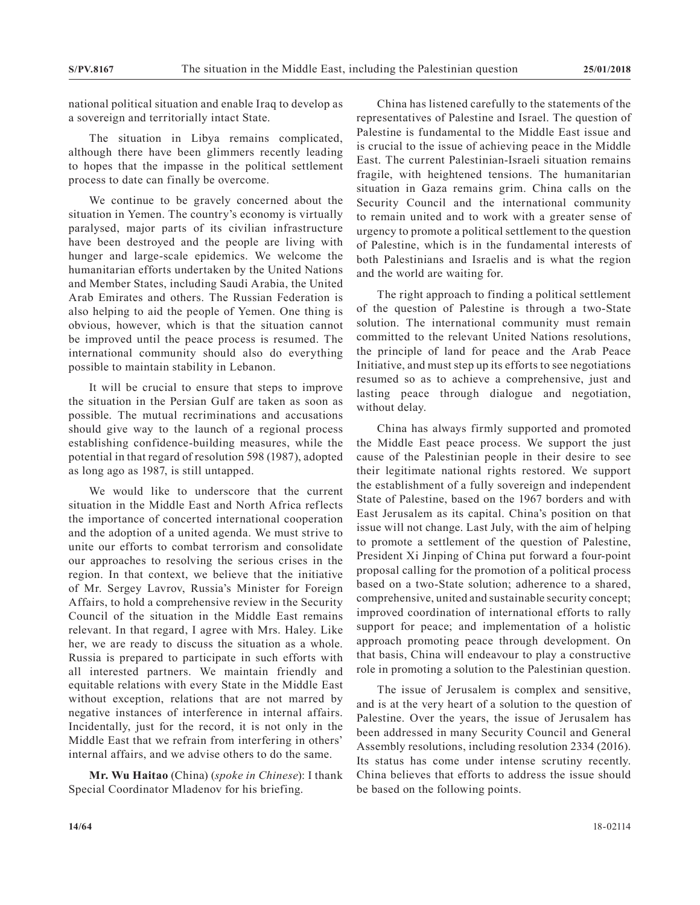national political situation and enable Iraq to develop as a sovereign and territorially intact State.

The situation in Libya remains complicated, although there have been glimmers recently leading to hopes that the impasse in the political settlement process to date can finally be overcome.

We continue to be gravely concerned about the situation in Yemen. The country's economy is virtually paralysed, major parts of its civilian infrastructure have been destroyed and the people are living with hunger and large-scale epidemics. We welcome the humanitarian efforts undertaken by the United Nations and Member States, including Saudi Arabia, the United Arab Emirates and others. The Russian Federation is also helping to aid the people of Yemen. One thing is obvious, however, which is that the situation cannot be improved until the peace process is resumed. The international community should also do everything possible to maintain stability in Lebanon.

It will be crucial to ensure that steps to improve the situation in the Persian Gulf are taken as soon as possible. The mutual recriminations and accusations should give way to the launch of a regional process establishing confidence-building measures, while the potential in that regard of resolution 598 (1987), adopted as long ago as 1987, is still untapped.

We would like to underscore that the current situation in the Middle East and North Africa reflects the importance of concerted international cooperation and the adoption of a united agenda. We must strive to unite our efforts to combat terrorism and consolidate our approaches to resolving the serious crises in the region. In that context, we believe that the initiative of Mr. Sergey Lavrov, Russia's Minister for Foreign Affairs, to hold a comprehensive review in the Security Council of the situation in the Middle East remains relevant. In that regard, I agree with Mrs. Haley. Like her, we are ready to discuss the situation as a whole. Russia is prepared to participate in such efforts with all interested partners. We maintain friendly and equitable relations with every State in the Middle East without exception, relations that are not marred by negative instances of interference in internal affairs. Incidentally, just for the record, it is not only in the Middle East that we refrain from interfering in others' internal affairs, and we advise others to do the same.

**Mr. Wu Haitao** (China) (*spoke in Chinese*): I thank Special Coordinator Mladenov for his briefing.

China has listened carefully to the statements of the representatives of Palestine and Israel. The question of Palestine is fundamental to the Middle East issue and is crucial to the issue of achieving peace in the Middle East. The current Palestinian-Israeli situation remains fragile, with heightened tensions. The humanitarian situation in Gaza remains grim. China calls on the Security Council and the international community to remain united and to work with a greater sense of urgency to promote a political settlement to the question of Palestine, which is in the fundamental interests of both Palestinians and Israelis and is what the region and the world are waiting for.

The right approach to finding a political settlement of the question of Palestine is through a two-State solution. The international community must remain committed to the relevant United Nations resolutions, the principle of land for peace and the Arab Peace Initiative, and must step up its efforts to see negotiations resumed so as to achieve a comprehensive, just and lasting peace through dialogue and negotiation, without delay.

China has always firmly supported and promoted the Middle East peace process. We support the just cause of the Palestinian people in their desire to see their legitimate national rights restored. We support the establishment of a fully sovereign and independent State of Palestine, based on the 1967 borders and with East Jerusalem as its capital. China's position on that issue will not change. Last July, with the aim of helping to promote a settlement of the question of Palestine, President Xi Jinping of China put forward a four-point proposal calling for the promotion of a political process based on a two-State solution; adherence to a shared, comprehensive, united and sustainable security concept; improved coordination of international efforts to rally support for peace; and implementation of a holistic approach promoting peace through development. On that basis, China will endeavour to play a constructive role in promoting a solution to the Palestinian question.

The issue of Jerusalem is complex and sensitive, and is at the very heart of a solution to the question of Palestine. Over the years, the issue of Jerusalem has been addressed in many Security Council and General Assembly resolutions, including resolution 2334 (2016). Its status has come under intense scrutiny recently. China believes that efforts to address the issue should be based on the following points.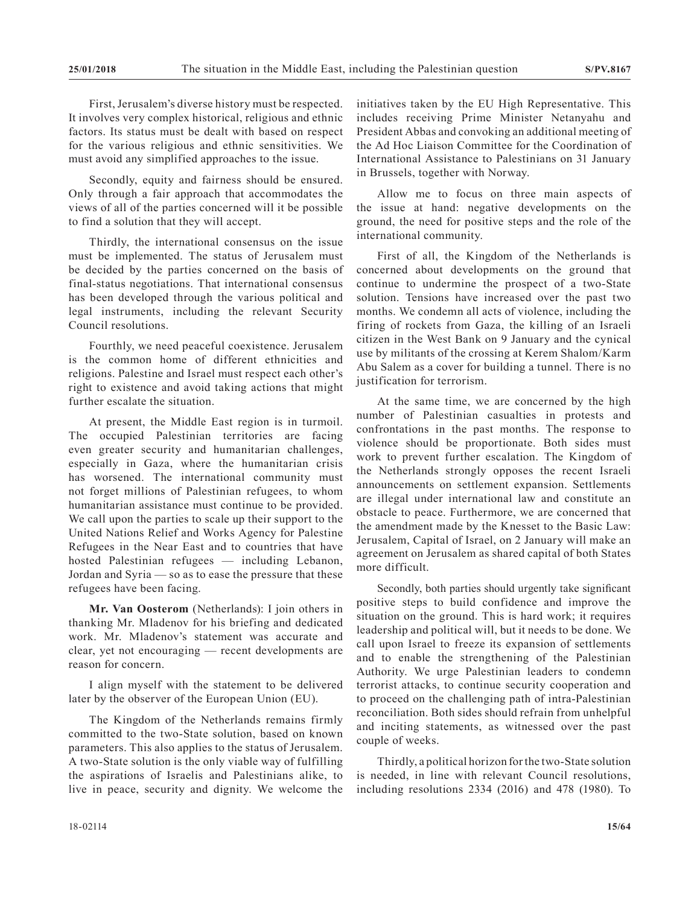First, Jerusalem's diverse history must be respected. It involves very complex historical, religious and ethnic factors. Its status must be dealt with based on respect for the various religious and ethnic sensitivities. We must avoid any simplified approaches to the issue.

Secondly, equity and fairness should be ensured. Only through a fair approach that accommodates the views of all of the parties concerned will it be possible to find a solution that they will accept.

Thirdly, the international consensus on the issue must be implemented. The status of Jerusalem must be decided by the parties concerned on the basis of final-status negotiations. That international consensus has been developed through the various political and legal instruments, including the relevant Security Council resolutions.

Fourthly, we need peaceful coexistence. Jerusalem is the common home of different ethnicities and religions. Palestine and Israel must respect each other's right to existence and avoid taking actions that might further escalate the situation.

At present, the Middle East region is in turmoil. The occupied Palestinian territories are facing even greater security and humanitarian challenges, especially in Gaza, where the humanitarian crisis has worsened. The international community must not forget millions of Palestinian refugees, to whom humanitarian assistance must continue to be provided. We call upon the parties to scale up their support to the United Nations Relief and Works Agency for Palestine Refugees in the Near East and to countries that have hosted Palestinian refugees — including Lebanon, Jordan and Syria — so as to ease the pressure that these refugees have been facing.

**Mr. Van Oosterom** (Netherlands): I join others in thanking Mr. Mladenov for his briefing and dedicated work. Mr. Mladenov's statement was accurate and clear, yet not encouraging — recent developments are reason for concern.

I align myself with the statement to be delivered later by the observer of the European Union (EU).

The Kingdom of the Netherlands remains firmly committed to the two-State solution, based on known parameters. This also applies to the status of Jerusalem. A two-State solution is the only viable way of fulfilling the aspirations of Israelis and Palestinians alike, to live in peace, security and dignity. We welcome the

initiatives taken by the EU High Representative. This includes receiving Prime Minister Netanyahu and President Abbas and convoking an additional meeting of the Ad Hoc Liaison Committee for the Coordination of International Assistance to Palestinians on 31 January in Brussels, together with Norway.

Allow me to focus on three main aspects of the issue at hand: negative developments on the ground, the need for positive steps and the role of the international community.

First of all, the Kingdom of the Netherlands is concerned about developments on the ground that continue to undermine the prospect of a two-State solution. Tensions have increased over the past two months. We condemn all acts of violence, including the firing of rockets from Gaza, the killing of an Israeli citizen in the West Bank on 9 January and the cynical use by militants of the crossing at Kerem Shalom/Karm Abu Salem as a cover for building a tunnel. There is no justification for terrorism.

At the same time, we are concerned by the high number of Palestinian casualties in protests and confrontations in the past months. The response to violence should be proportionate. Both sides must work to prevent further escalation. The Kingdom of the Netherlands strongly opposes the recent Israeli announcements on settlement expansion. Settlements are illegal under international law and constitute an obstacle to peace. Furthermore, we are concerned that the amendment made by the Knesset to the Basic Law: Jerusalem, Capital of Israel, on 2 January will make an agreement on Jerusalem as shared capital of both States more difficult.

Secondly, both parties should urgently take significant positive steps to build confidence and improve the situation on the ground. This is hard work; it requires leadership and political will, but it needs to be done. We call upon Israel to freeze its expansion of settlements and to enable the strengthening of the Palestinian Authority. We urge Palestinian leaders to condemn terrorist attacks, to continue security cooperation and to proceed on the challenging path of intra-Palestinian reconciliation. Both sides should refrain from unhelpful and inciting statements, as witnessed over the past couple of weeks.

Thirdly, a political horizon for the two-State solution is needed, in line with relevant Council resolutions, including resolutions 2334 (2016) and 478 (1980). To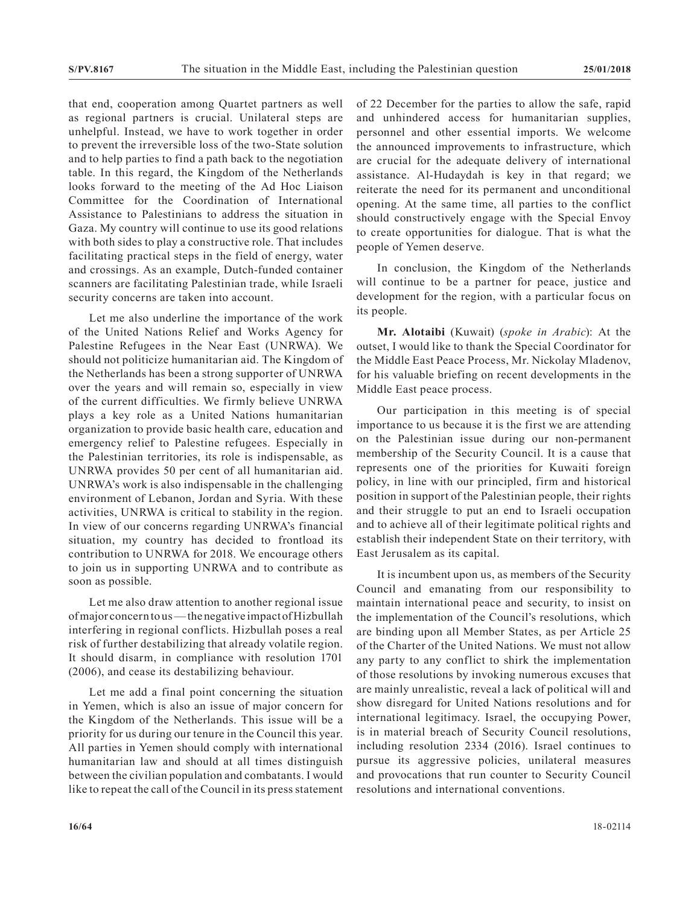that end, cooperation among Quartet partners as well as regional partners is crucial. Unilateral steps are unhelpful. Instead, we have to work together in order to prevent the irreversible loss of the two-State solution and to help parties to find a path back to the negotiation table. In this regard, the Kingdom of the Netherlands looks forward to the meeting of the Ad Hoc Liaison Committee for the Coordination of International Assistance to Palestinians to address the situation in Gaza. My country will continue to use its good relations with both sides to play a constructive role. That includes facilitating practical steps in the field of energy, water and crossings. As an example, Dutch-funded container scanners are facilitating Palestinian trade, while Israeli security concerns are taken into account.

Let me also underline the importance of the work of the United Nations Relief and Works Agency for Palestine Refugees in the Near East (UNRWA). We should not politicize humanitarian aid. The Kingdom of the Netherlands has been a strong supporter of UNRWA over the years and will remain so, especially in view of the current difficulties. We firmly believe UNRWA plays a key role as a United Nations humanitarian organization to provide basic health care, education and emergency relief to Palestine refugees. Especially in the Palestinian territories, its role is indispensable, as UNRWA provides 50 per cent of all humanitarian aid. UNRWA's work is also indispensable in the challenging environment of Lebanon, Jordan and Syria. With these activities, UNRWA is critical to stability in the region. In view of our concerns regarding UNRWA's financial situation, my country has decided to frontload its contribution to UNRWA for 2018. We encourage others to join us in supporting UNRWA and to contribute as soon as possible.

Let me also draw attention to another regional issue of major concern to us — the negative impact of Hizbullah interfering in regional conflicts. Hizbullah poses a real risk of further destabilizing that already volatile region. It should disarm, in compliance with resolution 1701 (2006), and cease its destabilizing behaviour.

Let me add a final point concerning the situation in Yemen, which is also an issue of major concern for the Kingdom of the Netherlands. This issue will be a priority for us during our tenure in the Council this year. All parties in Yemen should comply with international humanitarian law and should at all times distinguish between the civilian population and combatants. I would like to repeat the call of the Council in its press statement of 22 December for the parties to allow the safe, rapid and unhindered access for humanitarian supplies, personnel and other essential imports. We welcome the announced improvements to infrastructure, which are crucial for the adequate delivery of international assistance. Al-Hudaydah is key in that regard; we reiterate the need for its permanent and unconditional opening. At the same time, all parties to the conflict should constructively engage with the Special Envoy to create opportunities for dialogue. That is what the people of Yemen deserve.

In conclusion, the Kingdom of the Netherlands will continue to be a partner for peace, justice and development for the region, with a particular focus on its people.

**Mr. Alotaibi** (Kuwait) (*spoke in Arabic*): At the outset, I would like to thank the Special Coordinator for the Middle East Peace Process, Mr. Nickolay Mladenov, for his valuable briefing on recent developments in the Middle East peace process.

Our participation in this meeting is of special importance to us because it is the first we are attending on the Palestinian issue during our non-permanent membership of the Security Council. It is a cause that represents one of the priorities for Kuwaiti foreign policy, in line with our principled, firm and historical position in support of the Palestinian people, their rights and their struggle to put an end to Israeli occupation and to achieve all of their legitimate political rights and establish their independent State on their territory, with East Jerusalem as its capital.

It is incumbent upon us, as members of the Security Council and emanating from our responsibility to maintain international peace and security, to insist on the implementation of the Council's resolutions, which are binding upon all Member States, as per Article 25 of the Charter of the United Nations. We must not allow any party to any conflict to shirk the implementation of those resolutions by invoking numerous excuses that are mainly unrealistic, reveal a lack of political will and show disregard for United Nations resolutions and for international legitimacy. Israel, the occupying Power, is in material breach of Security Council resolutions, including resolution 2334 (2016). Israel continues to pursue its aggressive policies, unilateral measures and provocations that run counter to Security Council resolutions and international conventions.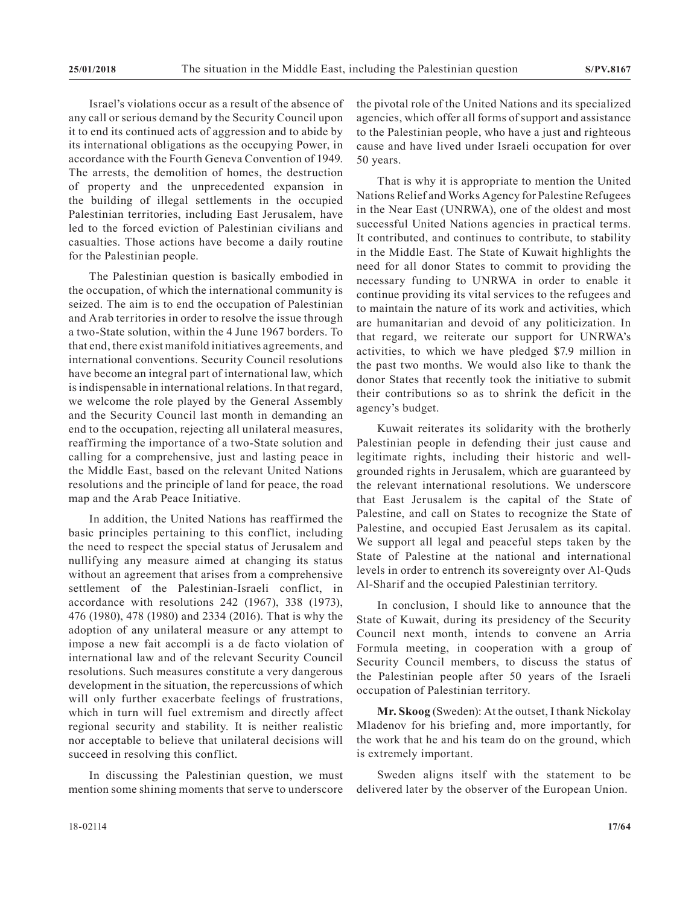Israel's violations occur as a result of the absence of any call or serious demand by the Security Council upon it to end its continued acts of aggression and to abide by its international obligations as the occupying Power, in accordance with the Fourth Geneva Convention of 1949. The arrests, the demolition of homes, the destruction of property and the unprecedented expansion in the building of illegal settlements in the occupied Palestinian territories, including East Jerusalem, have led to the forced eviction of Palestinian civilians and casualties. Those actions have become a daily routine for the Palestinian people.

The Palestinian question is basically embodied in the occupation, of which the international community is seized. The aim is to end the occupation of Palestinian and Arab territories in order to resolve the issue through a two-State solution, within the 4 June 1967 borders. To that end, there exist manifold initiatives agreements, and international conventions. Security Council resolutions have become an integral part of international law, which is indispensable in international relations. In that regard, we welcome the role played by the General Assembly and the Security Council last month in demanding an end to the occupation, rejecting all unilateral measures, reaffirming the importance of a two-State solution and calling for a comprehensive, just and lasting peace in the Middle East, based on the relevant United Nations resolutions and the principle of land for peace, the road map and the Arab Peace Initiative.

In addition, the United Nations has reaffirmed the basic principles pertaining to this conflict, including the need to respect the special status of Jerusalem and nullifying any measure aimed at changing its status without an agreement that arises from a comprehensive settlement of the Palestinian-Israeli conflict, in accordance with resolutions 242 (1967), 338 (1973), 476 (1980), 478 (1980) and 2334 (2016). That is why the adoption of any unilateral measure or any attempt to impose a new fait accompli is a de facto violation of international law and of the relevant Security Council resolutions. Such measures constitute a very dangerous development in the situation, the repercussions of which will only further exacerbate feelings of frustrations, which in turn will fuel extremism and directly affect regional security and stability. It is neither realistic nor acceptable to believe that unilateral decisions will succeed in resolving this conflict.

In discussing the Palestinian question, we must mention some shining moments that serve to underscore

the pivotal role of the United Nations and its specialized agencies, which offer all forms of support and assistance to the Palestinian people, who have a just and righteous cause and have lived under Israeli occupation for over 50 years.

That is why it is appropriate to mention the United Nations Relief and Works Agency for Palestine Refugees in the Near East (UNRWA), one of the oldest and most successful United Nations agencies in practical terms. It contributed, and continues to contribute, to stability in the Middle East. The State of Kuwait highlights the need for all donor States to commit to providing the necessary funding to UNRWA in order to enable it continue providing its vital services to the refugees and to maintain the nature of its work and activities, which are humanitarian and devoid of any politicization. In that regard, we reiterate our support for UNRWA's activities, to which we have pledged \$7.9 million in the past two months. We would also like to thank the donor States that recently took the initiative to submit their contributions so as to shrink the deficit in the agency's budget.

Kuwait reiterates its solidarity with the brotherly Palestinian people in defending their just cause and legitimate rights, including their historic and wellgrounded rights in Jerusalem, which are guaranteed by the relevant international resolutions. We underscore that East Jerusalem is the capital of the State of Palestine, and call on States to recognize the State of Palestine, and occupied East Jerusalem as its capital. We support all legal and peaceful steps taken by the State of Palestine at the national and international levels in order to entrench its sovereignty over Al-Quds Al-Sharif and the occupied Palestinian territory.

In conclusion, I should like to announce that the State of Kuwait, during its presidency of the Security Council next month, intends to convene an Arria Formula meeting, in cooperation with a group of Security Council members, to discuss the status of the Palestinian people after 50 years of the Israeli occupation of Palestinian territory.

**Mr. Skoog** (Sweden): At the outset, I thank Nickolay Mladenov for his briefing and, more importantly, for the work that he and his team do on the ground, which is extremely important.

Sweden aligns itself with the statement to be delivered later by the observer of the European Union.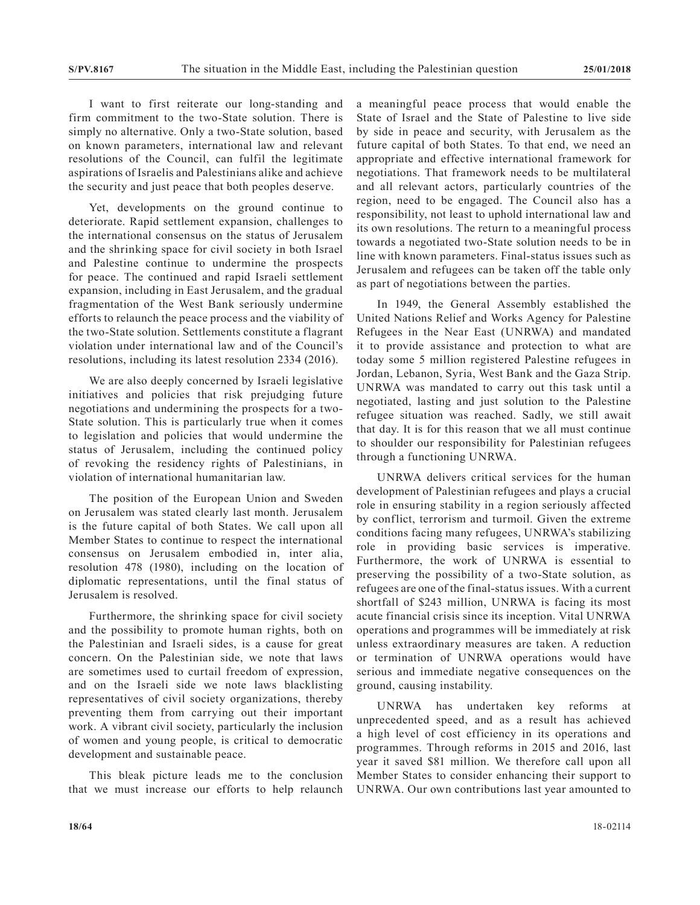I want to first reiterate our long-standing and firm commitment to the two-State solution. There is simply no alternative. Only a two-State solution, based on known parameters, international law and relevant resolutions of the Council, can fulfil the legitimate aspirations of Israelis and Palestinians alike and achieve the security and just peace that both peoples deserve.

Yet, developments on the ground continue to deteriorate. Rapid settlement expansion, challenges to the international consensus on the status of Jerusalem and the shrinking space for civil society in both Israel and Palestine continue to undermine the prospects for peace. The continued and rapid Israeli settlement expansion, including in East Jerusalem, and the gradual fragmentation of the West Bank seriously undermine efforts to relaunch the peace process and the viability of the two-State solution. Settlements constitute a flagrant violation under international law and of the Council's resolutions, including its latest resolution 2334 (2016).

We are also deeply concerned by Israeli legislative initiatives and policies that risk prejudging future negotiations and undermining the prospects for a two-State solution. This is particularly true when it comes to legislation and policies that would undermine the status of Jerusalem, including the continued policy of revoking the residency rights of Palestinians, in violation of international humanitarian law.

The position of the European Union and Sweden on Jerusalem was stated clearly last month. Jerusalem is the future capital of both States. We call upon all Member States to continue to respect the international consensus on Jerusalem embodied in, inter alia, resolution 478 (1980), including on the location of diplomatic representations, until the final status of Jerusalem is resolved.

Furthermore, the shrinking space for civil society and the possibility to promote human rights, both on the Palestinian and Israeli sides, is a cause for great concern. On the Palestinian side, we note that laws are sometimes used to curtail freedom of expression, and on the Israeli side we note laws blacklisting representatives of civil society organizations, thereby preventing them from carrying out their important work. A vibrant civil society, particularly the inclusion of women and young people, is critical to democratic development and sustainable peace.

This bleak picture leads me to the conclusion that we must increase our efforts to help relaunch a meaningful peace process that would enable the State of Israel and the State of Palestine to live side by side in peace and security, with Jerusalem as the future capital of both States. To that end, we need an appropriate and effective international framework for negotiations. That framework needs to be multilateral and all relevant actors, particularly countries of the region, need to be engaged. The Council also has a responsibility, not least to uphold international law and its own resolutions. The return to a meaningful process towards a negotiated two-State solution needs to be in line with known parameters. Final-status issues such as Jerusalem and refugees can be taken off the table only as part of negotiations between the parties.

In 1949, the General Assembly established the United Nations Relief and Works Agency for Palestine Refugees in the Near East (UNRWA) and mandated it to provide assistance and protection to what are today some 5 million registered Palestine refugees in Jordan, Lebanon, Syria, West Bank and the Gaza Strip. UNRWA was mandated to carry out this task until a negotiated, lasting and just solution to the Palestine refugee situation was reached. Sadly, we still await that day. It is for this reason that we all must continue to shoulder our responsibility for Palestinian refugees through a functioning UNRWA.

UNRWA delivers critical services for the human development of Palestinian refugees and plays a crucial role in ensuring stability in a region seriously affected by conflict, terrorism and turmoil. Given the extreme conditions facing many refugees, UNRWA's stabilizing role in providing basic services is imperative. Furthermore, the work of UNRWA is essential to preserving the possibility of a two-State solution, as refugees are one of the final-status issues. With a current shortfall of \$243 million, UNRWA is facing its most acute financial crisis since its inception. Vital UNRWA operations and programmes will be immediately at risk unless extraordinary measures are taken. A reduction or termination of UNRWA operations would have serious and immediate negative consequences on the ground, causing instability.

UNRWA has undertaken key reforms at unprecedented speed, and as a result has achieved a high level of cost efficiency in its operations and programmes. Through reforms in 2015 and 2016, last year it saved \$81 million. We therefore call upon all Member States to consider enhancing their support to UNRWA. Our own contributions last year amounted to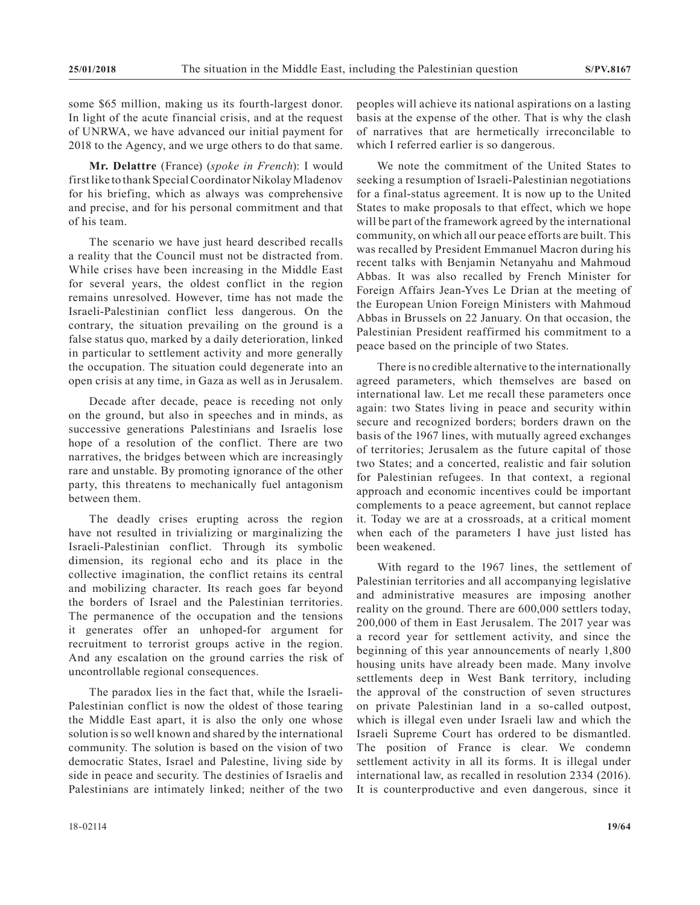some \$65 million, making us its fourth-largest donor. In light of the acute financial crisis, and at the request of UNRWA, we have advanced our initial payment for 2018 to the Agency, and we urge others to do that same.

**Mr. Delattre** (France) (*spoke in French*): I would first like to thank Special Coordinator Nikolay Mladenov for his briefing, which as always was comprehensive and precise, and for his personal commitment and that of his team.

The scenario we have just heard described recalls a reality that the Council must not be distracted from. While crises have been increasing in the Middle East for several years, the oldest conflict in the region remains unresolved. However, time has not made the Israeli-Palestinian conflict less dangerous. On the contrary, the situation prevailing on the ground is a false status quo, marked by a daily deterioration, linked in particular to settlement activity and more generally the occupation. The situation could degenerate into an open crisis at any time, in Gaza as well as in Jerusalem.

Decade after decade, peace is receding not only on the ground, but also in speeches and in minds, as successive generations Palestinians and Israelis lose hope of a resolution of the conflict. There are two narratives, the bridges between which are increasingly rare and unstable. By promoting ignorance of the other party, this threatens to mechanically fuel antagonism between them.

The deadly crises erupting across the region have not resulted in trivializing or marginalizing the Israeli-Palestinian conflict. Through its symbolic dimension, its regional echo and its place in the collective imagination, the conflict retains its central and mobilizing character. Its reach goes far beyond the borders of Israel and the Palestinian territories. The permanence of the occupation and the tensions it generates offer an unhoped-for argument for recruitment to terrorist groups active in the region. And any escalation on the ground carries the risk of uncontrollable regional consequences.

The paradox lies in the fact that, while the Israeli-Palestinian conflict is now the oldest of those tearing the Middle East apart, it is also the only one whose solution is so well known and shared by the international community. The solution is based on the vision of two democratic States, Israel and Palestine, living side by side in peace and security. The destinies of Israelis and Palestinians are intimately linked; neither of the two peoples will achieve its national aspirations on a lasting basis at the expense of the other. That is why the clash of narratives that are hermetically irreconcilable to which I referred earlier is so dangerous.

We note the commitment of the United States to seeking a resumption of Israeli-Palestinian negotiations for a final-status agreement. It is now up to the United States to make proposals to that effect, which we hope will be part of the framework agreed by the international community, on which all our peace efforts are built. This was recalled by President Emmanuel Macron during his recent talks with Benjamin Netanyahu and Mahmoud Abbas. It was also recalled by French Minister for Foreign Affairs Jean-Yves Le Drian at the meeting of the European Union Foreign Ministers with Mahmoud Abbas in Brussels on 22 January. On that occasion, the Palestinian President reaffirmed his commitment to a peace based on the principle of two States.

There is no credible alternative to the internationally agreed parameters, which themselves are based on international law. Let me recall these parameters once again: two States living in peace and security within secure and recognized borders; borders drawn on the basis of the 1967 lines, with mutually agreed exchanges of territories; Jerusalem as the future capital of those two States; and a concerted, realistic and fair solution for Palestinian refugees. In that context, a regional approach and economic incentives could be important complements to a peace agreement, but cannot replace it. Today we are at a crossroads, at a critical moment when each of the parameters I have just listed has been weakened.

With regard to the 1967 lines, the settlement of Palestinian territories and all accompanying legislative and administrative measures are imposing another reality on the ground. There are 600,000 settlers today, 200,000 of them in East Jerusalem. The 2017 year was a record year for settlement activity, and since the beginning of this year announcements of nearly 1,800 housing units have already been made. Many involve settlements deep in West Bank territory, including the approval of the construction of seven structures on private Palestinian land in a so-called outpost, which is illegal even under Israeli law and which the Israeli Supreme Court has ordered to be dismantled. The position of France is clear. We condemn settlement activity in all its forms. It is illegal under international law, as recalled in resolution 2334 (2016). It is counterproductive and even dangerous, since it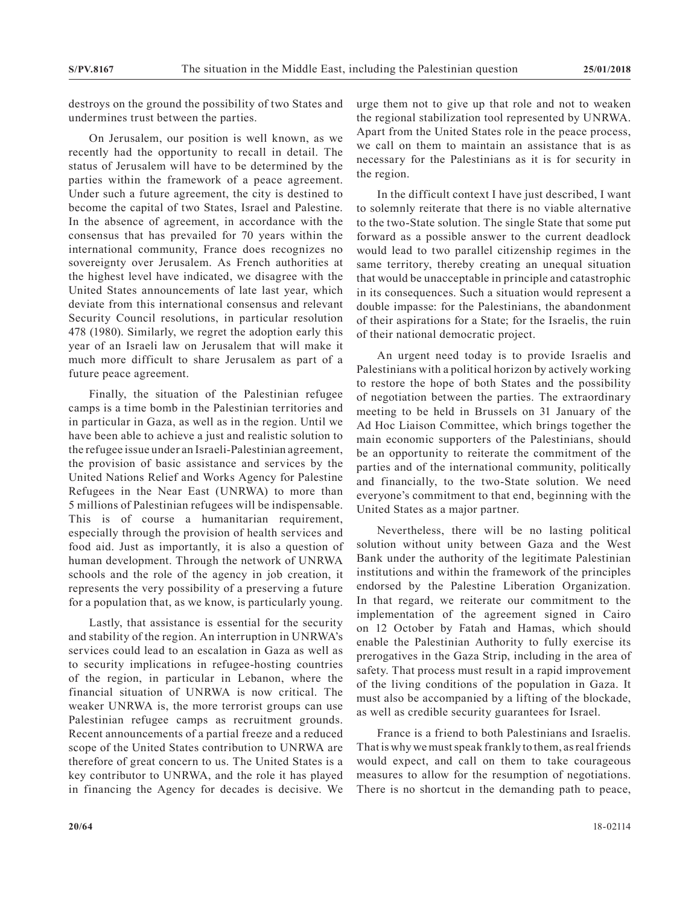destroys on the ground the possibility of two States and undermines trust between the parties.

On Jerusalem, our position is well known, as we recently had the opportunity to recall in detail. The status of Jerusalem will have to be determined by the parties within the framework of a peace agreement. Under such a future agreement, the city is destined to become the capital of two States, Israel and Palestine. In the absence of agreement, in accordance with the consensus that has prevailed for 70 years within the international community, France does recognizes no sovereignty over Jerusalem. As French authorities at the highest level have indicated, we disagree with the United States announcements of late last year, which deviate from this international consensus and relevant Security Council resolutions, in particular resolution 478 (1980). Similarly, we regret the adoption early this year of an Israeli law on Jerusalem that will make it much more difficult to share Jerusalem as part of a future peace agreement.

Finally, the situation of the Palestinian refugee camps is a time bomb in the Palestinian territories and in particular in Gaza, as well as in the region. Until we have been able to achieve a just and realistic solution to the refugee issue under an Israeli-Palestinian agreement, the provision of basic assistance and services by the United Nations Relief and Works Agency for Palestine Refugees in the Near East (UNRWA) to more than 5 millions of Palestinian refugees will be indispensable. This is of course a humanitarian requirement, especially through the provision of health services and food aid. Just as importantly, it is also a question of human development. Through the network of UNRWA schools and the role of the agency in job creation, it represents the very possibility of a preserving a future for a population that, as we know, is particularly young.

Lastly, that assistance is essential for the security and stability of the region. An interruption in UNRWA's services could lead to an escalation in Gaza as well as to security implications in refugee-hosting countries of the region, in particular in Lebanon, where the financial situation of UNRWA is now critical. The weaker UNRWA is, the more terrorist groups can use Palestinian refugee camps as recruitment grounds. Recent announcements of a partial freeze and a reduced scope of the United States contribution to UNRWA are therefore of great concern to us. The United States is a key contributor to UNRWA, and the role it has played in financing the Agency for decades is decisive. We urge them not to give up that role and not to weaken the regional stabilization tool represented by UNRWA. Apart from the United States role in the peace process, we call on them to maintain an assistance that is as necessary for the Palestinians as it is for security in the region.

In the difficult context I have just described, I want to solemnly reiterate that there is no viable alternative to the two-State solution. The single State that some put forward as a possible answer to the current deadlock would lead to two parallel citizenship regimes in the same territory, thereby creating an unequal situation that would be unacceptable in principle and catastrophic in its consequences. Such a situation would represent a double impasse: for the Palestinians, the abandonment of their aspirations for a State; for the Israelis, the ruin of their national democratic project.

An urgent need today is to provide Israelis and Palestinians with a political horizon by actively working to restore the hope of both States and the possibility of negotiation between the parties. The extraordinary meeting to be held in Brussels on 31 January of the Ad Hoc Liaison Committee, which brings together the main economic supporters of the Palestinians, should be an opportunity to reiterate the commitment of the parties and of the international community, politically and financially, to the two-State solution. We need everyone's commitment to that end, beginning with the United States as a major partner.

Nevertheless, there will be no lasting political solution without unity between Gaza and the West Bank under the authority of the legitimate Palestinian institutions and within the framework of the principles endorsed by the Palestine Liberation Organization. In that regard, we reiterate our commitment to the implementation of the agreement signed in Cairo on 12 October by Fatah and Hamas, which should enable the Palestinian Authority to fully exercise its prerogatives in the Gaza Strip, including in the area of safety. That process must result in a rapid improvement of the living conditions of the population in Gaza. It must also be accompanied by a lifting of the blockade, as well as credible security guarantees for Israel.

France is a friend to both Palestinians and Israelis. That is why we must speak frankly to them, as real friends would expect, and call on them to take courageous measures to allow for the resumption of negotiations. There is no shortcut in the demanding path to peace,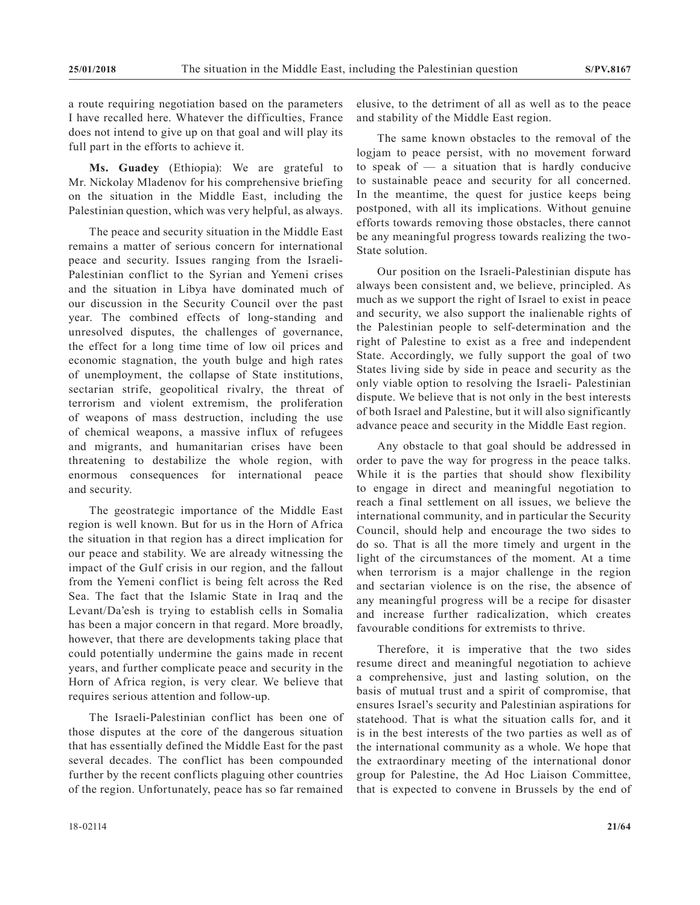a route requiring negotiation based on the parameters I have recalled here. Whatever the difficulties, France does not intend to give up on that goal and will play its full part in the efforts to achieve it.

**Ms. Guadey** (Ethiopia): We are grateful to Mr. Nickolay Mladenov for his comprehensive briefing on the situation in the Middle East, including the Palestinian question, which was very helpful, as always.

The peace and security situation in the Middle East remains a matter of serious concern for international peace and security. Issues ranging from the Israeli-Palestinian conflict to the Syrian and Yemeni crises and the situation in Libya have dominated much of our discussion in the Security Council over the past year. The combined effects of long-standing and unresolved disputes, the challenges of governance, the effect for a long time time of low oil prices and economic stagnation, the youth bulge and high rates of unemployment, the collapse of State institutions, sectarian strife, geopolitical rivalry, the threat of terrorism and violent extremism, the proliferation of weapons of mass destruction, including the use of chemical weapons, a massive influx of refugees and migrants, and humanitarian crises have been threatening to destabilize the whole region, with enormous consequences for international peace and security.

The geostrategic importance of the Middle East region is well known. But for us in the Horn of Africa the situation in that region has a direct implication for our peace and stability. We are already witnessing the impact of the Gulf crisis in our region, and the fallout from the Yemeni conflict is being felt across the Red Sea. The fact that the Islamic State in Iraq and the Levant/Da'esh is trying to establish cells in Somalia has been a major concern in that regard. More broadly, however, that there are developments taking place that could potentially undermine the gains made in recent years, and further complicate peace and security in the Horn of Africa region, is very clear. We believe that requires serious attention and follow-up.

The Israeli-Palestinian conflict has been one of those disputes at the core of the dangerous situation that has essentially defined the Middle East for the past several decades. The conflict has been compounded further by the recent conflicts plaguing other countries of the region. Unfortunately, peace has so far remained

elusive, to the detriment of all as well as to the peace and stability of the Middle East region.

The same known obstacles to the removal of the logjam to peace persist, with no movement forward to speak of  $-$  a situation that is hardly conducive to sustainable peace and security for all concerned. In the meantime, the quest for justice keeps being postponed, with all its implications. Without genuine efforts towards removing those obstacles, there cannot be any meaningful progress towards realizing the two-State solution.

Our position on the Israeli-Palestinian dispute has always been consistent and, we believe, principled. As much as we support the right of Israel to exist in peace and security, we also support the inalienable rights of the Palestinian people to self-determination and the right of Palestine to exist as a free and independent State. Accordingly, we fully support the goal of two States living side by side in peace and security as the only viable option to resolving the Israeli- Palestinian dispute. We believe that is not only in the best interests of both Israel and Palestine, but it will also significantly advance peace and security in the Middle East region.

Any obstacle to that goal should be addressed in order to pave the way for progress in the peace talks. While it is the parties that should show flexibility to engage in direct and meaningful negotiation to reach a final settlement on all issues, we believe the international community, and in particular the Security Council, should help and encourage the two sides to do so. That is all the more timely and urgent in the light of the circumstances of the moment. At a time when terrorism is a major challenge in the region and sectarian violence is on the rise, the absence of any meaningful progress will be a recipe for disaster and increase further radicalization, which creates favourable conditions for extremists to thrive.

Therefore, it is imperative that the two sides resume direct and meaningful negotiation to achieve a comprehensive, just and lasting solution, on the basis of mutual trust and a spirit of compromise, that ensures Israel's security and Palestinian aspirations for statehood. That is what the situation calls for, and it is in the best interests of the two parties as well as of the international community as a whole. We hope that the extraordinary meeting of the international donor group for Palestine, the Ad Hoc Liaison Committee, that is expected to convene in Brussels by the end of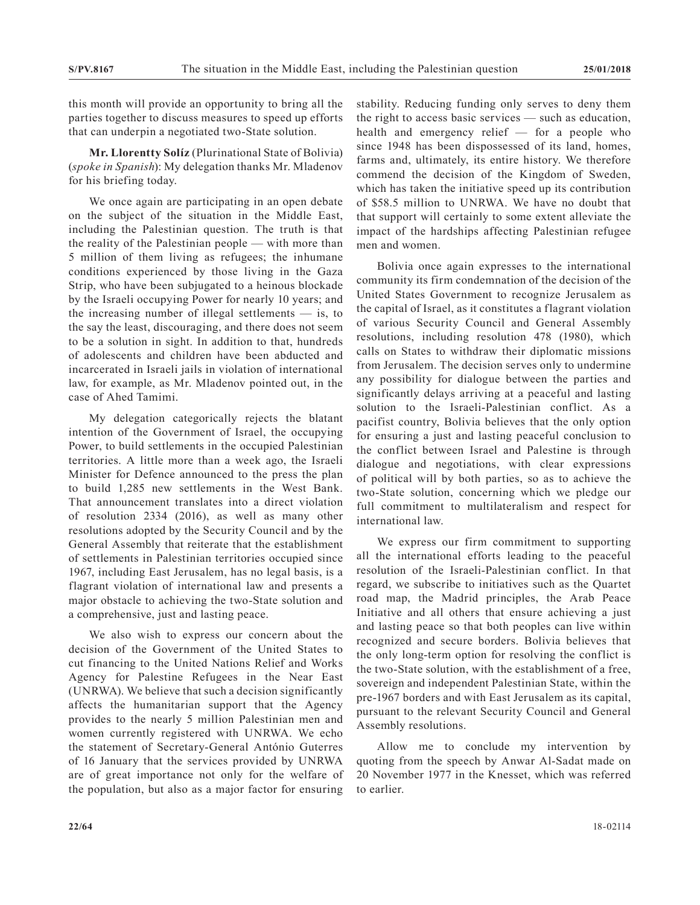this month will provide an opportunity to bring all the parties together to discuss measures to speed up efforts that can underpin a negotiated two-State solution.

**Mr. Llorentty Solíz** (Plurinational State of Bolivia) (*spoke in Spanish*): My delegation thanks Mr. Mladenov for his briefing today.

We once again are participating in an open debate on the subject of the situation in the Middle East, including the Palestinian question. The truth is that the reality of the Palestinian people — with more than 5 million of them living as refugees; the inhumane conditions experienced by those living in the Gaza Strip, who have been subjugated to a heinous blockade by the Israeli occupying Power for nearly 10 years; and the increasing number of illegal settlements  $-$  is, to the say the least, discouraging, and there does not seem to be a solution in sight. In addition to that, hundreds of adolescents and children have been abducted and incarcerated in Israeli jails in violation of international law, for example, as Mr. Mladenov pointed out, in the case of Ahed Tamimi.

My delegation categorically rejects the blatant intention of the Government of Israel, the occupying Power, to build settlements in the occupied Palestinian territories. A little more than a week ago, the Israeli Minister for Defence announced to the press the plan to build 1,285 new settlements in the West Bank. That announcement translates into a direct violation of resolution 2334 (2016), as well as many other resolutions adopted by the Security Council and by the General Assembly that reiterate that the establishment of settlements in Palestinian territories occupied since 1967, including East Jerusalem, has no legal basis, is a flagrant violation of international law and presents a major obstacle to achieving the two-State solution and a comprehensive, just and lasting peace.

We also wish to express our concern about the decision of the Government of the United States to cut financing to the United Nations Relief and Works Agency for Palestine Refugees in the Near East (UNRWA). We believe that such a decision significantly affects the humanitarian support that the Agency provides to the nearly 5 million Palestinian men and women currently registered with UNRWA. We echo the statement of Secretary-General António Guterres of 16 January that the services provided by UNRWA are of great importance not only for the welfare of the population, but also as a major factor for ensuring

stability. Reducing funding only serves to deny them the right to access basic services — such as education, health and emergency relief — for a people who since 1948 has been dispossessed of its land, homes, farms and, ultimately, its entire history. We therefore commend the decision of the Kingdom of Sweden, which has taken the initiative speed up its contribution of \$58.5 million to UNRWA. We have no doubt that that support will certainly to some extent alleviate the impact of the hardships affecting Palestinian refugee men and women.

Bolivia once again expresses to the international community its firm condemnation of the decision of the United States Government to recognize Jerusalem as the capital of Israel, as it constitutes a flagrant violation of various Security Council and General Assembly resolutions, including resolution 478 (1980), which calls on States to withdraw their diplomatic missions from Jerusalem. The decision serves only to undermine any possibility for dialogue between the parties and significantly delays arriving at a peaceful and lasting solution to the Israeli-Palestinian conflict. As a pacifist country, Bolivia believes that the only option for ensuring a just and lasting peaceful conclusion to the conflict between Israel and Palestine is through dialogue and negotiations, with clear expressions of political will by both parties, so as to achieve the two-State solution, concerning which we pledge our full commitment to multilateralism and respect for international law.

We express our firm commitment to supporting all the international efforts leading to the peaceful resolution of the Israeli-Palestinian conflict. In that regard, we subscribe to initiatives such as the Quartet road map, the Madrid principles, the Arab Peace Initiative and all others that ensure achieving a just and lasting peace so that both peoples can live within recognized and secure borders. Bolivia believes that the only long-term option for resolving the conflict is the two-State solution, with the establishment of a free, sovereign and independent Palestinian State, within the pre-1967 borders and with East Jerusalem as its capital, pursuant to the relevant Security Council and General Assembly resolutions.

Allow me to conclude my intervention by quoting from the speech by Anwar Al-Sadat made on 20 November 1977 in the Knesset, which was referred to earlier.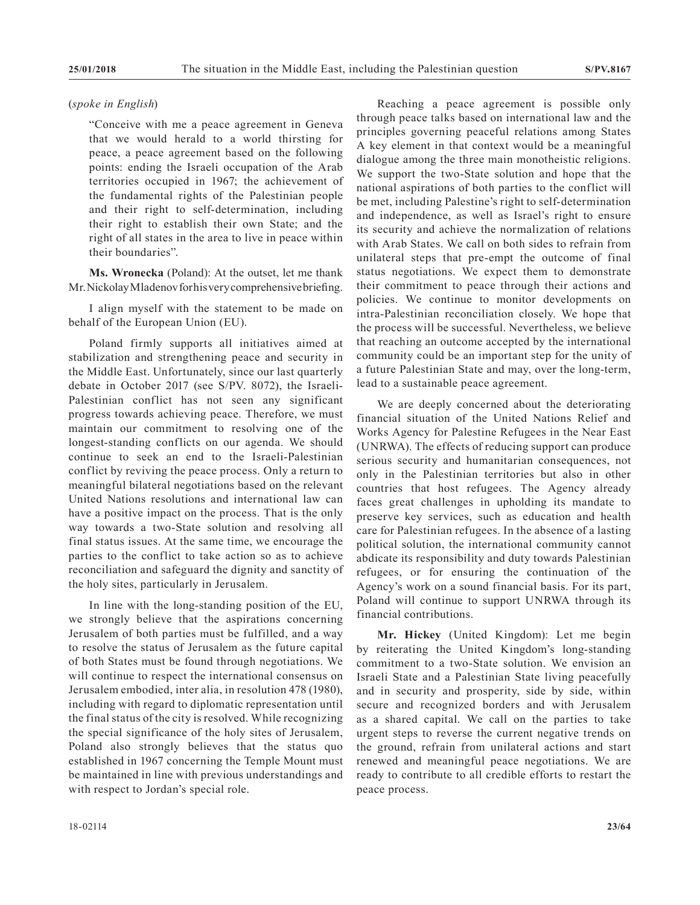#### (*spoke in English*)

"Conceive with me a peace agreement in Geneva that we would herald to a world thirsting for peace, a peace agreement based on the following points: ending the Israeli occupation of the Arab territories occupied in 1967; the achievement of the fundamental rights of the Palestinian people and their right to self-determination, including their right to establish their own State; and the right of all states in the area to live in peace within their boundaries".

**Ms. Wronecka** (Poland): At the outset, let me thank Mr. Nickolay Mladenov for his very comprehensive briefing.

I align myself with the statement to be made on behalf of the European Union (EU).

Poland firmly supports all initiatives aimed at stabilization and strengthening peace and security in the Middle East. Unfortunately, since our last quarterly debate in October 2017 (see S/PV. 8072), the Israeli-Palestinian conflict has not seen any significant progress towards achieving peace. Therefore, we must maintain our commitment to resolving one of the longest-standing conflicts on our agenda. We should continue to seek an end to the Israeli-Palestinian conflict by reviving the peace process. Only a return to meaningful bilateral negotiations based on the relevant United Nations resolutions and international law can have a positive impact on the process. That is the only way towards a two-State solution and resolving all final status issues. At the same time, we encourage the parties to the conflict to take action so as to achieve reconciliation and safeguard the dignity and sanctity of the holy sites, particularly in Jerusalem.

In line with the long-standing position of the EU, we strongly believe that the aspirations concerning Jerusalem of both parties must be fulfilled, and a way to resolve the status of Jerusalem as the future capital of both States must be found through negotiations. We will continue to respect the international consensus on Jerusalem embodied, inter alia, in resolution 478 (1980), including with regard to diplomatic representation until the final status of the city is resolved. While recognizing the special significance of the holy sites of Jerusalem, Poland also strongly believes that the status quo established in 1967 concerning the Temple Mount must be maintained in line with previous understandings and with respect to Jordan's special role.

Reaching a peace agreement is possible only through peace talks based on international law and the principles governing peaceful relations among States A key element in that context would be a meaningful dialogue among the three main monotheistic religions. We support the two-State solution and hope that the national aspirations of both parties to the conflict will be met, including Palestine's right to self-determination and independence, as well as Israel's right to ensure its security and achieve the normalization of relations with Arab States. We call on both sides to refrain from unilateral steps that pre-empt the outcome of final status negotiations. We expect them to demonstrate their commitment to peace through their actions and policies. We continue to monitor developments on intra-Palestinian reconciliation closely. We hope that the process will be successful. Nevertheless, we believe that reaching an outcome accepted by the international community could be an important step for the unity of a future Palestinian State and may, over the long-term, lead to a sustainable peace agreement.

We are deeply concerned about the deteriorating financial situation of the United Nations Relief and Works Agency for Palestine Refugees in the Near East (UNRWA). The effects of reducing support can produce serious security and humanitarian consequences, not only in the Palestinian territories but also in other countries that host refugees. The Agency already faces great challenges in upholding its mandate to preserve key services, such as education and health care for Palestinian refugees. In the absence of a lasting political solution, the international community cannot abdicate its responsibility and duty towards Palestinian refugees, or for ensuring the continuation of the Agency's work on a sound financial basis. For its part, Poland will continue to support UNRWA through its financial contributions.

**Mr. Hickey** (United Kingdom): Let me begin by reiterating the United Kingdom's long-standing commitment to a two-State solution. We envision an Israeli State and a Palestinian State living peacefully and in security and prosperity, side by side, within secure and recognized borders and with Jerusalem as a shared capital. We call on the parties to take urgent steps to reverse the current negative trends on the ground, refrain from unilateral actions and start renewed and meaningful peace negotiations. We are ready to contribute to all credible efforts to restart the peace process.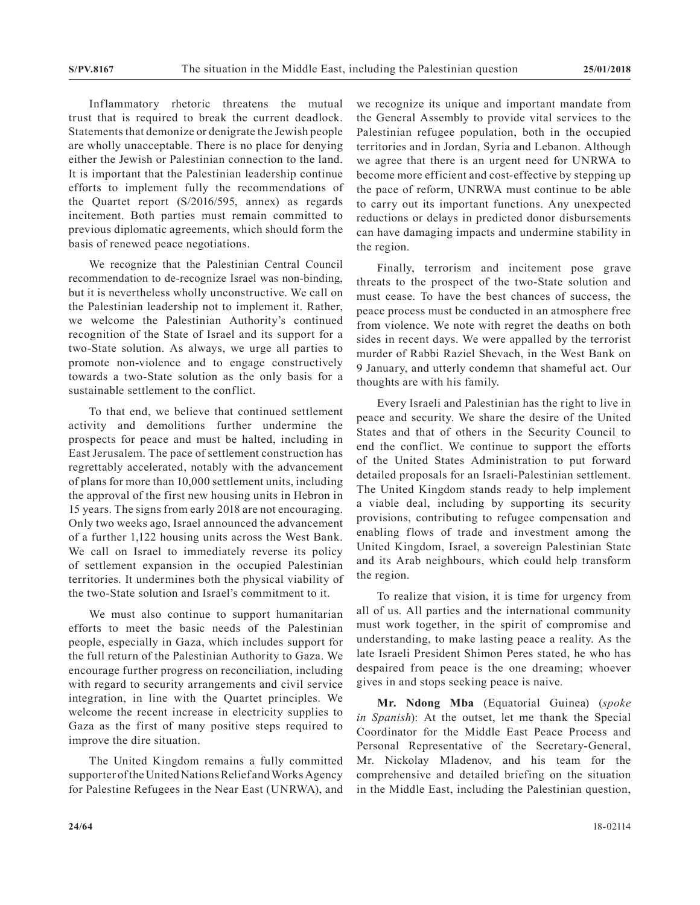Inflammatory rhetoric threatens the mutual trust that is required to break the current deadlock. Statements that demonize or denigrate the Jewish people are wholly unacceptable. There is no place for denying either the Jewish or Palestinian connection to the land. It is important that the Palestinian leadership continue efforts to implement fully the recommendations of the Quartet report (S/2016/595, annex) as regards incitement. Both parties must remain committed to previous diplomatic agreements, which should form the basis of renewed peace negotiations.

We recognize that the Palestinian Central Council recommendation to de-recognize Israel was non-binding, but it is nevertheless wholly unconstructive. We call on the Palestinian leadership not to implement it. Rather, we welcome the Palestinian Authority's continued recognition of the State of Israel and its support for a two-State solution. As always, we urge all parties to promote non-violence and to engage constructively towards a two-State solution as the only basis for a sustainable settlement to the conflict.

To that end, we believe that continued settlement activity and demolitions further undermine the prospects for peace and must be halted, including in East Jerusalem. The pace of settlement construction has regrettably accelerated, notably with the advancement of plans for more than 10,000 settlement units, including the approval of the first new housing units in Hebron in 15 years. The signs from early 2018 are not encouraging. Only two weeks ago, Israel announced the advancement of a further 1,122 housing units across the West Bank. We call on Israel to immediately reverse its policy of settlement expansion in the occupied Palestinian territories. It undermines both the physical viability of the two-State solution and Israel's commitment to it.

We must also continue to support humanitarian efforts to meet the basic needs of the Palestinian people, especially in Gaza, which includes support for the full return of the Palestinian Authority to Gaza. We encourage further progress on reconciliation, including with regard to security arrangements and civil service integration, in line with the Quartet principles. We welcome the recent increase in electricity supplies to Gaza as the first of many positive steps required to improve the dire situation.

The United Kingdom remains a fully committed supporter of the United Nations Relief and Works Agency for Palestine Refugees in the Near East (UNRWA), and we recognize its unique and important mandate from the General Assembly to provide vital services to the Palestinian refugee population, both in the occupied territories and in Jordan, Syria and Lebanon. Although we agree that there is an urgent need for UNRWA to become more efficient and cost-effective by stepping up the pace of reform, UNRWA must continue to be able to carry out its important functions. Any unexpected reductions or delays in predicted donor disbursements can have damaging impacts and undermine stability in the region.

Finally, terrorism and incitement pose grave threats to the prospect of the two-State solution and must cease. To have the best chances of success, the peace process must be conducted in an atmosphere free from violence. We note with regret the deaths on both sides in recent days. We were appalled by the terrorist murder of Rabbi Raziel Shevach, in the West Bank on 9 January, and utterly condemn that shameful act. Our thoughts are with his family.

Every Israeli and Palestinian has the right to live in peace and security. We share the desire of the United States and that of others in the Security Council to end the conflict. We continue to support the efforts of the United States Administration to put forward detailed proposals for an Israeli-Palestinian settlement. The United Kingdom stands ready to help implement a viable deal, including by supporting its security provisions, contributing to refugee compensation and enabling flows of trade and investment among the United Kingdom, Israel, a sovereign Palestinian State and its Arab neighbours, which could help transform the region.

To realize that vision, it is time for urgency from all of us. All parties and the international community must work together, in the spirit of compromise and understanding, to make lasting peace a reality. As the late Israeli President Shimon Peres stated, he who has despaired from peace is the one dreaming; whoever gives in and stops seeking peace is naive.

**Mr. Ndong Mba** (Equatorial Guinea) (*spoke in Spanish*): At the outset, let me thank the Special Coordinator for the Middle East Peace Process and Personal Representative of the Secretary-General, Mr. Nickolay Mladenov, and his team for the comprehensive and detailed briefing on the situation in the Middle East, including the Palestinian question,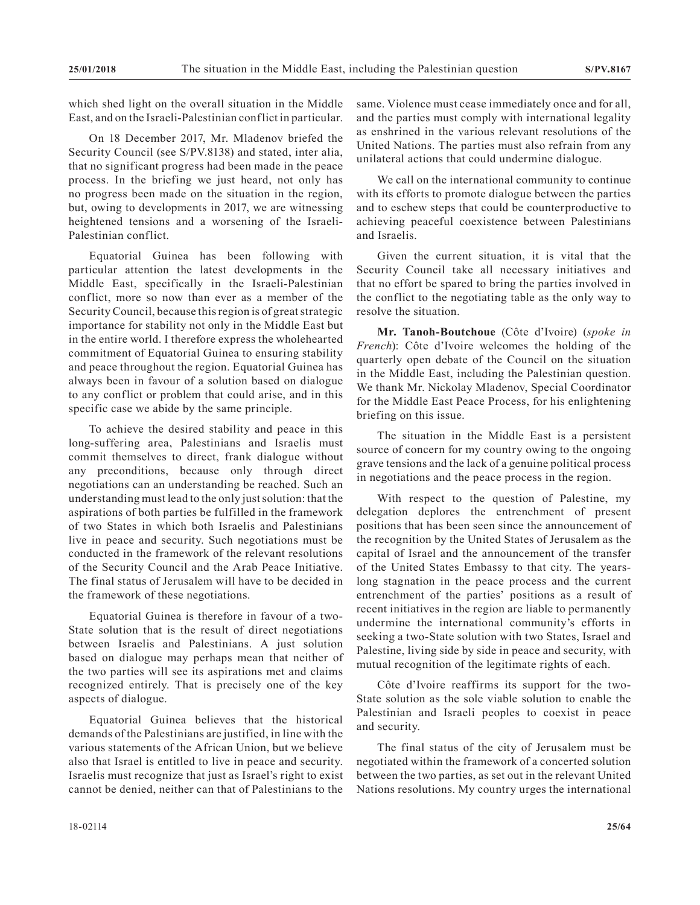which shed light on the overall situation in the Middle East, and on the Israeli-Palestinian conflict in particular.

On 18 December 2017, Mr. Mladenov briefed the Security Council (see S/PV.8138) and stated, inter alia, that no significant progress had been made in the peace process. In the briefing we just heard, not only has no progress been made on the situation in the region, but, owing to developments in 2017, we are witnessing heightened tensions and a worsening of the Israeli-Palestinian conflict.

Equatorial Guinea has been following with particular attention the latest developments in the Middle East, specifically in the Israeli-Palestinian conflict, more so now than ever as a member of the Security Council, because this region is of great strategic importance for stability not only in the Middle East but in the entire world. I therefore express the wholehearted commitment of Equatorial Guinea to ensuring stability and peace throughout the region. Equatorial Guinea has always been in favour of a solution based on dialogue to any conflict or problem that could arise, and in this specific case we abide by the same principle.

To achieve the desired stability and peace in this long-suffering area, Palestinians and Israelis must commit themselves to direct, frank dialogue without any preconditions, because only through direct negotiations can an understanding be reached. Such an understanding must lead to the only just solution: that the aspirations of both parties be fulfilled in the framework of two States in which both Israelis and Palestinians live in peace and security. Such negotiations must be conducted in the framework of the relevant resolutions of the Security Council and the Arab Peace Initiative. The final status of Jerusalem will have to be decided in the framework of these negotiations.

Equatorial Guinea is therefore in favour of a two-State solution that is the result of direct negotiations between Israelis and Palestinians. A just solution based on dialogue may perhaps mean that neither of the two parties will see its aspirations met and claims recognized entirely. That is precisely one of the key aspects of dialogue.

Equatorial Guinea believes that the historical demands of the Palestinians are justified, in line with the various statements of the African Union, but we believe also that Israel is entitled to live in peace and security. Israelis must recognize that just as Israel's right to exist cannot be denied, neither can that of Palestinians to the same. Violence must cease immediately once and for all, and the parties must comply with international legality as enshrined in the various relevant resolutions of the United Nations. The parties must also refrain from any unilateral actions that could undermine dialogue.

We call on the international community to continue with its efforts to promote dialogue between the parties and to eschew steps that could be counterproductive to achieving peaceful coexistence between Palestinians and Israelis.

Given the current situation, it is vital that the Security Council take all necessary initiatives and that no effort be spared to bring the parties involved in the conflict to the negotiating table as the only way to resolve the situation.

**Mr. Tanoh-Boutchoue** (Côte d'Ivoire) (*spoke in French*): Côte d'Ivoire welcomes the holding of the quarterly open debate of the Council on the situation in the Middle East, including the Palestinian question. We thank Mr. Nickolay Mladenov, Special Coordinator for the Middle East Peace Process, for his enlightening briefing on this issue.

The situation in the Middle East is a persistent source of concern for my country owing to the ongoing grave tensions and the lack of a genuine political process in negotiations and the peace process in the region.

With respect to the question of Palestine, my delegation deplores the entrenchment of present positions that has been seen since the announcement of the recognition by the United States of Jerusalem as the capital of Israel and the announcement of the transfer of the United States Embassy to that city. The yearslong stagnation in the peace process and the current entrenchment of the parties' positions as a result of recent initiatives in the region are liable to permanently undermine the international community's efforts in seeking a two-State solution with two States, Israel and Palestine, living side by side in peace and security, with mutual recognition of the legitimate rights of each.

Côte d'Ivoire reaffirms its support for the two-State solution as the sole viable solution to enable the Palestinian and Israeli peoples to coexist in peace and security.

The final status of the city of Jerusalem must be negotiated within the framework of a concerted solution between the two parties, as set out in the relevant United Nations resolutions. My country urges the international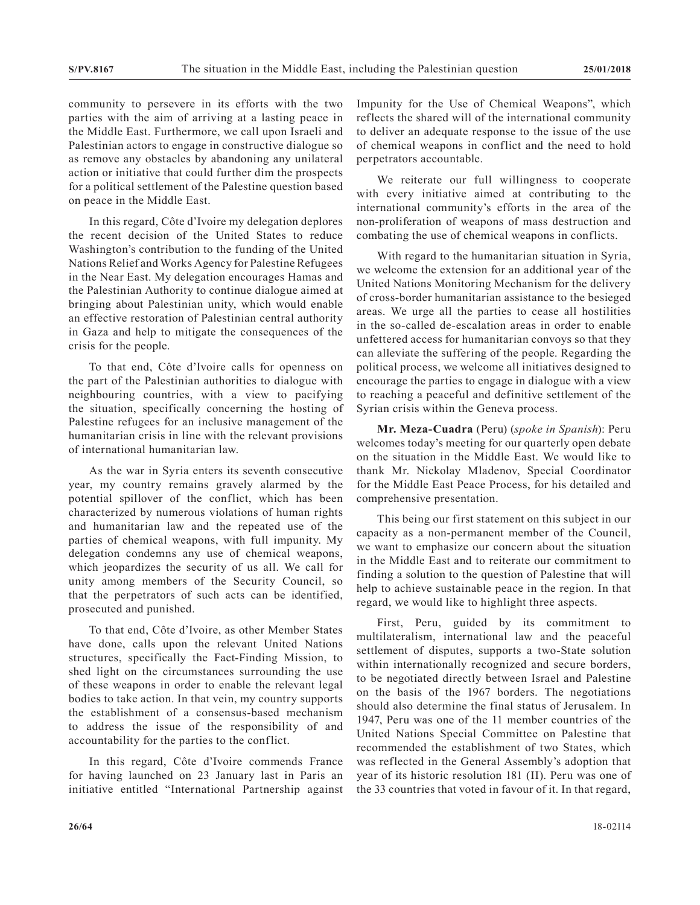community to persevere in its efforts with the two parties with the aim of arriving at a lasting peace in the Middle East. Furthermore, we call upon Israeli and Palestinian actors to engage in constructive dialogue so as remove any obstacles by abandoning any unilateral action or initiative that could further dim the prospects for a political settlement of the Palestine question based on peace in the Middle East.

In this regard, Côte d'Ivoire my delegation deplores the recent decision of the United States to reduce Washington's contribution to the funding of the United Nations Relief and Works Agency for Palestine Refugees in the Near East. My delegation encourages Hamas and the Palestinian Authority to continue dialogue aimed at bringing about Palestinian unity, which would enable an effective restoration of Palestinian central authority in Gaza and help to mitigate the consequences of the crisis for the people.

To that end, Côte d'Ivoire calls for openness on the part of the Palestinian authorities to dialogue with neighbouring countries, with a view to pacifying the situation, specifically concerning the hosting of Palestine refugees for an inclusive management of the humanitarian crisis in line with the relevant provisions of international humanitarian law.

As the war in Syria enters its seventh consecutive year, my country remains gravely alarmed by the potential spillover of the conflict, which has been characterized by numerous violations of human rights and humanitarian law and the repeated use of the parties of chemical weapons, with full impunity. My delegation condemns any use of chemical weapons, which jeopardizes the security of us all. We call for unity among members of the Security Council, so that the perpetrators of such acts can be identified, prosecuted and punished.

To that end, Côte d'Ivoire, as other Member States have done, calls upon the relevant United Nations structures, specifically the Fact-Finding Mission, to shed light on the circumstances surrounding the use of these weapons in order to enable the relevant legal bodies to take action. In that vein, my country supports the establishment of a consensus-based mechanism to address the issue of the responsibility of and accountability for the parties to the conflict.

In this regard, Côte d'Ivoire commends France for having launched on 23 January last in Paris an initiative entitled "International Partnership against Impunity for the Use of Chemical Weapons", which reflects the shared will of the international community to deliver an adequate response to the issue of the use of chemical weapons in conflict and the need to hold perpetrators accountable.

We reiterate our full willingness to cooperate with every initiative aimed at contributing to the international community's efforts in the area of the non-proliferation of weapons of mass destruction and combating the use of chemical weapons in conflicts.

With regard to the humanitarian situation in Syria, we welcome the extension for an additional year of the United Nations Monitoring Mechanism for the delivery of cross-border humanitarian assistance to the besieged areas. We urge all the parties to cease all hostilities in the so-called de-escalation areas in order to enable unfettered access for humanitarian convoys so that they can alleviate the suffering of the people. Regarding the political process, we welcome all initiatives designed to encourage the parties to engage in dialogue with a view to reaching a peaceful and definitive settlement of the Syrian crisis within the Geneva process.

**Mr. Meza-Cuadra** (Peru) (*spoke in Spanish*): Peru welcomes today's meeting for our quarterly open debate on the situation in the Middle East. We would like to thank Mr. Nickolay Mladenov, Special Coordinator for the Middle East Peace Process, for his detailed and comprehensive presentation.

This being our first statement on this subject in our capacity as a non-permanent member of the Council, we want to emphasize our concern about the situation in the Middle East and to reiterate our commitment to finding a solution to the question of Palestine that will help to achieve sustainable peace in the region. In that regard, we would like to highlight three aspects.

First, Peru, guided by its commitment to multilateralism, international law and the peaceful settlement of disputes, supports a two-State solution within internationally recognized and secure borders, to be negotiated directly between Israel and Palestine on the basis of the 1967 borders. The negotiations should also determine the final status of Jerusalem. In 1947, Peru was one of the 11 member countries of the United Nations Special Committee on Palestine that recommended the establishment of two States, which was reflected in the General Assembly's adoption that year of its historic resolution 181 (II). Peru was one of the 33 countries that voted in favour of it. In that regard,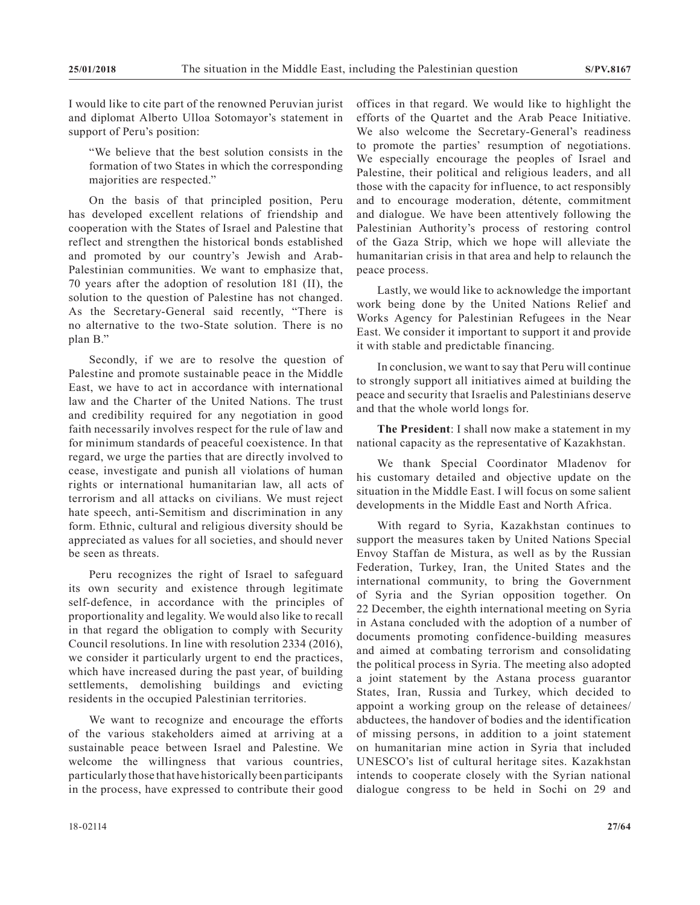I would like to cite part of the renowned Peruvian jurist and diplomat Alberto Ulloa Sotomayor's statement in support of Peru's position:

"We believe that the best solution consists in the formation of two States in which the corresponding majorities are respected."

On the basis of that principled position, Peru has developed excellent relations of friendship and cooperation with the States of Israel and Palestine that reflect and strengthen the historical bonds established and promoted by our country's Jewish and Arab-Palestinian communities. We want to emphasize that, 70 years after the adoption of resolution 181 (II), the solution to the question of Palestine has not changed. As the Secretary-General said recently, "There is no alternative to the two-State solution. There is no plan B."

Secondly, if we are to resolve the question of Palestine and promote sustainable peace in the Middle East, we have to act in accordance with international law and the Charter of the United Nations. The trust and credibility required for any negotiation in good faith necessarily involves respect for the rule of law and for minimum standards of peaceful coexistence. In that regard, we urge the parties that are directly involved to cease, investigate and punish all violations of human rights or international humanitarian law, all acts of terrorism and all attacks on civilians. We must reject hate speech, anti-Semitism and discrimination in any form. Ethnic, cultural and religious diversity should be appreciated as values for all societies, and should never be seen as threats.

Peru recognizes the right of Israel to safeguard its own security and existence through legitimate self-defence, in accordance with the principles of proportionality and legality. We would also like to recall in that regard the obligation to comply with Security Council resolutions. In line with resolution 2334 (2016), we consider it particularly urgent to end the practices, which have increased during the past year, of building settlements, demolishing buildings and evicting residents in the occupied Palestinian territories.

We want to recognize and encourage the efforts of the various stakeholders aimed at arriving at a sustainable peace between Israel and Palestine. We welcome the willingness that various countries, particularly those that have historically been participants in the process, have expressed to contribute their good offices in that regard. We would like to highlight the efforts of the Quartet and the Arab Peace Initiative. We also welcome the Secretary-General's readiness to promote the parties' resumption of negotiations. We especially encourage the peoples of Israel and Palestine, their political and religious leaders, and all those with the capacity for influence, to act responsibly and to encourage moderation, détente, commitment and dialogue. We have been attentively following the Palestinian Authority's process of restoring control of the Gaza Strip, which we hope will alleviate the humanitarian crisis in that area and help to relaunch the peace process.

Lastly, we would like to acknowledge the important work being done by the United Nations Relief and Works Agency for Palestinian Refugees in the Near East. We consider it important to support it and provide it with stable and predictable financing.

In conclusion, we want to say that Peru will continue to strongly support all initiatives aimed at building the peace and security that Israelis and Palestinians deserve and that the whole world longs for.

**The President**: I shall now make a statement in my national capacity as the representative of Kazakhstan.

We thank Special Coordinator Mladenov for his customary detailed and objective update on the situation in the Middle East. I will focus on some salient developments in the Middle East and North Africa.

With regard to Syria, Kazakhstan continues to support the measures taken by United Nations Special Envoy Staffan de Mistura, as well as by the Russian Federation, Turkey, Iran, the United States and the international community, to bring the Government of Syria and the Syrian opposition together. On 22 December, the eighth international meeting on Syria in Astana concluded with the adoption of a number of documents promoting confidence-building measures and aimed at combating terrorism and consolidating the political process in Syria. The meeting also adopted a joint statement by the Astana process guarantor States, Iran, Russia and Turkey, which decided to appoint a working group on the release of detainees/ abductees, the handover of bodies and the identification of missing persons, in addition to a joint statement on humanitarian mine action in Syria that included UNESCO's list of cultural heritage sites. Kazakhstan intends to cooperate closely with the Syrian national dialogue congress to be held in Sochi on 29 and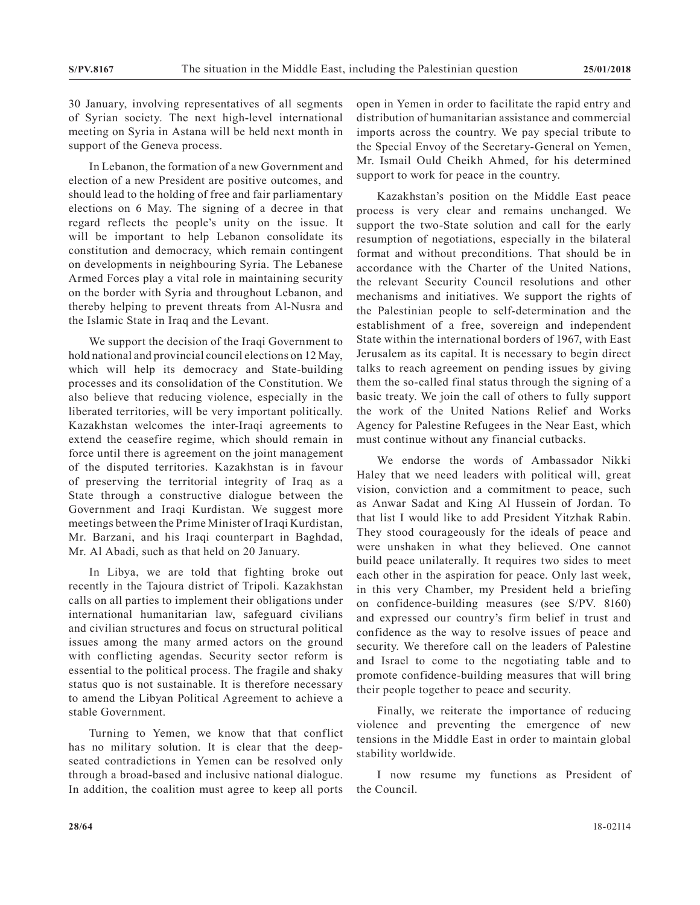30 January, involving representatives of all segments of Syrian society. The next high-level international meeting on Syria in Astana will be held next month in support of the Geneva process.

In Lebanon, the formation of a new Government and election of a new President are positive outcomes, and should lead to the holding of free and fair parliamentary elections on 6 May. The signing of a decree in that regard reflects the people's unity on the issue. It will be important to help Lebanon consolidate its constitution and democracy, which remain contingent on developments in neighbouring Syria. The Lebanese Armed Forces play a vital role in maintaining security on the border with Syria and throughout Lebanon, and thereby helping to prevent threats from Al-Nusra and the Islamic State in Iraq and the Levant.

We support the decision of the Iraqi Government to hold national and provincial council elections on 12 May, which will help its democracy and State-building processes and its consolidation of the Constitution. We also believe that reducing violence, especially in the liberated territories, will be very important politically. Kazakhstan welcomes the inter-Iraqi agreements to extend the ceasefire regime, which should remain in force until there is agreement on the joint management of the disputed territories. Kazakhstan is in favour of preserving the territorial integrity of Iraq as a State through a constructive dialogue between the Government and Iraqi Kurdistan. We suggest more meetings between the Prime Minister of Iraqi Kurdistan, Mr. Barzani, and his Iraqi counterpart in Baghdad, Mr. Al Abadi, such as that held on 20 January.

In Libya, we are told that fighting broke out recently in the Tajoura district of Tripoli. Kazakhstan calls on all parties to implement their obligations under international humanitarian law, safeguard civilians and civilian structures and focus on structural political issues among the many armed actors on the ground with conflicting agendas. Security sector reform is essential to the political process. The fragile and shaky status quo is not sustainable. It is therefore necessary to amend the Libyan Political Agreement to achieve a stable Government.

Turning to Yemen, we know that that conflict has no military solution. It is clear that the deepseated contradictions in Yemen can be resolved only through a broad-based and inclusive national dialogue. In addition, the coalition must agree to keep all ports

open in Yemen in order to facilitate the rapid entry and distribution of humanitarian assistance and commercial imports across the country. We pay special tribute to the Special Envoy of the Secretary-General on Yemen, Mr. Ismail Ould Cheikh Ahmed, for his determined support to work for peace in the country.

Kazakhstan's position on the Middle East peace process is very clear and remains unchanged. We support the two-State solution and call for the early resumption of negotiations, especially in the bilateral format and without preconditions. That should be in accordance with the Charter of the United Nations, the relevant Security Council resolutions and other mechanisms and initiatives. We support the rights of the Palestinian people to self-determination and the establishment of a free, sovereign and independent State within the international borders of 1967, with East Jerusalem as its capital. It is necessary to begin direct talks to reach agreement on pending issues by giving them the so-called final status through the signing of a basic treaty. We join the call of others to fully support the work of the United Nations Relief and Works Agency for Palestine Refugees in the Near East, which must continue without any financial cutbacks.

We endorse the words of Ambassador Nikki Haley that we need leaders with political will, great vision, conviction and a commitment to peace, such as Anwar Sadat and King Al Hussein of Jordan. To that list I would like to add President Yitzhak Rabin. They stood courageously for the ideals of peace and were unshaken in what they believed. One cannot build peace unilaterally. It requires two sides to meet each other in the aspiration for peace. Only last week, in this very Chamber, my President held a briefing on confidence-building measures (see S/PV. 8160) and expressed our country's firm belief in trust and confidence as the way to resolve issues of peace and security. We therefore call on the leaders of Palestine and Israel to come to the negotiating table and to promote confidence-building measures that will bring their people together to peace and security.

Finally, we reiterate the importance of reducing violence and preventing the emergence of new tensions in the Middle East in order to maintain global stability worldwide.

I now resume my functions as President of the Council.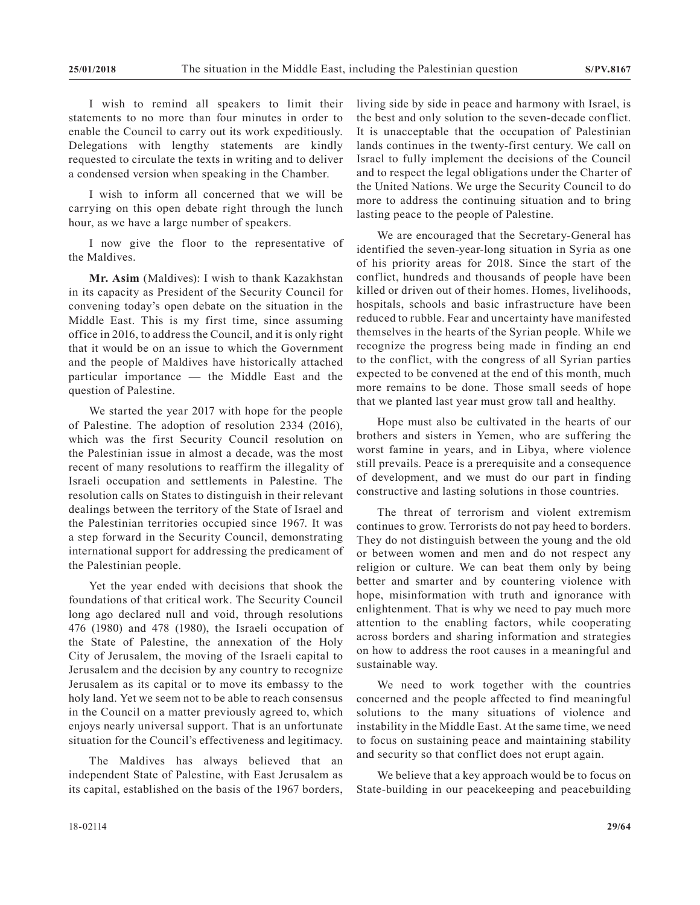I wish to remind all speakers to limit their statements to no more than four minutes in order to enable the Council to carry out its work expeditiously. Delegations with lengthy statements are kindly requested to circulate the texts in writing and to deliver a condensed version when speaking in the Chamber.

I wish to inform all concerned that we will be carrying on this open debate right through the lunch hour, as we have a large number of speakers.

I now give the floor to the representative of the Maldives.

**Mr. Asim** (Maldives): I wish to thank Kazakhstan in its capacity as President of the Security Council for convening today's open debate on the situation in the Middle East. This is my first time, since assuming office in 2016, to address the Council, and it is only right that it would be on an issue to which the Government and the people of Maldives have historically attached particular importance — the Middle East and the question of Palestine.

We started the year 2017 with hope for the people of Palestine. The adoption of resolution 2334 (2016), which was the first Security Council resolution on the Palestinian issue in almost a decade, was the most recent of many resolutions to reaffirm the illegality of Israeli occupation and settlements in Palestine. The resolution calls on States to distinguish in their relevant dealings between the territory of the State of Israel and the Palestinian territories occupied since 1967. It was a step forward in the Security Council, demonstrating international support for addressing the predicament of the Palestinian people.

Yet the year ended with decisions that shook the foundations of that critical work. The Security Council long ago declared null and void, through resolutions 476 (1980) and 478 (1980), the Israeli occupation of the State of Palestine, the annexation of the Holy City of Jerusalem, the moving of the Israeli capital to Jerusalem and the decision by any country to recognize Jerusalem as its capital or to move its embassy to the holy land. Yet we seem not to be able to reach consensus in the Council on a matter previously agreed to, which enjoys nearly universal support. That is an unfortunate situation for the Council's effectiveness and legitimacy.

The Maldives has always believed that an independent State of Palestine, with East Jerusalem as its capital, established on the basis of the 1967 borders, living side by side in peace and harmony with Israel, is the best and only solution to the seven-decade conflict. It is unacceptable that the occupation of Palestinian lands continues in the twenty-first century. We call on Israel to fully implement the decisions of the Council and to respect the legal obligations under the Charter of the United Nations. We urge the Security Council to do more to address the continuing situation and to bring lasting peace to the people of Palestine.

We are encouraged that the Secretary-General has identified the seven-year-long situation in Syria as one of his priority areas for 2018. Since the start of the conflict, hundreds and thousands of people have been killed or driven out of their homes. Homes, livelihoods, hospitals, schools and basic infrastructure have been reduced to rubble. Fear and uncertainty have manifested themselves in the hearts of the Syrian people. While we recognize the progress being made in finding an end to the conflict, with the congress of all Syrian parties expected to be convened at the end of this month, much more remains to be done. Those small seeds of hope that we planted last year must grow tall and healthy.

Hope must also be cultivated in the hearts of our brothers and sisters in Yemen, who are suffering the worst famine in years, and in Libya, where violence still prevails. Peace is a prerequisite and a consequence of development, and we must do our part in finding constructive and lasting solutions in those countries.

The threat of terrorism and violent extremism continues to grow. Terrorists do not pay heed to borders. They do not distinguish between the young and the old or between women and men and do not respect any religion or culture. We can beat them only by being better and smarter and by countering violence with hope, misinformation with truth and ignorance with enlightenment. That is why we need to pay much more attention to the enabling factors, while cooperating across borders and sharing information and strategies on how to address the root causes in a meaningful and sustainable way.

We need to work together with the countries concerned and the people affected to find meaningful solutions to the many situations of violence and instability in the Middle East. At the same time, we need to focus on sustaining peace and maintaining stability and security so that conflict does not erupt again.

We believe that a key approach would be to focus on State-building in our peacekeeping and peacebuilding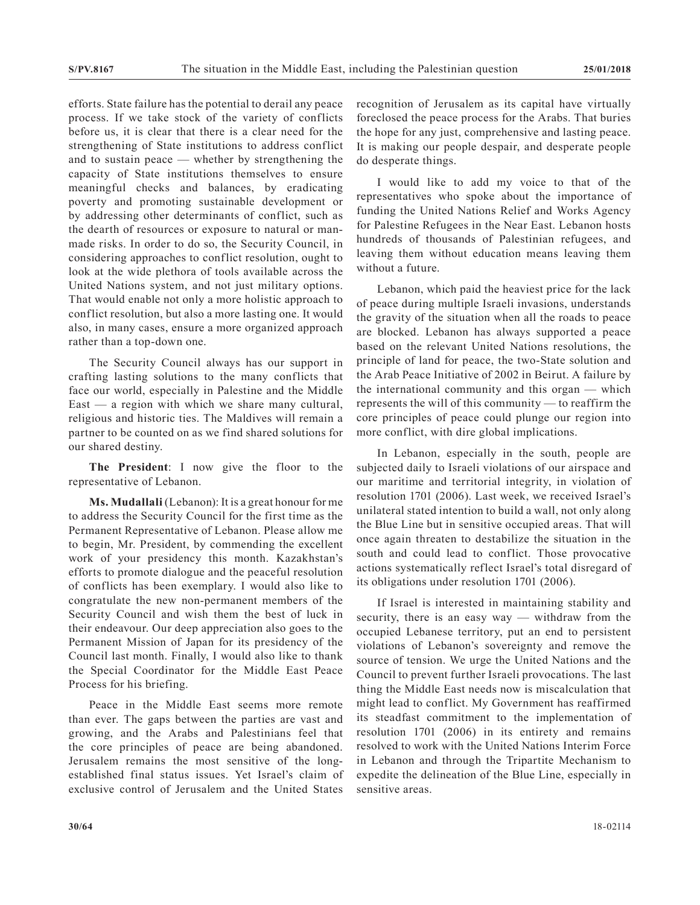efforts. State failure has the potential to derail any peace process. If we take stock of the variety of conflicts before us, it is clear that there is a clear need for the strengthening of State institutions to address conflict and to sustain peace — whether by strengthening the capacity of State institutions themselves to ensure meaningful checks and balances, by eradicating poverty and promoting sustainable development or by addressing other determinants of conflict, such as the dearth of resources or exposure to natural or manmade risks. In order to do so, the Security Council, in considering approaches to conflict resolution, ought to look at the wide plethora of tools available across the United Nations system, and not just military options. That would enable not only a more holistic approach to conflict resolution, but also a more lasting one. It would also, in many cases, ensure a more organized approach rather than a top-down one.

The Security Council always has our support in crafting lasting solutions to the many conflicts that face our world, especially in Palestine and the Middle  $East - a region with which we share many cultural,$ religious and historic ties. The Maldives will remain a partner to be counted on as we find shared solutions for our shared destiny.

**The President**: I now give the floor to the representative of Lebanon.

**Ms. Mudallali** (Lebanon): It is a great honour for me to address the Security Council for the first time as the Permanent Representative of Lebanon. Please allow me to begin, Mr. President, by commending the excellent work of your presidency this month. Kazakhstan's efforts to promote dialogue and the peaceful resolution of conflicts has been exemplary. I would also like to congratulate the new non-permanent members of the Security Council and wish them the best of luck in their endeavour. Our deep appreciation also goes to the Permanent Mission of Japan for its presidency of the Council last month. Finally, I would also like to thank the Special Coordinator for the Middle East Peace Process for his briefing.

Peace in the Middle East seems more remote than ever. The gaps between the parties are vast and growing, and the Arabs and Palestinians feel that the core principles of peace are being abandoned. Jerusalem remains the most sensitive of the longestablished final status issues. Yet Israel's claim of exclusive control of Jerusalem and the United States recognition of Jerusalem as its capital have virtually foreclosed the peace process for the Arabs. That buries the hope for any just, comprehensive and lasting peace. It is making our people despair, and desperate people do desperate things.

I would like to add my voice to that of the representatives who spoke about the importance of funding the United Nations Relief and Works Agency for Palestine Refugees in the Near East. Lebanon hosts hundreds of thousands of Palestinian refugees, and leaving them without education means leaving them without a future.

Lebanon, which paid the heaviest price for the lack of peace during multiple Israeli invasions, understands the gravity of the situation when all the roads to peace are blocked. Lebanon has always supported a peace based on the relevant United Nations resolutions, the principle of land for peace, the two-State solution and the Arab Peace Initiative of 2002 in Beirut. A failure by the international community and this organ — which represents the will of this community — to reaffirm the core principles of peace could plunge our region into more conflict, with dire global implications.

In Lebanon, especially in the south, people are subjected daily to Israeli violations of our airspace and our maritime and territorial integrity, in violation of resolution 1701 (2006). Last week, we received Israel's unilateral stated intention to build a wall, not only along the Blue Line but in sensitive occupied areas. That will once again threaten to destabilize the situation in the south and could lead to conflict. Those provocative actions systematically reflect Israel's total disregard of its obligations under resolution 1701 (2006).

If Israel is interested in maintaining stability and security, there is an easy way — withdraw from the occupied Lebanese territory, put an end to persistent violations of Lebanon's sovereignty and remove the source of tension. We urge the United Nations and the Council to prevent further Israeli provocations. The last thing the Middle East needs now is miscalculation that might lead to conflict. My Government has reaffirmed its steadfast commitment to the implementation of resolution 1701 (2006) in its entirety and remains resolved to work with the United Nations Interim Force in Lebanon and through the Tripartite Mechanism to expedite the delineation of the Blue Line, especially in sensitive areas.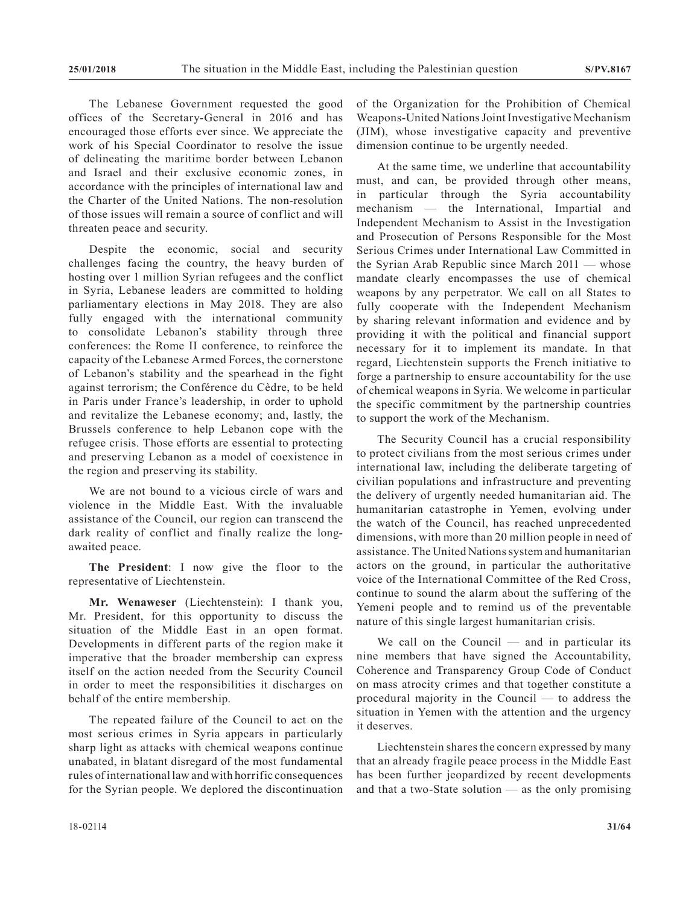The Lebanese Government requested the good offices of the Secretary-General in 2016 and has encouraged those efforts ever since. We appreciate the work of his Special Coordinator to resolve the issue of delineating the maritime border between Lebanon and Israel and their exclusive economic zones, in accordance with the principles of international law and the Charter of the United Nations. The non-resolution of those issues will remain a source of conflict and will threaten peace and security.

Despite the economic, social and security challenges facing the country, the heavy burden of hosting over 1 million Syrian refugees and the conflict in Syria, Lebanese leaders are committed to holding parliamentary elections in May 2018. They are also fully engaged with the international community to consolidate Lebanon's stability through three conferences: the Rome II conference, to reinforce the capacity of the Lebanese Armed Forces, the cornerstone of Lebanon's stability and the spearhead in the fight against terrorism; the Conférence du Cèdre, to be held in Paris under France's leadership, in order to uphold and revitalize the Lebanese economy; and, lastly, the Brussels conference to help Lebanon cope with the refugee crisis. Those efforts are essential to protecting and preserving Lebanon as a model of coexistence in the region and preserving its stability.

We are not bound to a vicious circle of wars and violence in the Middle East. With the invaluable assistance of the Council, our region can transcend the dark reality of conflict and finally realize the longawaited peace.

**The President**: I now give the floor to the representative of Liechtenstein.

**Mr. Wenaweser** (Liechtenstein): I thank you, Mr. President, for this opportunity to discuss the situation of the Middle East in an open format. Developments in different parts of the region make it imperative that the broader membership can express itself on the action needed from the Security Council in order to meet the responsibilities it discharges on behalf of the entire membership.

The repeated failure of the Council to act on the most serious crimes in Syria appears in particularly sharp light as attacks with chemical weapons continue unabated, in blatant disregard of the most fundamental rules of international law and with horrific consequences for the Syrian people. We deplored the discontinuation of the Organization for the Prohibition of Chemical Weapons-United Nations Joint Investigative Mechanism (JIM), whose investigative capacity and preventive dimension continue to be urgently needed.

At the same time, we underline that accountability must, and can, be provided through other means, in particular through the Syria accountability mechanism — the International, Impartial and Independent Mechanism to Assist in the Investigation and Prosecution of Persons Responsible for the Most Serious Crimes under International Law Committed in the Syrian Arab Republic since March 2011 — whose mandate clearly encompasses the use of chemical weapons by any perpetrator. We call on all States to fully cooperate with the Independent Mechanism by sharing relevant information and evidence and by providing it with the political and financial support necessary for it to implement its mandate. In that regard, Liechtenstein supports the French initiative to forge a partnership to ensure accountability for the use of chemical weapons in Syria. We welcome in particular the specific commitment by the partnership countries to support the work of the Mechanism.

The Security Council has a crucial responsibility to protect civilians from the most serious crimes under international law, including the deliberate targeting of civilian populations and infrastructure and preventing the delivery of urgently needed humanitarian aid. The humanitarian catastrophe in Yemen, evolving under the watch of the Council, has reached unprecedented dimensions, with more than 20 million people in need of assistance. The United Nations system and humanitarian actors on the ground, in particular the authoritative voice of the International Committee of the Red Cross, continue to sound the alarm about the suffering of the Yemeni people and to remind us of the preventable nature of this single largest humanitarian crisis.

We call on the Council — and in particular its nine members that have signed the Accountability, Coherence and Transparency Group Code of Conduct on mass atrocity crimes and that together constitute a procedural majority in the Council — to address the situation in Yemen with the attention and the urgency it deserves.

Liechtenstein shares the concern expressed by many that an already fragile peace process in the Middle East has been further jeopardized by recent developments and that a two-State solution — as the only promising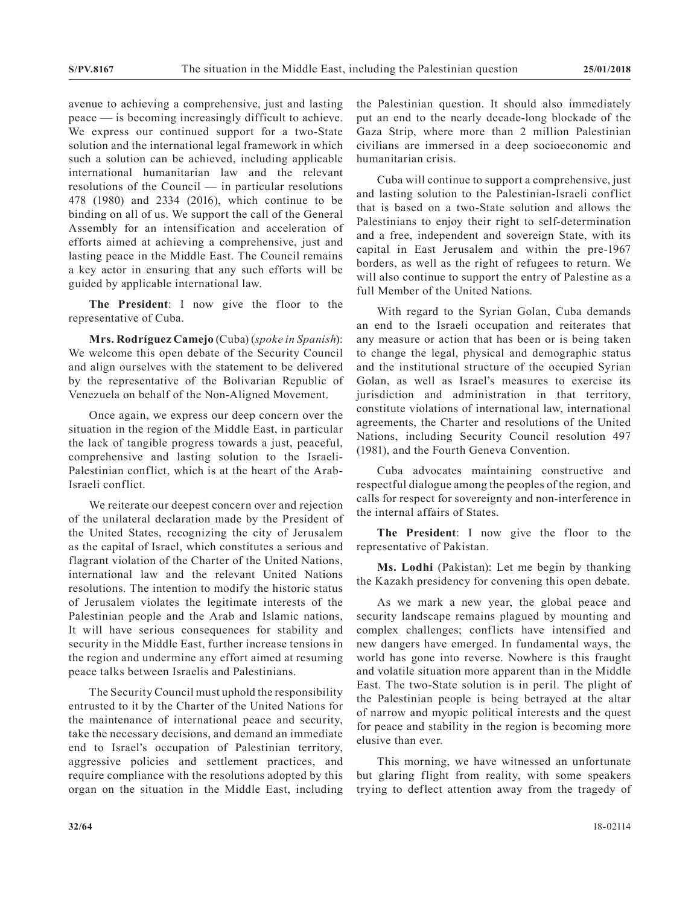avenue to achieving a comprehensive, just and lasting peace — is becoming increasingly difficult to achieve. We express our continued support for a two-State solution and the international legal framework in which such a solution can be achieved, including applicable international humanitarian law and the relevant resolutions of the Council — in particular resolutions 478 (1980) and 2334 (2016), which continue to be binding on all of us. We support the call of the General Assembly for an intensification and acceleration of efforts aimed at achieving a comprehensive, just and lasting peace in the Middle East. The Council remains a key actor in ensuring that any such efforts will be guided by applicable international law.

**The President**: I now give the floor to the representative of Cuba.

**Mrs. Rodríguez Camejo** (Cuba) (*spoke in Spanish*): We welcome this open debate of the Security Council and align ourselves with the statement to be delivered by the representative of the Bolivarian Republic of Venezuela on behalf of the Non-Aligned Movement.

Once again, we express our deep concern over the situation in the region of the Middle East, in particular the lack of tangible progress towards a just, peaceful, comprehensive and lasting solution to the Israeli-Palestinian conflict, which is at the heart of the Arab-Israeli conflict.

We reiterate our deepest concern over and rejection of the unilateral declaration made by the President of the United States, recognizing the city of Jerusalem as the capital of Israel, which constitutes a serious and flagrant violation of the Charter of the United Nations, international law and the relevant United Nations resolutions. The intention to modify the historic status of Jerusalem violates the legitimate interests of the Palestinian people and the Arab and Islamic nations, It will have serious consequences for stability and security in the Middle East, further increase tensions in the region and undermine any effort aimed at resuming peace talks between Israelis and Palestinians.

The Security Council must uphold the responsibility entrusted to it by the Charter of the United Nations for the maintenance of international peace and security, take the necessary decisions, and demand an immediate end to Israel's occupation of Palestinian territory, aggressive policies and settlement practices, and require compliance with the resolutions adopted by this organ on the situation in the Middle East, including

the Palestinian question. It should also immediately put an end to the nearly decade-long blockade of the Gaza Strip, where more than 2 million Palestinian civilians are immersed in a deep socioeconomic and humanitarian crisis.

Cuba will continue to support a comprehensive, just and lasting solution to the Palestinian-Israeli conflict that is based on a two-State solution and allows the Palestinians to enjoy their right to self-determination and a free, independent and sovereign State, with its capital in East Jerusalem and within the pre-1967 borders, as well as the right of refugees to return. We will also continue to support the entry of Palestine as a full Member of the United Nations.

With regard to the Syrian Golan, Cuba demands an end to the Israeli occupation and reiterates that any measure or action that has been or is being taken to change the legal, physical and demographic status and the institutional structure of the occupied Syrian Golan, as well as Israel's measures to exercise its jurisdiction and administration in that territory, constitute violations of international law, international agreements, the Charter and resolutions of the United Nations, including Security Council resolution 497 (1981), and the Fourth Geneva Convention.

Cuba advocates maintaining constructive and respectful dialogue among the peoples of the region, and calls for respect for sovereignty and non-interference in the internal affairs of States.

**The President**: I now give the floor to the representative of Pakistan.

**Ms. Lodhi** (Pakistan): Let me begin by thanking the Kazakh presidency for convening this open debate.

As we mark a new year, the global peace and security landscape remains plagued by mounting and complex challenges; conflicts have intensified and new dangers have emerged. In fundamental ways, the world has gone into reverse. Nowhere is this fraught and volatile situation more apparent than in the Middle East. The two-State solution is in peril. The plight of the Palestinian people is being betrayed at the altar of narrow and myopic political interests and the quest for peace and stability in the region is becoming more elusive than ever.

This morning, we have witnessed an unfortunate but glaring flight from reality, with some speakers trying to deflect attention away from the tragedy of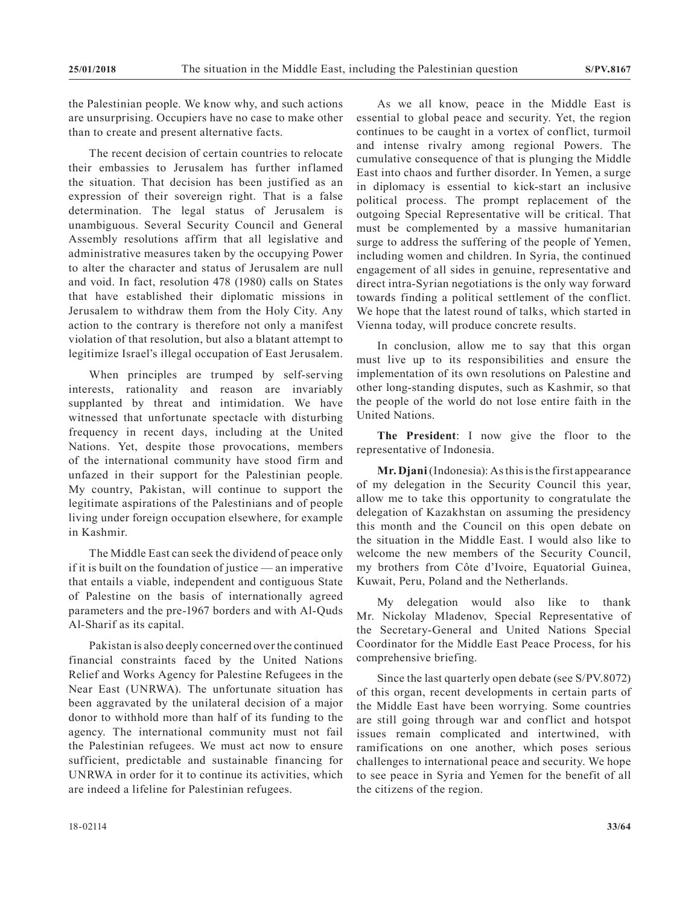the Palestinian people. We know why, and such actions are unsurprising. Occupiers have no case to make other than to create and present alternative facts.

The recent decision of certain countries to relocate their embassies to Jerusalem has further inflamed the situation. That decision has been justified as an expression of their sovereign right. That is a false determination. The legal status of Jerusalem is unambiguous. Several Security Council and General Assembly resolutions affirm that all legislative and administrative measures taken by the occupying Power to alter the character and status of Jerusalem are null and void. In fact, resolution 478 (1980) calls on States that have established their diplomatic missions in Jerusalem to withdraw them from the Holy City. Any action to the contrary is therefore not only a manifest violation of that resolution, but also a blatant attempt to legitimize Israel's illegal occupation of East Jerusalem.

When principles are trumped by self-serving interests, rationality and reason are invariably supplanted by threat and intimidation. We have witnessed that unfortunate spectacle with disturbing frequency in recent days, including at the United Nations. Yet, despite those provocations, members of the international community have stood firm and unfazed in their support for the Palestinian people. My country, Pakistan, will continue to support the legitimate aspirations of the Palestinians and of people living under foreign occupation elsewhere, for example in Kashmir.

The Middle East can seek the dividend of peace only if it is built on the foundation of justice — an imperative that entails a viable, independent and contiguous State of Palestine on the basis of internationally agreed parameters and the pre-1967 borders and with Al-Quds Al-Sharif as its capital.

Pakistan is also deeply concerned over the continued financial constraints faced by the United Nations Relief and Works Agency for Palestine Refugees in the Near East (UNRWA). The unfortunate situation has been aggravated by the unilateral decision of a major donor to withhold more than half of its funding to the agency. The international community must not fail the Palestinian refugees. We must act now to ensure sufficient, predictable and sustainable financing for UNRWA in order for it to continue its activities, which are indeed a lifeline for Palestinian refugees.

As we all know, peace in the Middle East is essential to global peace and security. Yet, the region continues to be caught in a vortex of conflict, turmoil and intense rivalry among regional Powers. The cumulative consequence of that is plunging the Middle East into chaos and further disorder. In Yemen, a surge in diplomacy is essential to kick-start an inclusive political process. The prompt replacement of the outgoing Special Representative will be critical. That must be complemented by a massive humanitarian surge to address the suffering of the people of Yemen, including women and children. In Syria, the continued engagement of all sides in genuine, representative and direct intra-Syrian negotiations is the only way forward towards finding a political settlement of the conflict. We hope that the latest round of talks, which started in Vienna today, will produce concrete results.

In conclusion, allow me to say that this organ must live up to its responsibilities and ensure the implementation of its own resolutions on Palestine and other long-standing disputes, such as Kashmir, so that the people of the world do not lose entire faith in the United Nations.

**The President**: I now give the floor to the representative of Indonesia.

**Mr. Djani** (Indonesia): As this is the first appearance of my delegation in the Security Council this year, allow me to take this opportunity to congratulate the delegation of Kazakhstan on assuming the presidency this month and the Council on this open debate on the situation in the Middle East. I would also like to welcome the new members of the Security Council, my brothers from Côte d'Ivoire, Equatorial Guinea, Kuwait, Peru, Poland and the Netherlands.

My delegation would also like to thank Mr. Nickolay Mladenov, Special Representative of the Secretary-General and United Nations Special Coordinator for the Middle East Peace Process, for his comprehensive briefing.

Since the last quarterly open debate (see S/PV.8072) of this organ, recent developments in certain parts of the Middle East have been worrying. Some countries are still going through war and conflict and hotspot issues remain complicated and intertwined, with ramifications on one another, which poses serious challenges to international peace and security. We hope to see peace in Syria and Yemen for the benefit of all the citizens of the region.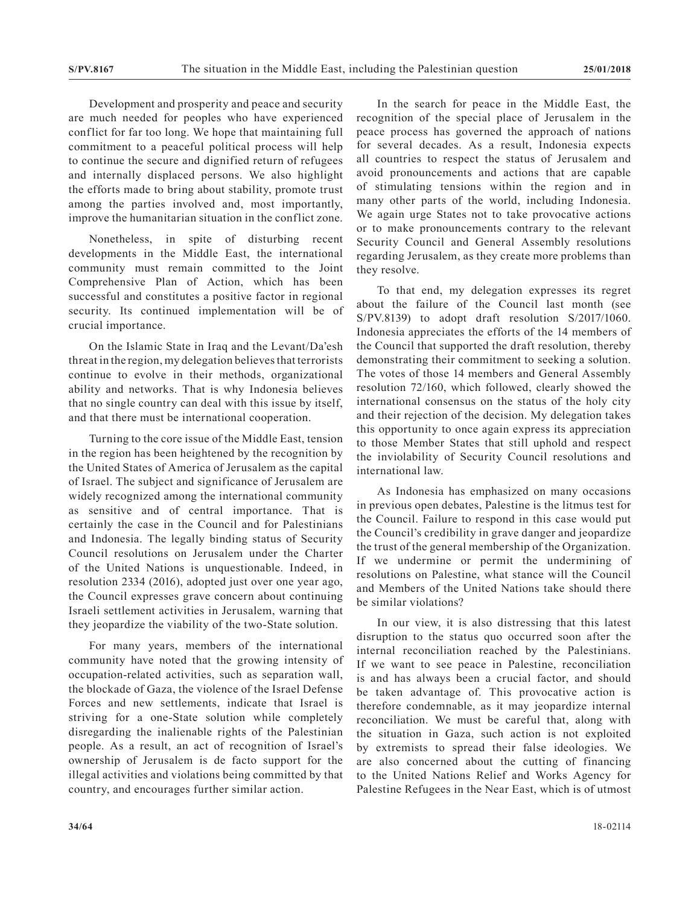Development and prosperity and peace and security are much needed for peoples who have experienced conflict for far too long. We hope that maintaining full commitment to a peaceful political process will help to continue the secure and dignified return of refugees and internally displaced persons. We also highlight the efforts made to bring about stability, promote trust among the parties involved and, most importantly, improve the humanitarian situation in the conflict zone.

Nonetheless, in spite of disturbing recent developments in the Middle East, the international community must remain committed to the Joint Comprehensive Plan of Action, which has been successful and constitutes a positive factor in regional security. Its continued implementation will be of crucial importance.

On the Islamic State in Iraq and the Levant/Da'esh threat in the region, my delegation believes that terrorists continue to evolve in their methods, organizational ability and networks. That is why Indonesia believes that no single country can deal with this issue by itself, and that there must be international cooperation.

Turning to the core issue of the Middle East, tension in the region has been heightened by the recognition by the United States of America of Jerusalem as the capital of Israel. The subject and significance of Jerusalem are widely recognized among the international community as sensitive and of central importance. That is certainly the case in the Council and for Palestinians and Indonesia. The legally binding status of Security Council resolutions on Jerusalem under the Charter of the United Nations is unquestionable. Indeed, in resolution 2334 (2016), adopted just over one year ago, the Council expresses grave concern about continuing Israeli settlement activities in Jerusalem, warning that they jeopardize the viability of the two-State solution.

For many years, members of the international community have noted that the growing intensity of occupation-related activities, such as separation wall, the blockade of Gaza, the violence of the Israel Defense Forces and new settlements, indicate that Israel is striving for a one-State solution while completely disregarding the inalienable rights of the Palestinian people. As a result, an act of recognition of Israel's ownership of Jerusalem is de facto support for the illegal activities and violations being committed by that country, and encourages further similar action.

In the search for peace in the Middle East, the recognition of the special place of Jerusalem in the peace process has governed the approach of nations for several decades. As a result, Indonesia expects all countries to respect the status of Jerusalem and avoid pronouncements and actions that are capable of stimulating tensions within the region and in many other parts of the world, including Indonesia. We again urge States not to take provocative actions or to make pronouncements contrary to the relevant Security Council and General Assembly resolutions regarding Jerusalem, as they create more problems than they resolve.

To that end, my delegation expresses its regret about the failure of the Council last month (see S/PV.8139) to adopt draft resolution S/2017/1060. Indonesia appreciates the efforts of the 14 members of the Council that supported the draft resolution, thereby demonstrating their commitment to seeking a solution. The votes of those 14 members and General Assembly resolution 72/160, which followed, clearly showed the international consensus on the status of the holy city and their rejection of the decision. My delegation takes this opportunity to once again express its appreciation to those Member States that still uphold and respect the inviolability of Security Council resolutions and international law.

As Indonesia has emphasized on many occasions in previous open debates, Palestine is the litmus test for the Council. Failure to respond in this case would put the Council's credibility in grave danger and jeopardize the trust of the general membership of the Organization. If we undermine or permit the undermining of resolutions on Palestine, what stance will the Council and Members of the United Nations take should there be similar violations?

In our view, it is also distressing that this latest disruption to the status quo occurred soon after the internal reconciliation reached by the Palestinians. If we want to see peace in Palestine, reconciliation is and has always been a crucial factor, and should be taken advantage of. This provocative action is therefore condemnable, as it may jeopardize internal reconciliation. We must be careful that, along with the situation in Gaza, such action is not exploited by extremists to spread their false ideologies. We are also concerned about the cutting of financing to the United Nations Relief and Works Agency for Palestine Refugees in the Near East, which is of utmost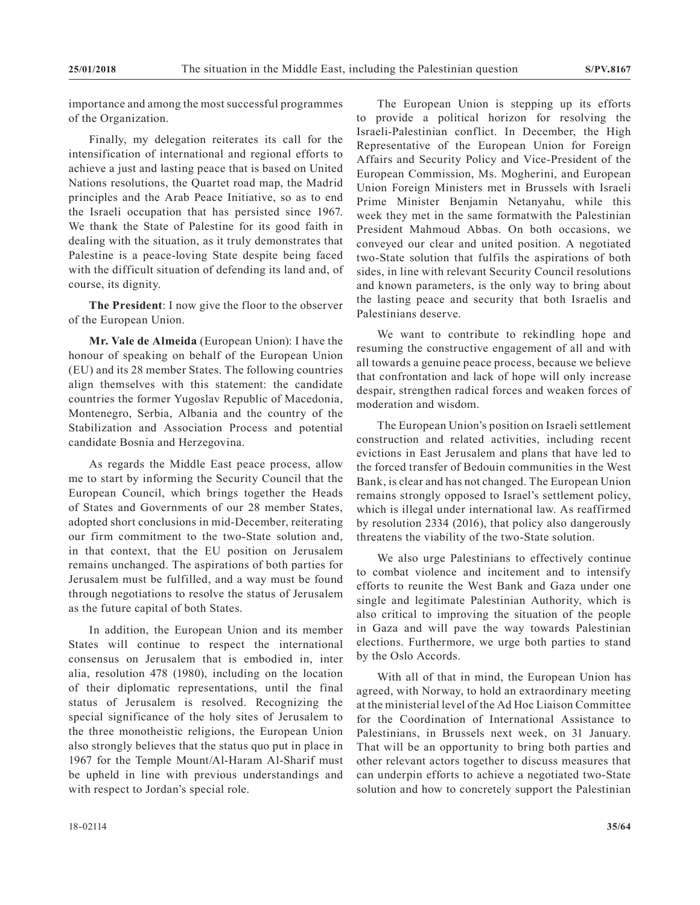importance and among the most successful programmes of the Organization.

Finally, my delegation reiterates its call for the intensification of international and regional efforts to achieve a just and lasting peace that is based on United Nations resolutions, the Quartet road map, the Madrid principles and the Arab Peace Initiative, so as to end the Israeli occupation that has persisted since 1967. We thank the State of Palestine for its good faith in dealing with the situation, as it truly demonstrates that Palestine is a peace-loving State despite being faced with the difficult situation of defending its land and, of course, its dignity.

**The President**: I now give the floor to the observer of the European Union.

**Mr. Vale de Almeida** (European Union): I have the honour of speaking on behalf of the European Union (EU) and its 28 member States. The following countries align themselves with this statement: the candidate countries the former Yugoslav Republic of Macedonia, Montenegro, Serbia, Albania and the country of the Stabilization and Association Process and potential candidate Bosnia and Herzegovina.

As regards the Middle East peace process, allow me to start by informing the Security Council that the European Council, which brings together the Heads of States and Governments of our 28 member States, adopted short conclusions in mid-December, reiterating our firm commitment to the two-State solution and, in that context, that the EU position on Jerusalem remains unchanged. The aspirations of both parties for Jerusalem must be fulfilled, and a way must be found through negotiations to resolve the status of Jerusalem as the future capital of both States.

In addition, the European Union and its member States will continue to respect the international consensus on Jerusalem that is embodied in, inter alia, resolution 478 (1980), including on the location of their diplomatic representations, until the final status of Jerusalem is resolved. Recognizing the special significance of the holy sites of Jerusalem to the three monotheistic religions, the European Union also strongly believes that the status quo put in place in 1967 for the Temple Mount/Al-Haram Al-Sharif must be upheld in line with previous understandings and with respect to Jordan's special role.

The European Union is stepping up its efforts to provide a political horizon for resolving the Israeli-Palestinian conflict. In December, the High Representative of the European Union for Foreign Affairs and Security Policy and Vice-President of the European Commission, Ms. Mogherini, and European Union Foreign Ministers met in Brussels with Israeli Prime Minister Benjamin Netanyahu, while this week they met in the same formatwith the Palestinian President Mahmoud Abbas. On both occasions, we conveyed our clear and united position. A negotiated two-State solution that fulfils the aspirations of both sides, in line with relevant Security Council resolutions and known parameters, is the only way to bring about the lasting peace and security that both Israelis and Palestinians deserve.

We want to contribute to rekindling hope and resuming the constructive engagement of all and with all towards a genuine peace process, because we believe that confrontation and lack of hope will only increase despair, strengthen radical forces and weaken forces of moderation and wisdom.

The European Union's position on Israeli settlement construction and related activities, including recent evictions in East Jerusalem and plans that have led to the forced transfer of Bedouin communities in the West Bank, is clear and has not changed. The European Union remains strongly opposed to Israel's settlement policy, which is illegal under international law. As reaffirmed by resolution 2334 (2016), that policy also dangerously threatens the viability of the two-State solution.

We also urge Palestinians to effectively continue to combat violence and incitement and to intensify efforts to reunite the West Bank and Gaza under one single and legitimate Palestinian Authority, which is also critical to improving the situation of the people in Gaza and will pave the way towards Palestinian elections. Furthermore, we urge both parties to stand by the Oslo Accords.

With all of that in mind, the European Union has agreed, with Norway, to hold an extraordinary meeting at the ministerial level of the Ad Hoc Liaison Committee for the Coordination of International Assistance to Palestinians, in Brussels next week, on 31 January. That will be an opportunity to bring both parties and other relevant actors together to discuss measures that can underpin efforts to achieve a negotiated two-State solution and how to concretely support the Palestinian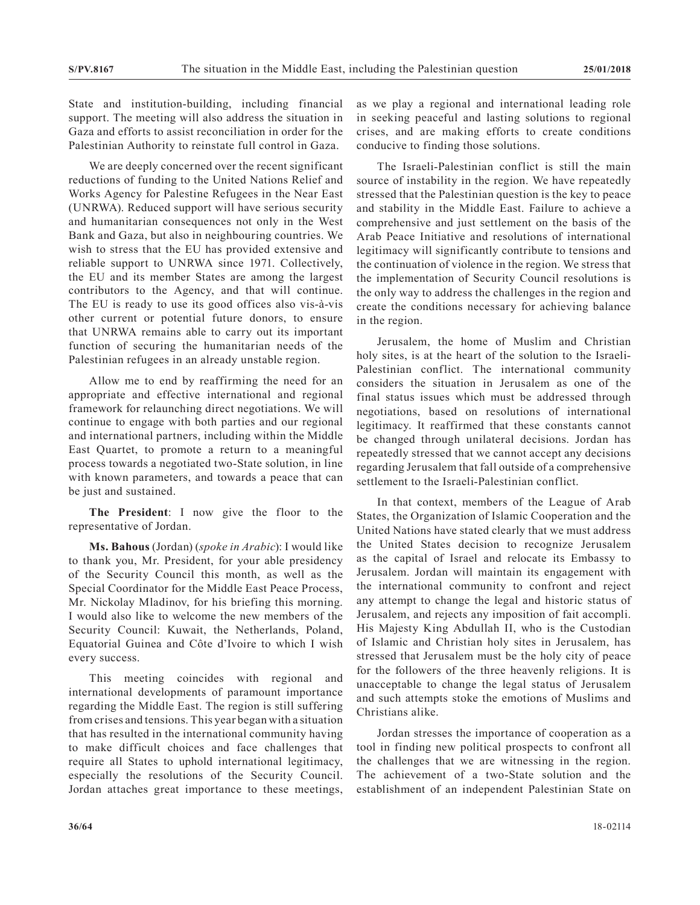State and institution-building, including financial support. The meeting will also address the situation in Gaza and efforts to assist reconciliation in order for the Palestinian Authority to reinstate full control in Gaza.

We are deeply concerned over the recent significant reductions of funding to the United Nations Relief and Works Agency for Palestine Refugees in the Near East (UNRWA). Reduced support will have serious security and humanitarian consequences not only in the West Bank and Gaza, but also in neighbouring countries. We wish to stress that the EU has provided extensive and reliable support to UNRWA since 1971. Collectively, the EU and its member States are among the largest contributors to the Agency, and that will continue. The EU is ready to use its good offices also vis-à-vis other current or potential future donors, to ensure that UNRWA remains able to carry out its important function of securing the humanitarian needs of the Palestinian refugees in an already unstable region.

Allow me to end by reaffirming the need for an appropriate and effective international and regional framework for relaunching direct negotiations. We will continue to engage with both parties and our regional and international partners, including within the Middle East Quartet, to promote a return to a meaningful process towards a negotiated two-State solution, in line with known parameters, and towards a peace that can be just and sustained.

**The President**: I now give the floor to the representative of Jordan.

**Ms. Bahous** (Jordan) (*spoke in Arabic*): I would like to thank you, Mr. President, for your able presidency of the Security Council this month, as well as the Special Coordinator for the Middle East Peace Process, Mr. Nickolay Mladinov, for his briefing this morning. I would also like to welcome the new members of the Security Council: Kuwait, the Netherlands, Poland, Equatorial Guinea and Côte d'Ivoire to which I wish every success.

This meeting coincides with regional and international developments of paramount importance regarding the Middle East. The region is still suffering from crises and tensions. This year began with a situation that has resulted in the international community having to make difficult choices and face challenges that require all States to uphold international legitimacy, especially the resolutions of the Security Council. Jordan attaches great importance to these meetings,

as we play a regional and international leading role in seeking peaceful and lasting solutions to regional crises, and are making efforts to create conditions conducive to finding those solutions.

The Israeli-Palestinian conflict is still the main source of instability in the region. We have repeatedly stressed that the Palestinian question is the key to peace and stability in the Middle East. Failure to achieve a comprehensive and just settlement on the basis of the Arab Peace Initiative and resolutions of international legitimacy will significantly contribute to tensions and the continuation of violence in the region. We stress that the implementation of Security Council resolutions is the only way to address the challenges in the region and create the conditions necessary for achieving balance in the region.

Jerusalem, the home of Muslim and Christian holy sites, is at the heart of the solution to the Israeli-Palestinian conflict. The international community considers the situation in Jerusalem as one of the final status issues which must be addressed through negotiations, based on resolutions of international legitimacy. It reaffirmed that these constants cannot be changed through unilateral decisions. Jordan has repeatedly stressed that we cannot accept any decisions regarding Jerusalem that fall outside of a comprehensive settlement to the Israeli-Palestinian conflict.

In that context, members of the League of Arab States, the Organization of Islamic Cooperation and the United Nations have stated clearly that we must address the United States decision to recognize Jerusalem as the capital of Israel and relocate its Embassy to Jerusalem. Jordan will maintain its engagement with the international community to confront and reject any attempt to change the legal and historic status of Jerusalem, and rejects any imposition of fait accompli. His Majesty King Abdullah II, who is the Custodian of Islamic and Christian holy sites in Jerusalem, has stressed that Jerusalem must be the holy city of peace for the followers of the three heavenly religions. It is unacceptable to change the legal status of Jerusalem and such attempts stoke the emotions of Muslims and Christians alike.

Jordan stresses the importance of cooperation as a tool in finding new political prospects to confront all the challenges that we are witnessing in the region. The achievement of a two-State solution and the establishment of an independent Palestinian State on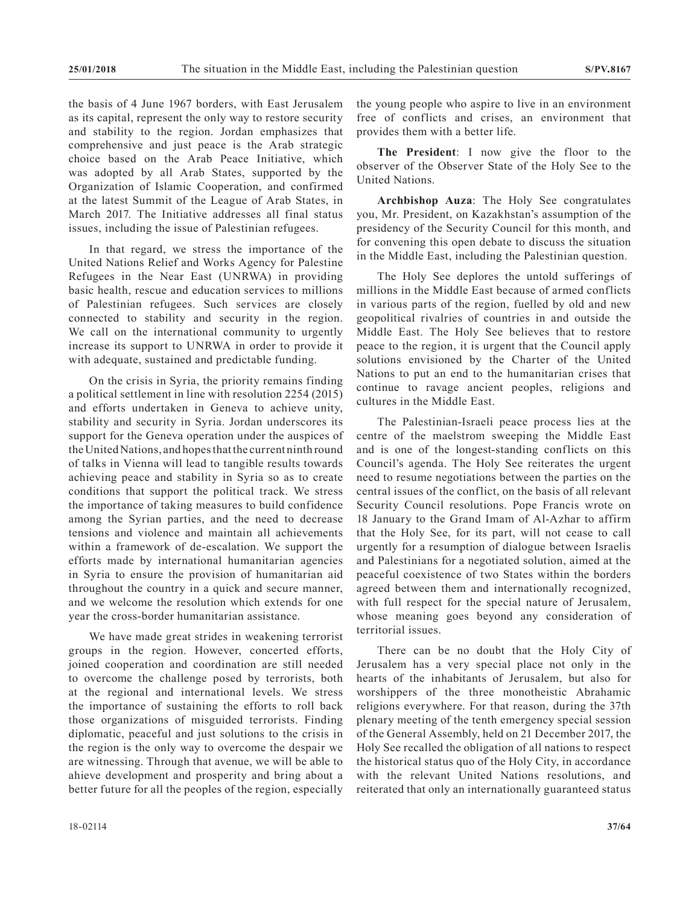the basis of 4 June 1967 borders, with East Jerusalem as its capital, represent the only way to restore security and stability to the region. Jordan emphasizes that comprehensive and just peace is the Arab strategic choice based on the Arab Peace Initiative, which was adopted by all Arab States, supported by the Organization of Islamic Cooperation, and confirmed at the latest Summit of the League of Arab States, in March 2017. The Initiative addresses all final status issues, including the issue of Palestinian refugees.

In that regard, we stress the importance of the United Nations Relief and Works Agency for Palestine Refugees in the Near East (UNRWA) in providing basic health, rescue and education services to millions of Palestinian refugees. Such services are closely connected to stability and security in the region. We call on the international community to urgently increase its support to UNRWA in order to provide it with adequate, sustained and predictable funding.

On the crisis in Syria, the priority remains finding a political settlement in line with resolution 2254 (2015) and efforts undertaken in Geneva to achieve unity, stability and security in Syria. Jordan underscores its support for the Geneva operation under the auspices of the United Nations, and hopes that the current ninth round of talks in Vienna will lead to tangible results towards achieving peace and stability in Syria so as to create conditions that support the political track. We stress the importance of taking measures to build confidence among the Syrian parties, and the need to decrease tensions and violence and maintain all achievements within a framework of de-escalation. We support the efforts made by international humanitarian agencies in Syria to ensure the provision of humanitarian aid throughout the country in a quick and secure manner, and we welcome the resolution which extends for one year the cross-border humanitarian assistance.

We have made great strides in weakening terrorist groups in the region. However, concerted efforts, joined cooperation and coordination are still needed to overcome the challenge posed by terrorists, both at the regional and international levels. We stress the importance of sustaining the efforts to roll back those organizations of misguided terrorists. Finding diplomatic, peaceful and just solutions to the crisis in the region is the only way to overcome the despair we are witnessing. Through that avenue, we will be able to ahieve development and prosperity and bring about a better future for all the peoples of the region, especially

the young people who aspire to live in an environment free of conflicts and crises, an environment that provides them with a better life.

**The President**: I now give the floor to the observer of the Observer State of the Holy See to the United Nations.

**Archbishop Auza**: The Holy See congratulates you, Mr. President, on Kazakhstan's assumption of the presidency of the Security Council for this month, and for convening this open debate to discuss the situation in the Middle East, including the Palestinian question.

The Holy See deplores the untold sufferings of millions in the Middle East because of armed conflicts in various parts of the region, fuelled by old and new geopolitical rivalries of countries in and outside the Middle East. The Holy See believes that to restore peace to the region, it is urgent that the Council apply solutions envisioned by the Charter of the United Nations to put an end to the humanitarian crises that continue to ravage ancient peoples, religions and cultures in the Middle East.

The Palestinian-Israeli peace process lies at the centre of the maelstrom sweeping the Middle East and is one of the longest-standing conflicts on this Council's agenda. The Holy See reiterates the urgent need to resume negotiations between the parties on the central issues of the conflict, on the basis of all relevant Security Council resolutions. Pope Francis wrote on 18 January to the Grand Imam of Al-Azhar to affirm that the Holy See, for its part, will not cease to call urgently for a resumption of dialogue between Israelis and Palestinians for a negotiated solution, aimed at the peaceful coexistence of two States within the borders agreed between them and internationally recognized, with full respect for the special nature of Jerusalem, whose meaning goes beyond any consideration of territorial issues.

There can be no doubt that the Holy City of Jerusalem has a very special place not only in the hearts of the inhabitants of Jerusalem, but also for worshippers of the three monotheistic Abrahamic religions everywhere. For that reason, during the 37th plenary meeting of the tenth emergency special session of the General Assembly, held on 21 December 2017, the Holy See recalled the obligation of all nations to respect the historical status quo of the Holy City, in accordance with the relevant United Nations resolutions, and reiterated that only an internationally guaranteed status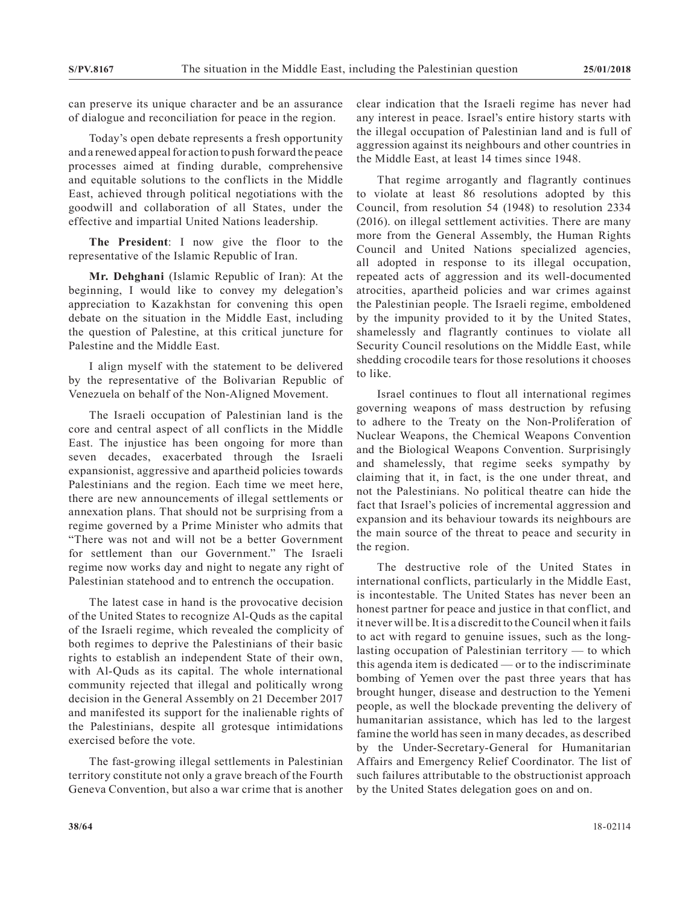can preserve its unique character and be an assurance of dialogue and reconciliation for peace in the region.

Today's open debate represents a fresh opportunity and a renewed appeal for action to push forward the peace processes aimed at finding durable, comprehensive and equitable solutions to the conflicts in the Middle East, achieved through political negotiations with the goodwill and collaboration of all States, under the effective and impartial United Nations leadership.

**The President**: I now give the floor to the representative of the Islamic Republic of Iran.

**Mr. Dehghani** (Islamic Republic of Iran): At the beginning, I would like to convey my delegation's appreciation to Kazakhstan for convening this open debate on the situation in the Middle East, including the question of Palestine, at this critical juncture for Palestine and the Middle East.

I align myself with the statement to be delivered by the representative of the Bolivarian Republic of Venezuela on behalf of the Non-Aligned Movement.

The Israeli occupation of Palestinian land is the core and central aspect of all conflicts in the Middle East. The injustice has been ongoing for more than seven decades, exacerbated through the Israeli expansionist, aggressive and apartheid policies towards Palestinians and the region. Each time we meet here, there are new announcements of illegal settlements or annexation plans. That should not be surprising from a regime governed by a Prime Minister who admits that "There was not and will not be a better Government for settlement than our Government." The Israeli regime now works day and night to negate any right of Palestinian statehood and to entrench the occupation.

The latest case in hand is the provocative decision of the United States to recognize Al-Quds as the capital of the Israeli regime, which revealed the complicity of both regimes to deprive the Palestinians of their basic rights to establish an independent State of their own, with Al-Quds as its capital. The whole international community rejected that illegal and politically wrong decision in the General Assembly on 21 December 2017 and manifested its support for the inalienable rights of the Palestinians, despite all grotesque intimidations exercised before the vote.

The fast-growing illegal settlements in Palestinian territory constitute not only a grave breach of the Fourth Geneva Convention, but also a war crime that is another clear indication that the Israeli regime has never had any interest in peace. Israel's entire history starts with the illegal occupation of Palestinian land and is full of aggression against its neighbours and other countries in the Middle East, at least 14 times since 1948.

That regime arrogantly and flagrantly continues to violate at least 86 resolutions adopted by this Council, from resolution 54 (1948) to resolution 2334 (2016). on illegal settlement activities. There are many more from the General Assembly, the Human Rights Council and United Nations specialized agencies, all adopted in response to its illegal occupation, repeated acts of aggression and its well-documented atrocities, apartheid policies and war crimes against the Palestinian people. The Israeli regime, emboldened by the impunity provided to it by the United States, shamelessly and flagrantly continues to violate all Security Council resolutions on the Middle East, while shedding crocodile tears for those resolutions it chooses to like.

Israel continues to flout all international regimes governing weapons of mass destruction by refusing to adhere to the Treaty on the Non-Proliferation of Nuclear Weapons, the Chemical Weapons Convention and the Biological Weapons Convention. Surprisingly and shamelessly, that regime seeks sympathy by claiming that it, in fact, is the one under threat, and not the Palestinians. No political theatre can hide the fact that Israel's policies of incremental aggression and expansion and its behaviour towards its neighbours are the main source of the threat to peace and security in the region.

The destructive role of the United States in international conflicts, particularly in the Middle East, is incontestable. The United States has never been an honest partner for peace and justice in that conflict, and it never will be. It is a discredit to the Council when it fails to act with regard to genuine issues, such as the longlasting occupation of Palestinian territory — to which this agenda item is dedicated — or to the indiscriminate bombing of Yemen over the past three years that has brought hunger, disease and destruction to the Yemeni people, as well the blockade preventing the delivery of humanitarian assistance, which has led to the largest famine the world has seen in many decades, as described by the Under-Secretary-General for Humanitarian Affairs and Emergency Relief Coordinator. The list of such failures attributable to the obstructionist approach by the United States delegation goes on and on.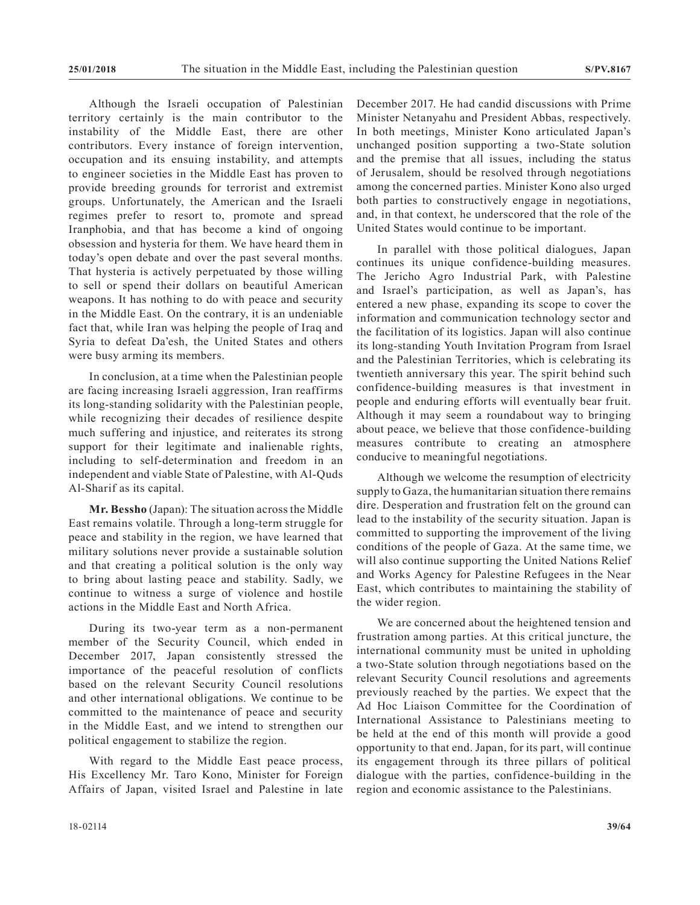Although the Israeli occupation of Palestinian territory certainly is the main contributor to the instability of the Middle East, there are other contributors. Every instance of foreign intervention, occupation and its ensuing instability, and attempts to engineer societies in the Middle East has proven to provide breeding grounds for terrorist and extremist groups. Unfortunately, the American and the Israeli regimes prefer to resort to, promote and spread Iranphobia, and that has become a kind of ongoing obsession and hysteria for them. We have heard them in today's open debate and over the past several months. That hysteria is actively perpetuated by those willing to sell or spend their dollars on beautiful American weapons. It has nothing to do with peace and security in the Middle East. On the contrary, it is an undeniable fact that, while Iran was helping the people of Iraq and Syria to defeat Da'esh, the United States and others were busy arming its members.

In conclusion, at a time when the Palestinian people are facing increasing Israeli aggression, Iran reaffirms its long-standing solidarity with the Palestinian people, while recognizing their decades of resilience despite much suffering and injustice, and reiterates its strong support for their legitimate and inalienable rights, including to self-determination and freedom in an independent and viable State of Palestine, with Al-Quds Al-Sharif as its capital.

**Mr. Bessho** (Japan): The situation across the Middle East remains volatile. Through a long-term struggle for peace and stability in the region, we have learned that military solutions never provide a sustainable solution and that creating a political solution is the only way to bring about lasting peace and stability. Sadly, we continue to witness a surge of violence and hostile actions in the Middle East and North Africa.

During its two-year term as a non-permanent member of the Security Council, which ended in December 2017, Japan consistently stressed the importance of the peaceful resolution of conflicts based on the relevant Security Council resolutions and other international obligations. We continue to be committed to the maintenance of peace and security in the Middle East, and we intend to strengthen our political engagement to stabilize the region.

With regard to the Middle East peace process, His Excellency Mr. Taro Kono, Minister for Foreign Affairs of Japan, visited Israel and Palestine in late December 2017. He had candid discussions with Prime Minister Netanyahu and President Abbas, respectively. In both meetings, Minister Kono articulated Japan's unchanged position supporting a two-State solution and the premise that all issues, including the status of Jerusalem, should be resolved through negotiations among the concerned parties. Minister Kono also urged both parties to constructively engage in negotiations, and, in that context, he underscored that the role of the United States would continue to be important.

In parallel with those political dialogues, Japan continues its unique confidence-building measures. The Jericho Agro Industrial Park, with Palestine and Israel's participation, as well as Japan's, has entered a new phase, expanding its scope to cover the information and communication technology sector and the facilitation of its logistics. Japan will also continue its long-standing Youth Invitation Program from Israel and the Palestinian Territories, which is celebrating its twentieth anniversary this year. The spirit behind such confidence-building measures is that investment in people and enduring efforts will eventually bear fruit. Although it may seem a roundabout way to bringing about peace, we believe that those confidence-building measures contribute to creating an atmosphere conducive to meaningful negotiations.

Although we welcome the resumption of electricity supply to Gaza, the humanitarian situation there remains dire. Desperation and frustration felt on the ground can lead to the instability of the security situation. Japan is committed to supporting the improvement of the living conditions of the people of Gaza. At the same time, we will also continue supporting the United Nations Relief and Works Agency for Palestine Refugees in the Near East, which contributes to maintaining the stability of the wider region.

We are concerned about the heightened tension and frustration among parties. At this critical juncture, the international community must be united in upholding a two-State solution through negotiations based on the relevant Security Council resolutions and agreements previously reached by the parties. We expect that the Ad Hoc Liaison Committee for the Coordination of International Assistance to Palestinians meeting to be held at the end of this month will provide a good opportunity to that end. Japan, for its part, will continue its engagement through its three pillars of political dialogue with the parties, confidence-building in the region and economic assistance to the Palestinians.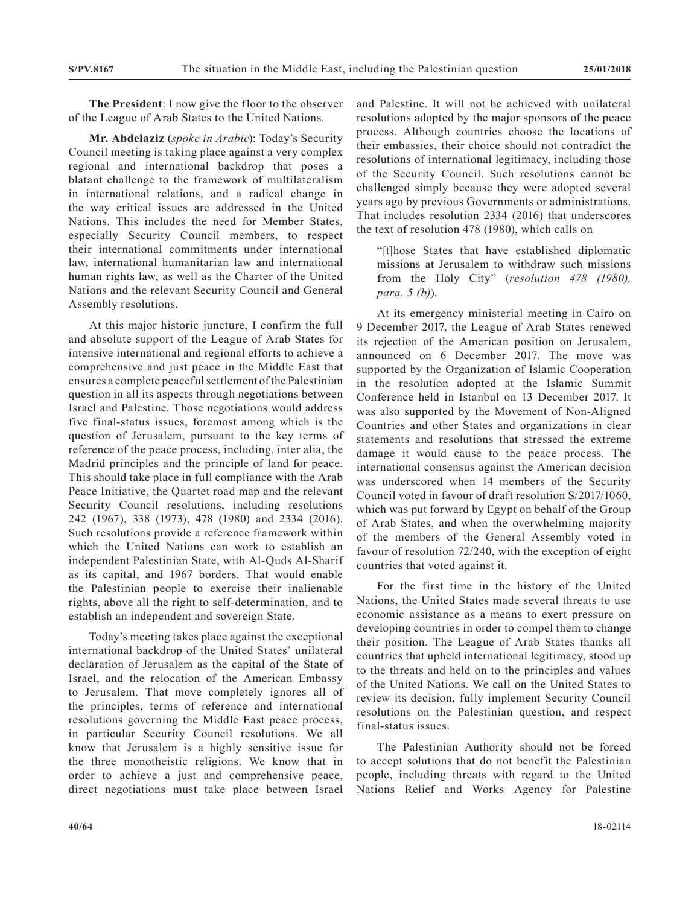**The President**: I now give the floor to the observer of the League of Arab States to the United Nations.

**Mr. Abdelaziz** (*spoke in Arabic*): Today's Security Council meeting is taking place against a very complex regional and international backdrop that poses a blatant challenge to the framework of multilateralism in international relations, and a radical change in the way critical issues are addressed in the United Nations. This includes the need for Member States, especially Security Council members, to respect their international commitments under international law, international humanitarian law and international human rights law, as well as the Charter of the United Nations and the relevant Security Council and General Assembly resolutions.

At this major historic juncture, I confirm the full and absolute support of the League of Arab States for intensive international and regional efforts to achieve a comprehensive and just peace in the Middle East that ensures a complete peaceful settlement of the Palestinian question in all its aspects through negotiations between Israel and Palestine. Those negotiations would address five final-status issues, foremost among which is the question of Jerusalem, pursuant to the key terms of reference of the peace process, including, inter alia, the Madrid principles and the principle of land for peace. This should take place in full compliance with the Arab Peace Initiative, the Quartet road map and the relevant Security Council resolutions, including resolutions 242 (1967), 338 (1973), 478 (1980) and 2334 (2016). Such resolutions provide a reference framework within which the United Nations can work to establish an independent Palestinian State, with Al-Quds Al-Sharif as its capital, and 1967 borders. That would enable the Palestinian people to exercise their inalienable rights, above all the right to self-determination, and to establish an independent and sovereign State.

Today's meeting takes place against the exceptional international backdrop of the United States' unilateral declaration of Jerusalem as the capital of the State of Israel, and the relocation of the American Embassy to Jerusalem. That move completely ignores all of the principles, terms of reference and international resolutions governing the Middle East peace process, in particular Security Council resolutions. We all know that Jerusalem is a highly sensitive issue for the three monotheistic religions. We know that in order to achieve a just and comprehensive peace, direct negotiations must take place between Israel

and Palestine. It will not be achieved with unilateral resolutions adopted by the major sponsors of the peace process. Although countries choose the locations of their embassies, their choice should not contradict the resolutions of international legitimacy, including those of the Security Council. Such resolutions cannot be challenged simply because they were adopted several years ago by previous Governments or administrations. That includes resolution 2334 (2016) that underscores the text of resolution 478 (1980), which calls on

"[t]hose States that have established diplomatic missions at Jerusalem to withdraw such missions from the Holy City" (*resolution 478 (1980), para. 5 (b)*).

At its emergency ministerial meeting in Cairo on 9 December 2017, the League of Arab States renewed its rejection of the American position on Jerusalem, announced on 6 December 2017. The move was supported by the Organization of Islamic Cooperation in the resolution adopted at the Islamic Summit Conference held in Istanbul on 13 December 2017. It was also supported by the Movement of Non-Aligned Countries and other States and organizations in clear statements and resolutions that stressed the extreme damage it would cause to the peace process. The international consensus against the American decision was underscored when 14 members of the Security Council voted in favour of draft resolution S/2017/1060, which was put forward by Egypt on behalf of the Group of Arab States, and when the overwhelming majority of the members of the General Assembly voted in favour of resolution 72/240, with the exception of eight countries that voted against it.

For the first time in the history of the United Nations, the United States made several threats to use economic assistance as a means to exert pressure on developing countries in order to compel them to change their position. The League of Arab States thanks all countries that upheld international legitimacy, stood up to the threats and held on to the principles and values of the United Nations. We call on the United States to review its decision, fully implement Security Council resolutions on the Palestinian question, and respect final-status issues.

The Palestinian Authority should not be forced to accept solutions that do not benefit the Palestinian people, including threats with regard to the United Nations Relief and Works Agency for Palestine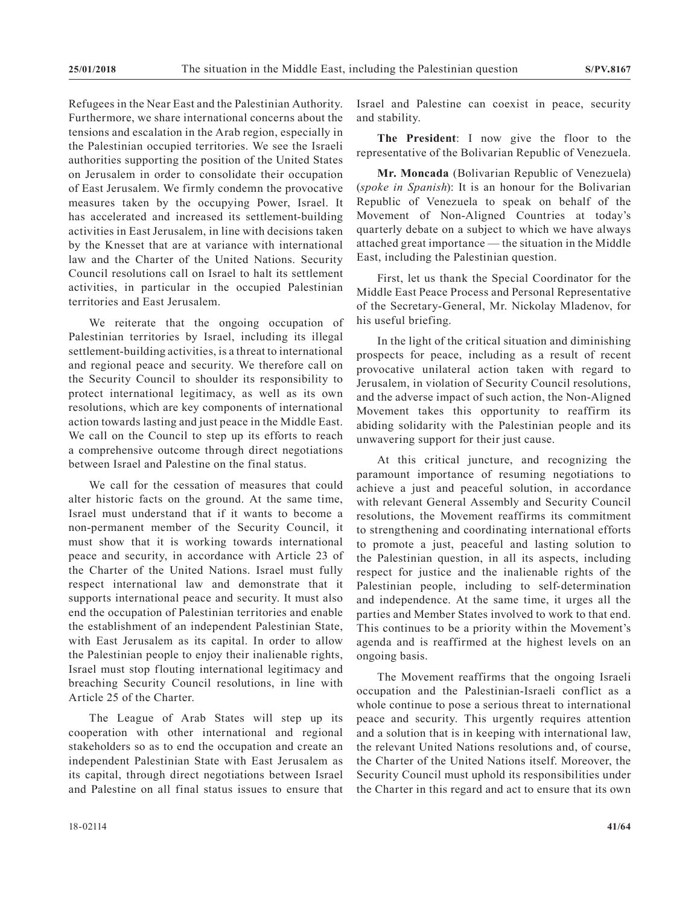Refugees in the Near East and the Palestinian Authority. Furthermore, we share international concerns about the tensions and escalation in the Arab region, especially in the Palestinian occupied territories. We see the Israeli authorities supporting the position of the United States on Jerusalem in order to consolidate their occupation of East Jerusalem. We firmly condemn the provocative measures taken by the occupying Power, Israel. It has accelerated and increased its settlement-building activities in East Jerusalem, in line with decisions taken by the Knesset that are at variance with international law and the Charter of the United Nations. Security Council resolutions call on Israel to halt its settlement activities, in particular in the occupied Palestinian territories and East Jerusalem.

We reiterate that the ongoing occupation of Palestinian territories by Israel, including its illegal settlement-building activities, is a threat to international and regional peace and security. We therefore call on the Security Council to shoulder its responsibility to protect international legitimacy, as well as its own resolutions, which are key components of international action towards lasting and just peace in the Middle East. We call on the Council to step up its efforts to reach a comprehensive outcome through direct negotiations between Israel and Palestine on the final status.

We call for the cessation of measures that could alter historic facts on the ground. At the same time, Israel must understand that if it wants to become a non-permanent member of the Security Council, it must show that it is working towards international peace and security, in accordance with Article 23 of the Charter of the United Nations. Israel must fully respect international law and demonstrate that it supports international peace and security. It must also end the occupation of Palestinian territories and enable the establishment of an independent Palestinian State, with East Jerusalem as its capital. In order to allow the Palestinian people to enjoy their inalienable rights, Israel must stop flouting international legitimacy and breaching Security Council resolutions, in line with Article 25 of the Charter.

The League of Arab States will step up its cooperation with other international and regional stakeholders so as to end the occupation and create an independent Palestinian State with East Jerusalem as its capital, through direct negotiations between Israel and Palestine on all final status issues to ensure that

Israel and Palestine can coexist in peace, security and stability.

**The President**: I now give the floor to the representative of the Bolivarian Republic of Venezuela.

**Mr. Moncada** (Bolivarian Republic of Venezuela) (*spoke in Spanish*): It is an honour for the Bolivarian Republic of Venezuela to speak on behalf of the Movement of Non-Aligned Countries at today's quarterly debate on a subject to which we have always attached great importance — the situation in the Middle East, including the Palestinian question.

First, let us thank the Special Coordinator for the Middle East Peace Process and Personal Representative of the Secretary-General, Mr. Nickolay Mladenov, for his useful briefing.

In the light of the critical situation and diminishing prospects for peace, including as a result of recent provocative unilateral action taken with regard to Jerusalem, in violation of Security Council resolutions, and the adverse impact of such action, the Non-Aligned Movement takes this opportunity to reaffirm its abiding solidarity with the Palestinian people and its unwavering support for their just cause.

At this critical juncture, and recognizing the paramount importance of resuming negotiations to achieve a just and peaceful solution, in accordance with relevant General Assembly and Security Council resolutions, the Movement reaffirms its commitment to strengthening and coordinating international efforts to promote a just, peaceful and lasting solution to the Palestinian question, in all its aspects, including respect for justice and the inalienable rights of the Palestinian people, including to self-determination and independence. At the same time, it urges all the parties and Member States involved to work to that end. This continues to be a priority within the Movement's agenda and is reaffirmed at the highest levels on an ongoing basis.

The Movement reaffirms that the ongoing Israeli occupation and the Palestinian-Israeli conflict as a whole continue to pose a serious threat to international peace and security. This urgently requires attention and a solution that is in keeping with international law, the relevant United Nations resolutions and, of course, the Charter of the United Nations itself. Moreover, the Security Council must uphold its responsibilities under the Charter in this regard and act to ensure that its own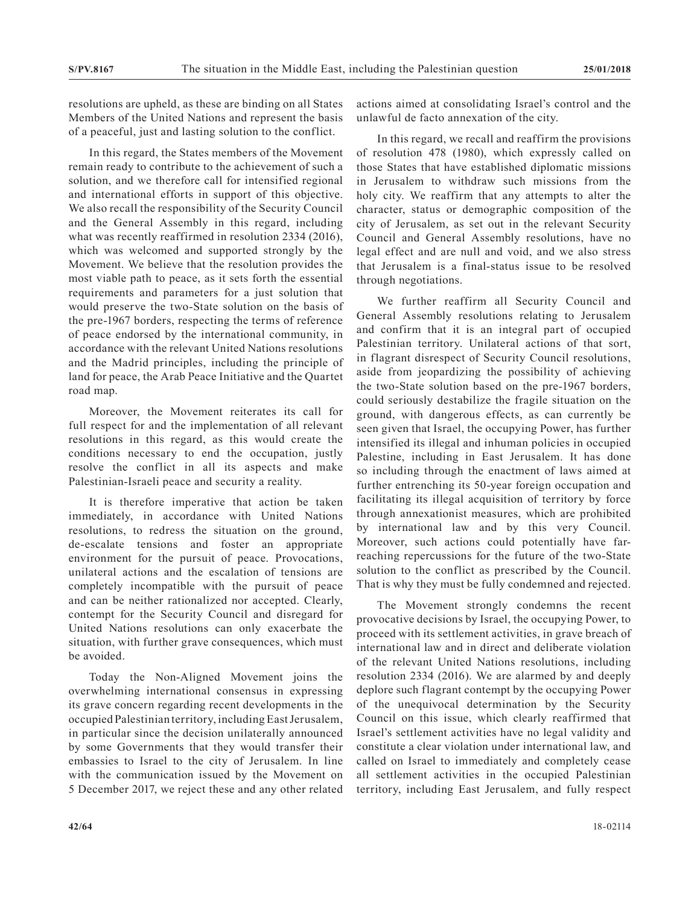resolutions are upheld, as these are binding on all States Members of the United Nations and represent the basis of a peaceful, just and lasting solution to the conflict.

In this regard, the States members of the Movement remain ready to contribute to the achievement of such a solution, and we therefore call for intensified regional and international efforts in support of this objective. We also recall the responsibility of the Security Council and the General Assembly in this regard, including what was recently reaffirmed in resolution 2334 (2016), which was welcomed and supported strongly by the Movement. We believe that the resolution provides the most viable path to peace, as it sets forth the essential requirements and parameters for a just solution that would preserve the two-State solution on the basis of the pre-1967 borders, respecting the terms of reference of peace endorsed by the international community, in accordance with the relevant United Nations resolutions and the Madrid principles, including the principle of land for peace, the Arab Peace Initiative and the Quartet road map.

Moreover, the Movement reiterates its call for full respect for and the implementation of all relevant resolutions in this regard, as this would create the conditions necessary to end the occupation, justly resolve the conflict in all its aspects and make Palestinian-Israeli peace and security a reality.

It is therefore imperative that action be taken immediately, in accordance with United Nations resolutions, to redress the situation on the ground, de-escalate tensions and foster an appropriate environment for the pursuit of peace. Provocations, unilateral actions and the escalation of tensions are completely incompatible with the pursuit of peace and can be neither rationalized nor accepted. Clearly, contempt for the Security Council and disregard for United Nations resolutions can only exacerbate the situation, with further grave consequences, which must be avoided.

Today the Non-Aligned Movement joins the overwhelming international consensus in expressing its grave concern regarding recent developments in the occupied Palestinian territory, including East Jerusalem, in particular since the decision unilaterally announced by some Governments that they would transfer their embassies to Israel to the city of Jerusalem. In line with the communication issued by the Movement on 5 December 2017, we reject these and any other related actions aimed at consolidating Israel's control and the unlawful de facto annexation of the city.

In this regard, we recall and reaffirm the provisions of resolution 478 (1980), which expressly called on those States that have established diplomatic missions in Jerusalem to withdraw such missions from the holy city. We reaffirm that any attempts to alter the character, status or demographic composition of the city of Jerusalem, as set out in the relevant Security Council and General Assembly resolutions, have no legal effect and are null and void, and we also stress that Jerusalem is a final-status issue to be resolved through negotiations.

We further reaffirm all Security Council and General Assembly resolutions relating to Jerusalem and confirm that it is an integral part of occupied Palestinian territory. Unilateral actions of that sort, in flagrant disrespect of Security Council resolutions, aside from jeopardizing the possibility of achieving the two-State solution based on the pre-1967 borders, could seriously destabilize the fragile situation on the ground, with dangerous effects, as can currently be seen given that Israel, the occupying Power, has further intensified its illegal and inhuman policies in occupied Palestine, including in East Jerusalem. It has done so including through the enactment of laws aimed at further entrenching its 50-year foreign occupation and facilitating its illegal acquisition of territory by force through annexationist measures, which are prohibited by international law and by this very Council. Moreover, such actions could potentially have farreaching repercussions for the future of the two-State solution to the conflict as prescribed by the Council. That is why they must be fully condemned and rejected.

The Movement strongly condemns the recent provocative decisions by Israel, the occupying Power, to proceed with its settlement activities, in grave breach of international law and in direct and deliberate violation of the relevant United Nations resolutions, including resolution 2334 (2016). We are alarmed by and deeply deplore such flagrant contempt by the occupying Power of the unequivocal determination by the Security Council on this issue, which clearly reaffirmed that Israel's settlement activities have no legal validity and constitute a clear violation under international law, and called on Israel to immediately and completely cease all settlement activities in the occupied Palestinian territory, including East Jerusalem, and fully respect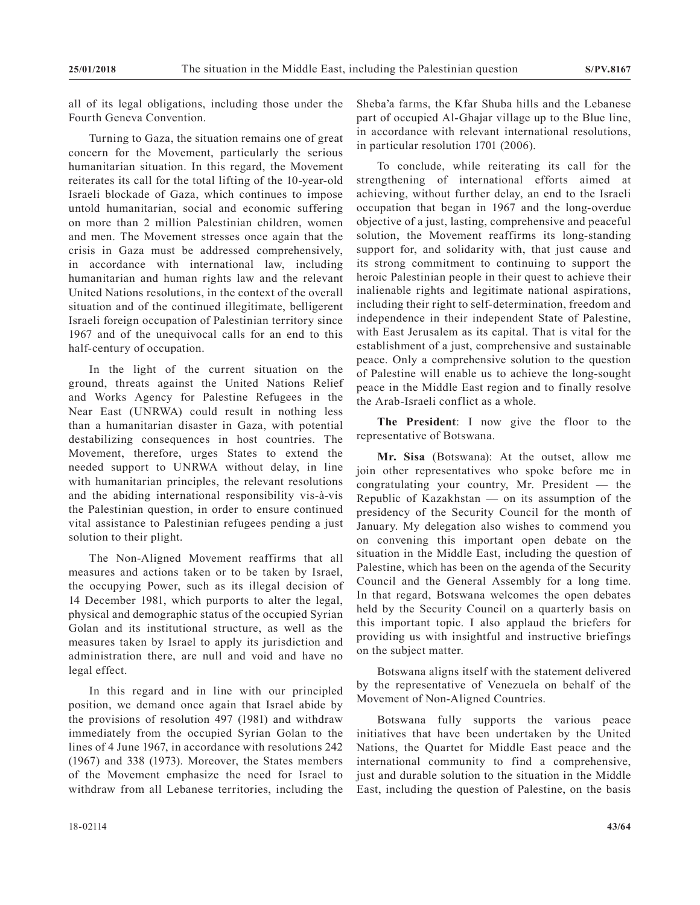all of its legal obligations, including those under the Fourth Geneva Convention.

Turning to Gaza, the situation remains one of great concern for the Movement, particularly the serious humanitarian situation. In this regard, the Movement reiterates its call for the total lifting of the 10-year-old Israeli blockade of Gaza, which continues to impose untold humanitarian, social and economic suffering on more than 2 million Palestinian children, women and men. The Movement stresses once again that the crisis in Gaza must be addressed comprehensively, in accordance with international law, including humanitarian and human rights law and the relevant United Nations resolutions, in the context of the overall situation and of the continued illegitimate, belligerent Israeli foreign occupation of Palestinian territory since 1967 and of the unequivocal calls for an end to this half-century of occupation.

In the light of the current situation on the ground, threats against the United Nations Relief and Works Agency for Palestine Refugees in the Near East (UNRWA) could result in nothing less than a humanitarian disaster in Gaza, with potential destabilizing consequences in host countries. The Movement, therefore, urges States to extend the needed support to UNRWA without delay, in line with humanitarian principles, the relevant resolutions and the abiding international responsibility vis-à-vis the Palestinian question, in order to ensure continued vital assistance to Palestinian refugees pending a just solution to their plight.

The Non-Aligned Movement reaffirms that all measures and actions taken or to be taken by Israel, the occupying Power, such as its illegal decision of 14 December 1981, which purports to alter the legal, physical and demographic status of the occupied Syrian Golan and its institutional structure, as well as the measures taken by Israel to apply its jurisdiction and administration there, are null and void and have no legal effect.

In this regard and in line with our principled position, we demand once again that Israel abide by the provisions of resolution 497 (1981) and withdraw immediately from the occupied Syrian Golan to the lines of 4 June 1967, in accordance with resolutions 242 (1967) and 338 (1973). Moreover, the States members of the Movement emphasize the need for Israel to withdraw from all Lebanese territories, including the Sheba'a farms, the Kfar Shuba hills and the Lebanese part of occupied Al-Ghajar village up to the Blue line, in accordance with relevant international resolutions, in particular resolution 1701 (2006).

To conclude, while reiterating its call for the strengthening of international efforts aimed at achieving, without further delay, an end to the Israeli occupation that began in 1967 and the long-overdue objective of a just, lasting, comprehensive and peaceful solution, the Movement reaffirms its long-standing support for, and solidarity with, that just cause and its strong commitment to continuing to support the heroic Palestinian people in their quest to achieve their inalienable rights and legitimate national aspirations, including their right to self-determination, freedom and independence in their independent State of Palestine, with East Jerusalem as its capital. That is vital for the establishment of a just, comprehensive and sustainable peace. Only a comprehensive solution to the question of Palestine will enable us to achieve the long-sought peace in the Middle East region and to finally resolve the Arab-Israeli conflict as a whole.

**The President**: I now give the floor to the representative of Botswana.

**Mr. Sisa** (Botswana): At the outset, allow me join other representatives who spoke before me in congratulating your country, Mr. President — the Republic of Kazakhstan — on its assumption of the presidency of the Security Council for the month of January. My delegation also wishes to commend you on convening this important open debate on the situation in the Middle East, including the question of Palestine, which has been on the agenda of the Security Council and the General Assembly for a long time. In that regard, Botswana welcomes the open debates held by the Security Council on a quarterly basis on this important topic. I also applaud the briefers for providing us with insightful and instructive briefings on the subject matter.

Botswana aligns itself with the statement delivered by the representative of Venezuela on behalf of the Movement of Non-Aligned Countries.

Botswana fully supports the various peace initiatives that have been undertaken by the United Nations, the Quartet for Middle East peace and the international community to find a comprehensive, just and durable solution to the situation in the Middle East, including the question of Palestine, on the basis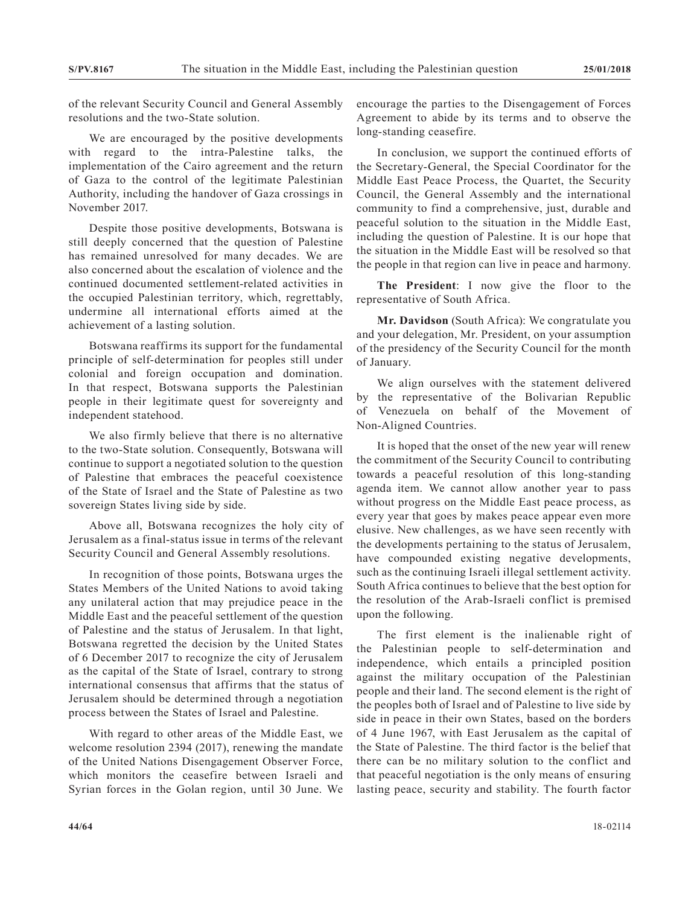of the relevant Security Council and General Assembly resolutions and the two-State solution.

We are encouraged by the positive developments with regard to the intra-Palestine talks, the implementation of the Cairo agreement and the return of Gaza to the control of the legitimate Palestinian Authority, including the handover of Gaza crossings in November 2017.

Despite those positive developments, Botswana is still deeply concerned that the question of Palestine has remained unresolved for many decades. We are also concerned about the escalation of violence and the continued documented settlement-related activities in the occupied Palestinian territory, which, regrettably, undermine all international efforts aimed at the achievement of a lasting solution.

Botswana reaffirms its support for the fundamental principle of self-determination for peoples still under colonial and foreign occupation and domination. In that respect, Botswana supports the Palestinian people in their legitimate quest for sovereignty and independent statehood.

We also firmly believe that there is no alternative to the two-State solution. Consequently, Botswana will continue to support a negotiated solution to the question of Palestine that embraces the peaceful coexistence of the State of Israel and the State of Palestine as two sovereign States living side by side.

Above all, Botswana recognizes the holy city of Jerusalem as a final-status issue in terms of the relevant Security Council and General Assembly resolutions.

In recognition of those points, Botswana urges the States Members of the United Nations to avoid taking any unilateral action that may prejudice peace in the Middle East and the peaceful settlement of the question of Palestine and the status of Jerusalem. In that light, Botswana regretted the decision by the United States of 6 December 2017 to recognize the city of Jerusalem as the capital of the State of Israel, contrary to strong international consensus that affirms that the status of Jerusalem should be determined through a negotiation process between the States of Israel and Palestine.

With regard to other areas of the Middle East, we welcome resolution 2394 (2017), renewing the mandate of the United Nations Disengagement Observer Force, which monitors the ceasefire between Israeli and Syrian forces in the Golan region, until 30 June. We encourage the parties to the Disengagement of Forces Agreement to abide by its terms and to observe the long-standing ceasefire.

In conclusion, we support the continued efforts of the Secretary-General, the Special Coordinator for the Middle East Peace Process, the Quartet, the Security Council, the General Assembly and the international community to find a comprehensive, just, durable and peaceful solution to the situation in the Middle East, including the question of Palestine. It is our hope that the situation in the Middle East will be resolved so that the people in that region can live in peace and harmony.

**The President**: I now give the floor to the representative of South Africa.

**Mr. Davidson** (South Africa): We congratulate you and your delegation, Mr. President, on your assumption of the presidency of the Security Council for the month of January.

We align ourselves with the statement delivered by the representative of the Bolivarian Republic of Venezuela on behalf of the Movement of Non-Aligned Countries.

It is hoped that the onset of the new year will renew the commitment of the Security Council to contributing towards a peaceful resolution of this long-standing agenda item. We cannot allow another year to pass without progress on the Middle East peace process, as every year that goes by makes peace appear even more elusive. New challenges, as we have seen recently with the developments pertaining to the status of Jerusalem, have compounded existing negative developments, such as the continuing Israeli illegal settlement activity. South Africa continues to believe that the best option for the resolution of the Arab-Israeli conflict is premised upon the following.

The first element is the inalienable right of the Palestinian people to self-determination and independence, which entails a principled position against the military occupation of the Palestinian people and their land. The second element is the right of the peoples both of Israel and of Palestine to live side by side in peace in their own States, based on the borders of 4 June 1967, with East Jerusalem as the capital of the State of Palestine. The third factor is the belief that there can be no military solution to the conflict and that peaceful negotiation is the only means of ensuring lasting peace, security and stability. The fourth factor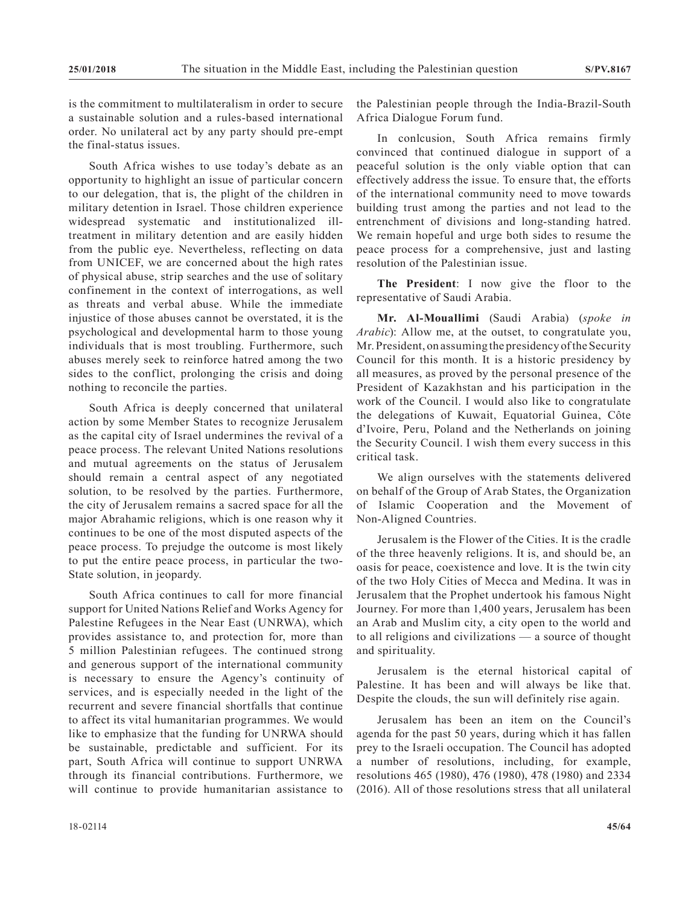is the commitment to multilateralism in order to secure a sustainable solution and a rules-based international order. No unilateral act by any party should pre-empt the final-status issues.

South Africa wishes to use today's debate as an opportunity to highlight an issue of particular concern to our delegation, that is, the plight of the children in military detention in Israel. Those children experience widespread systematic and institutionalized illtreatment in military detention and are easily hidden from the public eye. Nevertheless, reflecting on data from UNICEF, we are concerned about the high rates of physical abuse, strip searches and the use of solitary confinement in the context of interrogations, as well as threats and verbal abuse. While the immediate injustice of those abuses cannot be overstated, it is the psychological and developmental harm to those young individuals that is most troubling. Furthermore, such abuses merely seek to reinforce hatred among the two sides to the conflict, prolonging the crisis and doing nothing to reconcile the parties.

South Africa is deeply concerned that unilateral action by some Member States to recognize Jerusalem as the capital city of Israel undermines the revival of a peace process. The relevant United Nations resolutions and mutual agreements on the status of Jerusalem should remain a central aspect of any negotiated solution, to be resolved by the parties. Furthermore, the city of Jerusalem remains a sacred space for all the major Abrahamic religions, which is one reason why it continues to be one of the most disputed aspects of the peace process. To prejudge the outcome is most likely to put the entire peace process, in particular the two-State solution, in jeopardy.

South Africa continues to call for more financial support for United Nations Relief and Works Agency for Palestine Refugees in the Near East (UNRWA), which provides assistance to, and protection for, more than 5 million Palestinian refugees. The continued strong and generous support of the international community is necessary to ensure the Agency's continuity of services, and is especially needed in the light of the recurrent and severe financial shortfalls that continue to affect its vital humanitarian programmes. We would like to emphasize that the funding for UNRWA should be sustainable, predictable and sufficient. For its part, South Africa will continue to support UNRWA through its financial contributions. Furthermore, we will continue to provide humanitarian assistance to

the Palestinian people through the India-Brazil-South Africa Dialogue Forum fund.

In conlcusion, South Africa remains firmly convinced that continued dialogue in support of a peaceful solution is the only viable option that can effectively address the issue. To ensure that, the efforts of the international community need to move towards building trust among the parties and not lead to the entrenchment of divisions and long-standing hatred. We remain hopeful and urge both sides to resume the peace process for a comprehensive, just and lasting resolution of the Palestinian issue.

**The President**: I now give the floor to the representative of Saudi Arabia.

**Mr. Al-Mouallimi** (Saudi Arabia) (*spoke in Arabic*): Allow me, at the outset, to congratulate you, Mr. President, on assuming the presidency of the Security Council for this month. It is a historic presidency by all measures, as proved by the personal presence of the President of Kazakhstan and his participation in the work of the Council. I would also like to congratulate the delegations of Kuwait, Equatorial Guinea, Côte d'Ivoire, Peru, Poland and the Netherlands on joining the Security Council. I wish them every success in this critical task.

We align ourselves with the statements delivered on behalf of the Group of Arab States, the Organization of Islamic Cooperation and the Movement of Non-Aligned Countries.

Jerusalem is the Flower of the Cities. It is the cradle of the three heavenly religions. It is, and should be, an oasis for peace, coexistence and love. It is the twin city of the two Holy Cities of Mecca and Medina. It was in Jerusalem that the Prophet undertook his famous Night Journey. For more than 1,400 years, Jerusalem has been an Arab and Muslim city, a city open to the world and to all religions and civilizations — a source of thought and spirituality.

Jerusalem is the eternal historical capital of Palestine. It has been and will always be like that. Despite the clouds, the sun will definitely rise again.

Jerusalem has been an item on the Council's agenda for the past 50 years, during which it has fallen prey to the Israeli occupation. The Council has adopted a number of resolutions, including, for example, resolutions 465 (1980), 476 (1980), 478 (1980) and 2334 (2016). All of those resolutions stress that all unilateral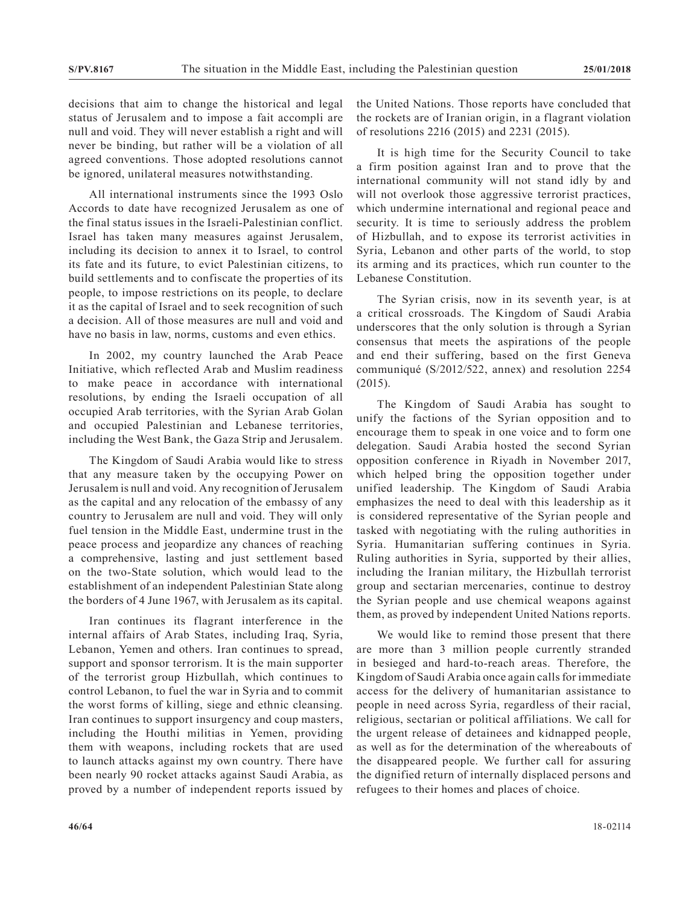decisions that aim to change the historical and legal status of Jerusalem and to impose a fait accompli are null and void. They will never establish a right and will never be binding, but rather will be a violation of all agreed conventions. Those adopted resolutions cannot be ignored, unilateral measures notwithstanding.

All international instruments since the 1993 Oslo Accords to date have recognized Jerusalem as one of the final status issues in the Israeli-Palestinian conflict. Israel has taken many measures against Jerusalem, including its decision to annex it to Israel, to control its fate and its future, to evict Palestinian citizens, to build settlements and to confiscate the properties of its people, to impose restrictions on its people, to declare it as the capital of Israel and to seek recognition of such a decision. All of those measures are null and void and have no basis in law, norms, customs and even ethics.

In 2002, my country launched the Arab Peace Initiative, which reflected Arab and Muslim readiness to make peace in accordance with international resolutions, by ending the Israeli occupation of all occupied Arab territories, with the Syrian Arab Golan and occupied Palestinian and Lebanese territories, including the West Bank, the Gaza Strip and Jerusalem.

The Kingdom of Saudi Arabia would like to stress that any measure taken by the occupying Power on Jerusalem is null and void. Any recognition of Jerusalem as the capital and any relocation of the embassy of any country to Jerusalem are null and void. They will only fuel tension in the Middle East, undermine trust in the peace process and jeopardize any chances of reaching a comprehensive, lasting and just settlement based on the two-State solution, which would lead to the establishment of an independent Palestinian State along the borders of 4 June 1967, with Jerusalem as its capital.

Iran continues its flagrant interference in the internal affairs of Arab States, including Iraq, Syria, Lebanon, Yemen and others. Iran continues to spread, support and sponsor terrorism. It is the main supporter of the terrorist group Hizbullah, which continues to control Lebanon, to fuel the war in Syria and to commit the worst forms of killing, siege and ethnic cleansing. Iran continues to support insurgency and coup masters, including the Houthi militias in Yemen, providing them with weapons, including rockets that are used to launch attacks against my own country. There have been nearly 90 rocket attacks against Saudi Arabia, as proved by a number of independent reports issued by the United Nations. Those reports have concluded that the rockets are of Iranian origin, in a flagrant violation of resolutions 2216 (2015) and 2231 (2015).

It is high time for the Security Council to take a firm position against Iran and to prove that the international community will not stand idly by and will not overlook those aggressive terrorist practices, which undermine international and regional peace and security. It is time to seriously address the problem of Hizbullah, and to expose its terrorist activities in Syria, Lebanon and other parts of the world, to stop its arming and its practices, which run counter to the Lebanese Constitution.

The Syrian crisis, now in its seventh year, is at a critical crossroads. The Kingdom of Saudi Arabia underscores that the only solution is through a Syrian consensus that meets the aspirations of the people and end their suffering, based on the first Geneva communiqué (S/2012/522, annex) and resolution 2254 (2015).

The Kingdom of Saudi Arabia has sought to unify the factions of the Syrian opposition and to encourage them to speak in one voice and to form one delegation. Saudi Arabia hosted the second Syrian opposition conference in Riyadh in November 2017, which helped bring the opposition together under unified leadership. The Kingdom of Saudi Arabia emphasizes the need to deal with this leadership as it is considered representative of the Syrian people and tasked with negotiating with the ruling authorities in Syria. Humanitarian suffering continues in Syria. Ruling authorities in Syria, supported by their allies, including the Iranian military, the Hizbullah terrorist group and sectarian mercenaries, continue to destroy the Syrian people and use chemical weapons against them, as proved by independent United Nations reports.

We would like to remind those present that there are more than 3 million people currently stranded in besieged and hard-to-reach areas. Therefore, the Kingdom of Saudi Arabia once again calls for immediate access for the delivery of humanitarian assistance to people in need across Syria, regardless of their racial, religious, sectarian or political affiliations. We call for the urgent release of detainees and kidnapped people, as well as for the determination of the whereabouts of the disappeared people. We further call for assuring the dignified return of internally displaced persons and refugees to their homes and places of choice.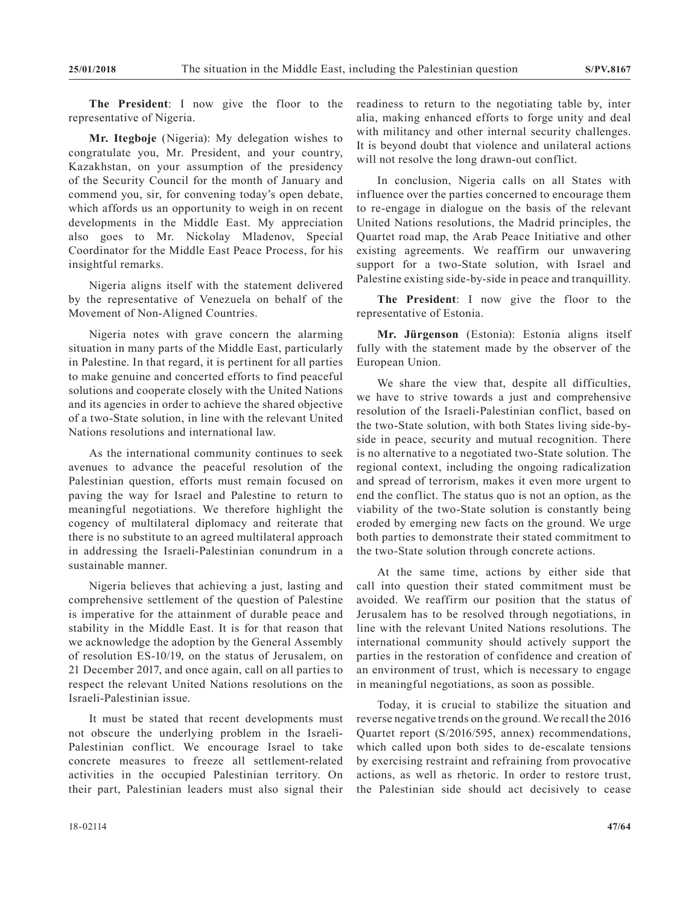**The President**: I now give the floor to the representative of Nigeria.

**Mr. Itegboje** (Nigeria): My delegation wishes to congratulate you, Mr. President, and your country, Kazakhstan, on your assumption of the presidency of the Security Council for the month of January and commend you, sir, for convening today's open debate, which affords us an opportunity to weigh in on recent developments in the Middle East. My appreciation also goes to Mr. Nickolay Mladenov, Special Coordinator for the Middle East Peace Process, for his insightful remarks.

Nigeria aligns itself with the statement delivered by the representative of Venezuela on behalf of the Movement of Non-Aligned Countries.

Nigeria notes with grave concern the alarming situation in many parts of the Middle East, particularly in Palestine. In that regard, it is pertinent for all parties to make genuine and concerted efforts to find peaceful solutions and cooperate closely with the United Nations and its agencies in order to achieve the shared objective of a two-State solution, in line with the relevant United Nations resolutions and international law.

As the international community continues to seek avenues to advance the peaceful resolution of the Palestinian question, efforts must remain focused on paving the way for Israel and Palestine to return to meaningful negotiations. We therefore highlight the cogency of multilateral diplomacy and reiterate that there is no substitute to an agreed multilateral approach in addressing the Israeli-Palestinian conundrum in a sustainable manner.

Nigeria believes that achieving a just, lasting and comprehensive settlement of the question of Palestine is imperative for the attainment of durable peace and stability in the Middle East. It is for that reason that we acknowledge the adoption by the General Assembly of resolution ES-10/19, on the status of Jerusalem, on 21 December 2017, and once again, call on all parties to respect the relevant United Nations resolutions on the Israeli-Palestinian issue.

It must be stated that recent developments must not obscure the underlying problem in the Israeli-Palestinian conflict. We encourage Israel to take concrete measures to freeze all settlement-related activities in the occupied Palestinian territory. On their part, Palestinian leaders must also signal their

In conclusion, Nigeria calls on all States with influence over the parties concerned to encourage them to re-engage in dialogue on the basis of the relevant United Nations resolutions, the Madrid principles, the Quartet road map, the Arab Peace Initiative and other existing agreements. We reaffirm our unwavering support for a two-State solution, with Israel and Palestine existing side-by-side in peace and tranquillity.

**The President**: I now give the floor to the representative of Estonia.

**Mr. Jürgenson** (Estonia): Estonia aligns itself fully with the statement made by the observer of the European Union.

We share the view that, despite all difficulties, we have to strive towards a just and comprehensive resolution of the Israeli-Palestinian conflict, based on the two-State solution, with both States living side-byside in peace, security and mutual recognition. There is no alternative to a negotiated two-State solution. The regional context, including the ongoing radicalization and spread of terrorism, makes it even more urgent to end the conflict. The status quo is not an option, as the viability of the two-State solution is constantly being eroded by emerging new facts on the ground. We urge both parties to demonstrate their stated commitment to the two-State solution through concrete actions.

At the same time, actions by either side that call into question their stated commitment must be avoided. We reaffirm our position that the status of Jerusalem has to be resolved through negotiations, in line with the relevant United Nations resolutions. The international community should actively support the parties in the restoration of confidence and creation of an environment of trust, which is necessary to engage in meaningful negotiations, as soon as possible.

Today, it is crucial to stabilize the situation and reverse negative trends on the ground. We recall the 2016 Quartet report (S/2016/595, annex) recommendations, which called upon both sides to de-escalate tensions by exercising restraint and refraining from provocative actions, as well as rhetoric. In order to restore trust, the Palestinian side should act decisively to cease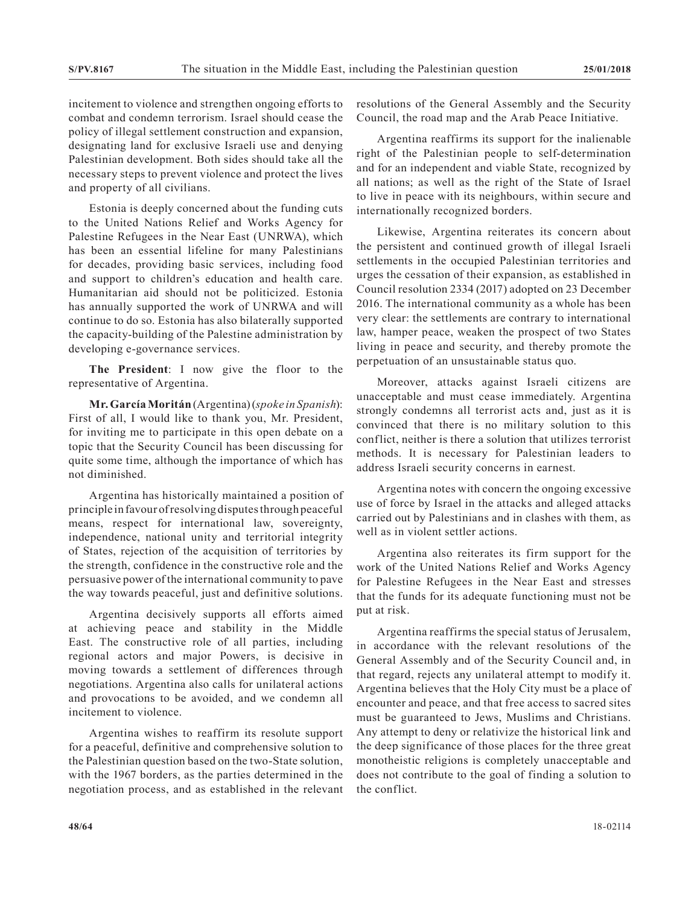incitement to violence and strengthen ongoing efforts to combat and condemn terrorism. Israel should cease the policy of illegal settlement construction and expansion, designating land for exclusive Israeli use and denying Palestinian development. Both sides should take all the necessary steps to prevent violence and protect the lives and property of all civilians.

Estonia is deeply concerned about the funding cuts to the United Nations Relief and Works Agency for Palestine Refugees in the Near East (UNRWA), which has been an essential lifeline for many Palestinians for decades, providing basic services, including food and support to children's education and health care. Humanitarian aid should not be politicized. Estonia has annually supported the work of UNRWA and will continue to do so. Estonia has also bilaterally supported the capacity-building of the Palestine administration by developing e-governance services.

**The President**: I now give the floor to the representative of Argentina.

**Mr. García Moritán** (Argentina) (*spoke in Spanish*): First of all, I would like to thank you, Mr. President, for inviting me to participate in this open debate on a topic that the Security Council has been discussing for quite some time, although the importance of which has not diminished.

Argentina has historically maintained a position of principle in favour of resolving disputes through peaceful means, respect for international law, sovereignty, independence, national unity and territorial integrity of States, rejection of the acquisition of territories by the strength, confidence in the constructive role and the persuasive power of the international community to pave the way towards peaceful, just and definitive solutions.

Argentina decisively supports all efforts aimed at achieving peace and stability in the Middle East. The constructive role of all parties, including regional actors and major Powers, is decisive in moving towards a settlement of differences through negotiations. Argentina also calls for unilateral actions and provocations to be avoided, and we condemn all incitement to violence.

Argentina wishes to reaffirm its resolute support for a peaceful, definitive and comprehensive solution to the Palestinian question based on the two-State solution, with the 1967 borders, as the parties determined in the negotiation process, and as established in the relevant

resolutions of the General Assembly and the Security Council, the road map and the Arab Peace Initiative.

Argentina reaffirms its support for the inalienable right of the Palestinian people to self-determination and for an independent and viable State, recognized by all nations; as well as the right of the State of Israel to live in peace with its neighbours, within secure and internationally recognized borders.

Likewise, Argentina reiterates its concern about the persistent and continued growth of illegal Israeli settlements in the occupied Palestinian territories and urges the cessation of their expansion, as established in Council resolution 2334 (2017) adopted on 23 December 2016. The international community as a whole has been very clear: the settlements are contrary to international law, hamper peace, weaken the prospect of two States living in peace and security, and thereby promote the perpetuation of an unsustainable status quo.

Moreover, attacks against Israeli citizens are unacceptable and must cease immediately. Argentina strongly condemns all terrorist acts and, just as it is convinced that there is no military solution to this conflict, neither is there a solution that utilizes terrorist methods. It is necessary for Palestinian leaders to address Israeli security concerns in earnest.

Argentina notes with concern the ongoing excessive use of force by Israel in the attacks and alleged attacks carried out by Palestinians and in clashes with them, as well as in violent settler actions.

Argentina also reiterates its firm support for the work of the United Nations Relief and Works Agency for Palestine Refugees in the Near East and stresses that the funds for its adequate functioning must not be put at risk.

Argentina reaffirms the special status of Jerusalem, in accordance with the relevant resolutions of the General Assembly and of the Security Council and, in that regard, rejects any unilateral attempt to modify it. Argentina believes that the Holy City must be a place of encounter and peace, and that free access to sacred sites must be guaranteed to Jews, Muslims and Christians. Any attempt to deny or relativize the historical link and the deep significance of those places for the three great monotheistic religions is completely unacceptable and does not contribute to the goal of finding a solution to the conflict.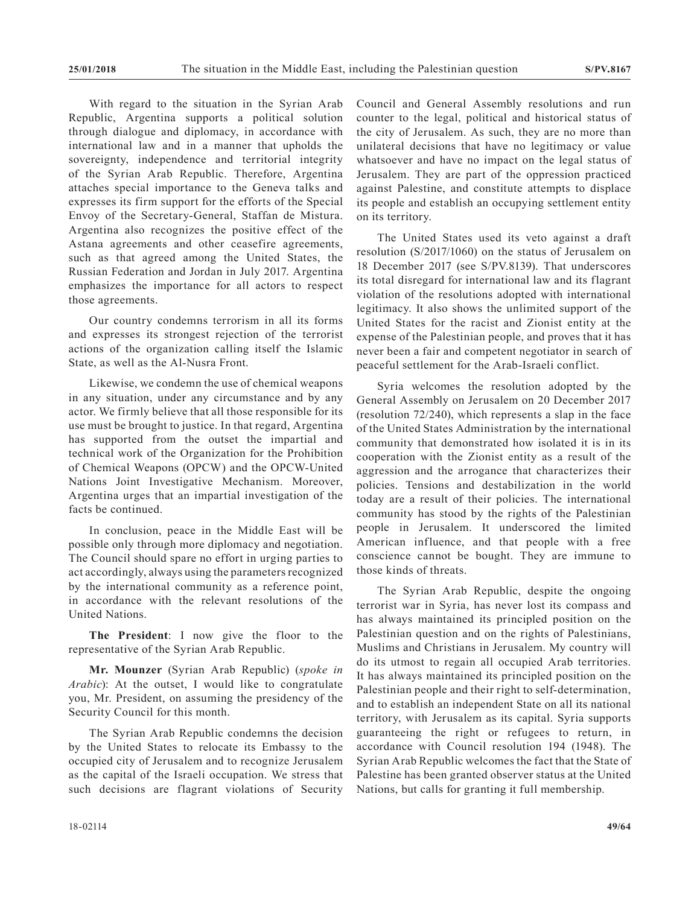With regard to the situation in the Syrian Arab Republic, Argentina supports a political solution through dialogue and diplomacy, in accordance with international law and in a manner that upholds the sovereignty, independence and territorial integrity of the Syrian Arab Republic. Therefore, Argentina attaches special importance to the Geneva talks and expresses its firm support for the efforts of the Special Envoy of the Secretary-General, Staffan de Mistura. Argentina also recognizes the positive effect of the Astana agreements and other ceasefire agreements, such as that agreed among the United States, the Russian Federation and Jordan in July 2017. Argentina emphasizes the importance for all actors to respect those agreements.

Our country condemns terrorism in all its forms and expresses its strongest rejection of the terrorist actions of the organization calling itself the Islamic State, as well as the Al-Nusra Front.

Likewise, we condemn the use of chemical weapons in any situation, under any circumstance and by any actor. We firmly believe that all those responsible for its use must be brought to justice. In that regard, Argentina has supported from the outset the impartial and technical work of the Organization for the Prohibition of Chemical Weapons (OPCW) and the OPCW-United Nations Joint Investigative Mechanism. Moreover, Argentina urges that an impartial investigation of the facts be continued.

In conclusion, peace in the Middle East will be possible only through more diplomacy and negotiation. The Council should spare no effort in urging parties to act accordingly, always using the parameters recognized by the international community as a reference point, in accordance with the relevant resolutions of the United Nations.

**The President**: I now give the floor to the representative of the Syrian Arab Republic.

**Mr. Mounzer** (Syrian Arab Republic) (*spoke in Arabic*): At the outset, I would like to congratulate you, Mr. President, on assuming the presidency of the Security Council for this month.

The Syrian Arab Republic condemns the decision by the United States to relocate its Embassy to the occupied city of Jerusalem and to recognize Jerusalem as the capital of the Israeli occupation. We stress that such decisions are flagrant violations of Security

Council and General Assembly resolutions and run counter to the legal, political and historical status of the city of Jerusalem. As such, they are no more than unilateral decisions that have no legitimacy or value whatsoever and have no impact on the legal status of Jerusalem. They are part of the oppression practiced against Palestine, and constitute attempts to displace its people and establish an occupying settlement entity on its territory.

The United States used its veto against a draft resolution (S/2017/1060) on the status of Jerusalem on 18 December 2017 (see S/PV.8139). That underscores its total disregard for international law and its flagrant violation of the resolutions adopted with international legitimacy. It also shows the unlimited support of the United States for the racist and Zionist entity at the expense of the Palestinian people, and proves that it has never been a fair and competent negotiator in search of peaceful settlement for the Arab-Israeli conflict.

Syria welcomes the resolution adopted by the General Assembly on Jerusalem on 20 December 2017 (resolution 72/240), which represents a slap in the face of the United States Administration by the international community that demonstrated how isolated it is in its cooperation with the Zionist entity as a result of the aggression and the arrogance that characterizes their policies. Tensions and destabilization in the world today are a result of their policies. The international community has stood by the rights of the Palestinian people in Jerusalem. It underscored the limited American influence, and that people with a free conscience cannot be bought. They are immune to those kinds of threats.

The Syrian Arab Republic, despite the ongoing terrorist war in Syria, has never lost its compass and has always maintained its principled position on the Palestinian question and on the rights of Palestinians, Muslims and Christians in Jerusalem. My country will do its utmost to regain all occupied Arab territories. It has always maintained its principled position on the Palestinian people and their right to self-determination, and to establish an independent State on all its national territory, with Jerusalem as its capital. Syria supports guaranteeing the right or refugees to return, in accordance with Council resolution 194 (1948). The Syrian Arab Republic welcomes the fact that the State of Palestine has been granted observer status at the United Nations, but calls for granting it full membership.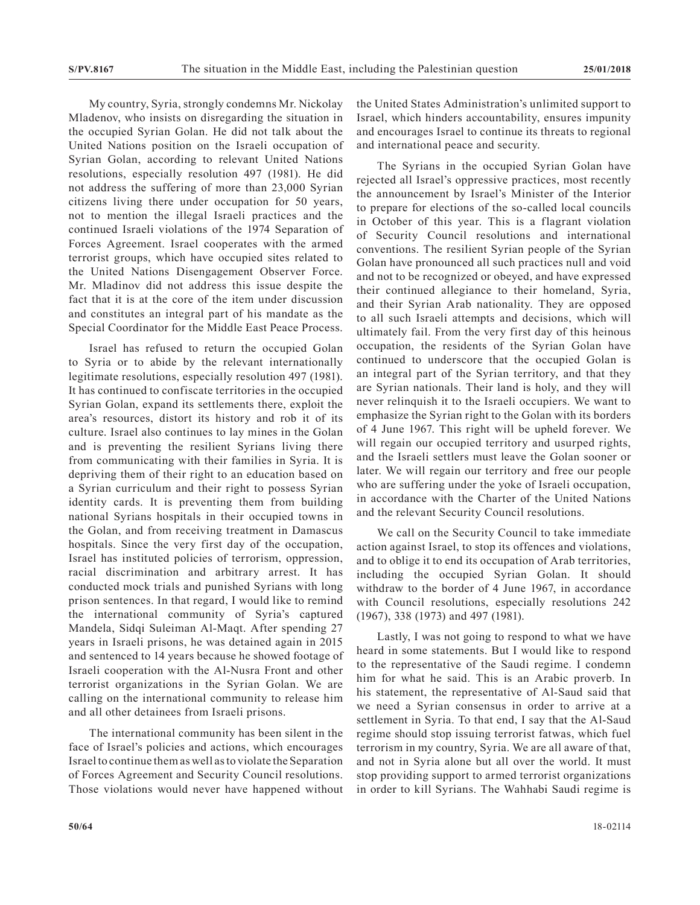My country, Syria, strongly condemns Mr. Nickolay Mladenov, who insists on disregarding the situation in the occupied Syrian Golan. He did not talk about the United Nations position on the Israeli occupation of Syrian Golan, according to relevant United Nations resolutions, especially resolution 497 (1981). He did not address the suffering of more than 23,000 Syrian citizens living there under occupation for 50 years, not to mention the illegal Israeli practices and the continued Israeli violations of the 1974 Separation of Forces Agreement. Israel cooperates with the armed terrorist groups, which have occupied sites related to the United Nations Disengagement Observer Force. Mr. Mladinov did not address this issue despite the fact that it is at the core of the item under discussion and constitutes an integral part of his mandate as the Special Coordinator for the Middle East Peace Process.

Israel has refused to return the occupied Golan to Syria or to abide by the relevant internationally legitimate resolutions, especially resolution 497 (1981). It has continued to confiscate territories in the occupied Syrian Golan, expand its settlements there, exploit the area's resources, distort its history and rob it of its culture. Israel also continues to lay mines in the Golan and is preventing the resilient Syrians living there from communicating with their families in Syria. It is depriving them of their right to an education based on a Syrian curriculum and their right to possess Syrian identity cards. It is preventing them from building national Syrians hospitals in their occupied towns in the Golan, and from receiving treatment in Damascus hospitals. Since the very first day of the occupation, Israel has instituted policies of terrorism, oppression, racial discrimination and arbitrary arrest. It has conducted mock trials and punished Syrians with long prison sentences. In that regard, I would like to remind the international community of Syria's captured Mandela, Sidqi Suleiman Al-Maqt. After spending 27 years in Israeli prisons, he was detained again in 2015 and sentenced to 14 years because he showed footage of Israeli cooperation with the Al-Nusra Front and other terrorist organizations in the Syrian Golan. We are calling on the international community to release him and all other detainees from Israeli prisons.

The international community has been silent in the face of Israel's policies and actions, which encourages Israel to continue them as well as to violate the Separation of Forces Agreement and Security Council resolutions. Those violations would never have happened without the United States Administration's unlimited support to Israel, which hinders accountability, ensures impunity and encourages Israel to continue its threats to regional and international peace and security.

The Syrians in the occupied Syrian Golan have rejected all Israel's oppressive practices, most recently the announcement by Israel's Minister of the Interior to prepare for elections of the so-called local councils in October of this year. This is a flagrant violation of Security Council resolutions and international conventions. The resilient Syrian people of the Syrian Golan have pronounced all such practices null and void and not to be recognized or obeyed, and have expressed their continued allegiance to their homeland, Syria, and their Syrian Arab nationality. They are opposed to all such Israeli attempts and decisions, which will ultimately fail. From the very first day of this heinous occupation, the residents of the Syrian Golan have continued to underscore that the occupied Golan is an integral part of the Syrian territory, and that they are Syrian nationals. Their land is holy, and they will never relinquish it to the Israeli occupiers. We want to emphasize the Syrian right to the Golan with its borders of 4 June 1967. This right will be upheld forever. We will regain our occupied territory and usurped rights, and the Israeli settlers must leave the Golan sooner or later. We will regain our territory and free our people who are suffering under the yoke of Israeli occupation, in accordance with the Charter of the United Nations and the relevant Security Council resolutions.

We call on the Security Council to take immediate action against Israel, to stop its offences and violations, and to oblige it to end its occupation of Arab territories, including the occupied Syrian Golan. It should withdraw to the border of 4 June 1967, in accordance with Council resolutions, especially resolutions 242 (1967), 338 (1973) and 497 (1981).

Lastly, I was not going to respond to what we have heard in some statements. But I would like to respond to the representative of the Saudi regime. I condemn him for what he said. This is an Arabic proverb. In his statement, the representative of Al-Saud said that we need a Syrian consensus in order to arrive at a settlement in Syria. To that end, I say that the Al-Saud regime should stop issuing terrorist fatwas, which fuel terrorism in my country, Syria. We are all aware of that, and not in Syria alone but all over the world. It must stop providing support to armed terrorist organizations in order to kill Syrians. The Wahhabi Saudi regime is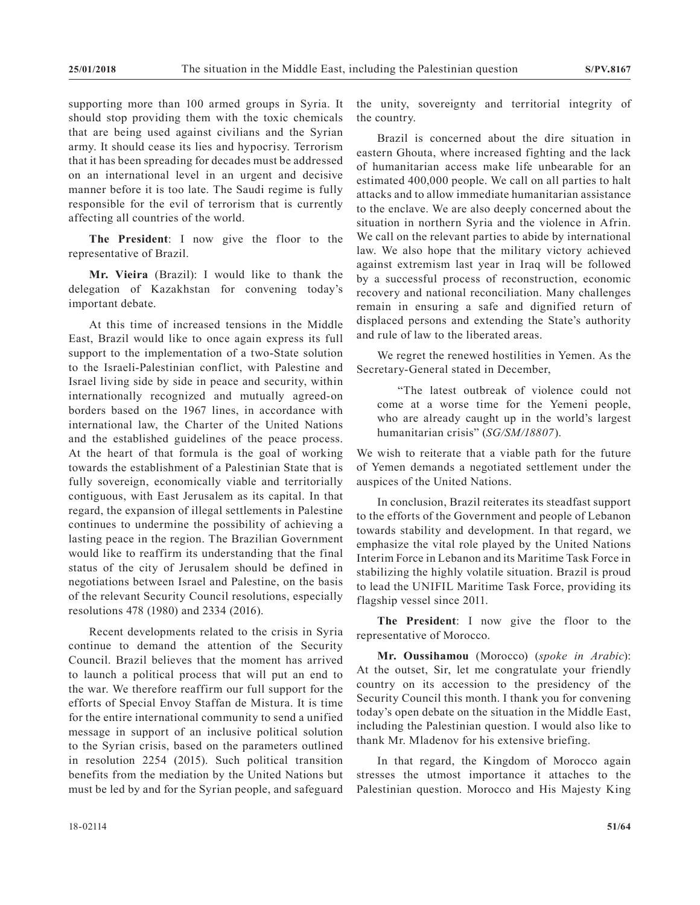supporting more than 100 armed groups in Syria. It should stop providing them with the toxic chemicals that are being used against civilians and the Syrian army. It should cease its lies and hypocrisy. Terrorism that it has been spreading for decades must be addressed on an international level in an urgent and decisive manner before it is too late. The Saudi regime is fully responsible for the evil of terrorism that is currently affecting all countries of the world.

**The President**: I now give the floor to the representative of Brazil.

**Mr. Vieira** (Brazil): I would like to thank the delegation of Kazakhstan for convening today's important debate.

At this time of increased tensions in the Middle East, Brazil would like to once again express its full support to the implementation of a two-State solution to the Israeli-Palestinian conflict, with Palestine and Israel living side by side in peace and security, within internationally recognized and mutually agreed-on borders based on the 1967 lines, in accordance with international law, the Charter of the United Nations and the established guidelines of the peace process. At the heart of that formula is the goal of working towards the establishment of a Palestinian State that is fully sovereign, economically viable and territorially contiguous, with East Jerusalem as its capital. In that regard, the expansion of illegal settlements in Palestine continues to undermine the possibility of achieving a lasting peace in the region. The Brazilian Government would like to reaffirm its understanding that the final status of the city of Jerusalem should be defined in negotiations between Israel and Palestine, on the basis of the relevant Security Council resolutions, especially resolutions 478 (1980) and 2334 (2016).

Recent developments related to the crisis in Syria continue to demand the attention of the Security Council. Brazil believes that the moment has arrived to launch a political process that will put an end to the war. We therefore reaffirm our full support for the efforts of Special Envoy Staffan de Mistura. It is time for the entire international community to send a unified message in support of an inclusive political solution to the Syrian crisis, based on the parameters outlined in resolution 2254 (2015). Such political transition benefits from the mediation by the United Nations but must be led by and for the Syrian people, and safeguard

the unity, sovereignty and territorial integrity of the country.

Brazil is concerned about the dire situation in eastern Ghouta, where increased fighting and the lack of humanitarian access make life unbearable for an estimated 400,000 people. We call on all parties to halt attacks and to allow immediate humanitarian assistance to the enclave. We are also deeply concerned about the situation in northern Syria and the violence in Afrin. We call on the relevant parties to abide by international law. We also hope that the military victory achieved against extremism last year in Iraq will be followed by a successful process of reconstruction, economic recovery and national reconciliation. Many challenges remain in ensuring a safe and dignified return of displaced persons and extending the State's authority and rule of law to the liberated areas.

We regret the renewed hostilities in Yemen. As the Secretary-General stated in December,

"The latest outbreak of violence could not come at a worse time for the Yemeni people, who are already caught up in the world's largest humanitarian crisis" (*SG/SM/18807*).

We wish to reiterate that a viable path for the future of Yemen demands a negotiated settlement under the auspices of the United Nations.

In conclusion, Brazil reiterates its steadfast support to the efforts of the Government and people of Lebanon towards stability and development. In that regard, we emphasize the vital role played by the United Nations Interim Force in Lebanon and its Maritime Task Force in stabilizing the highly volatile situation. Brazil is proud to lead the UNIFIL Maritime Task Force, providing its flagship vessel since 2011.

**The President**: I now give the floor to the representative of Morocco.

**Mr. Oussihamou** (Morocco) (*spoke in Arabic*): At the outset, Sir, let me congratulate your friendly country on its accession to the presidency of the Security Council this month. I thank you for convening today's open debate on the situation in the Middle East, including the Palestinian question. I would also like to thank Mr. Mladenov for his extensive briefing.

In that regard, the Kingdom of Morocco again stresses the utmost importance it attaches to the Palestinian question. Morocco and His Majesty King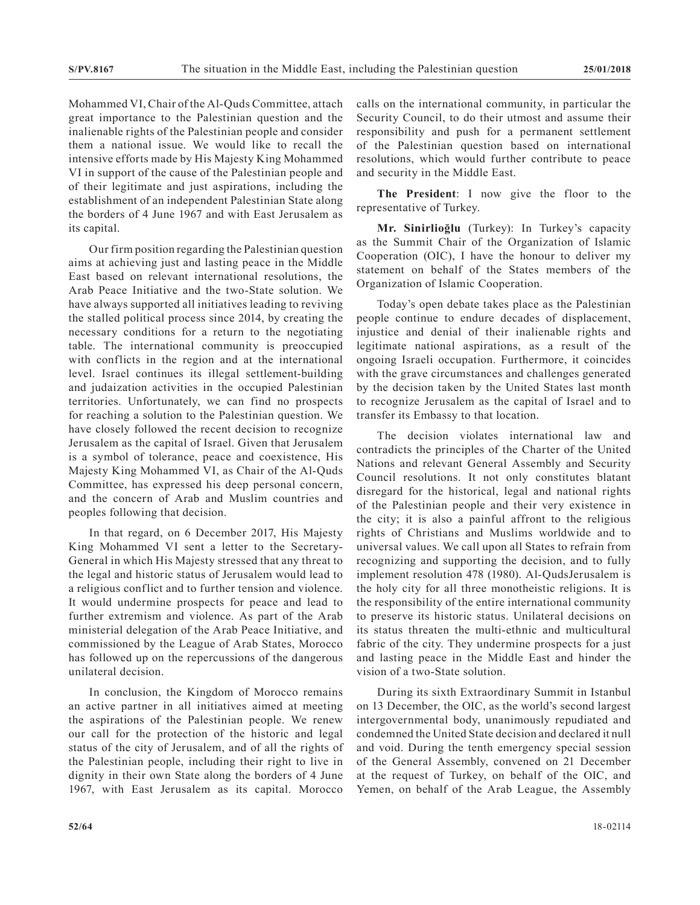Mohammed VI, Chair of the Al-Quds Committee, attach great importance to the Palestinian question and the inalienable rights of the Palestinian people and consider them a national issue. We would like to recall the intensive efforts made by His Majesty King Mohammed VI in support of the cause of the Palestinian people and of their legitimate and just aspirations, including the establishment of an independent Palestinian State along the borders of 4 June 1967 and with East Jerusalem as its capital.

Our firm position regarding the Palestinian question aims at achieving just and lasting peace in the Middle East based on relevant international resolutions, the Arab Peace Initiative and the two-State solution. We have always supported all initiatives leading to reviving the stalled political process since 2014, by creating the necessary conditions for a return to the negotiating table. The international community is preoccupied with conflicts in the region and at the international level. Israel continues its illegal settlement-building and judaization activities in the occupied Palestinian territories. Unfortunately, we can find no prospects for reaching a solution to the Palestinian question. We have closely followed the recent decision to recognize Jerusalem as the capital of Israel. Given that Jerusalem is a symbol of tolerance, peace and coexistence, His Majesty King Mohammed VI, as Chair of the Al-Quds Committee, has expressed his deep personal concern, and the concern of Arab and Muslim countries and peoples following that decision.

In that regard, on 6 December 2017, His Majesty King Mohammed VI sent a letter to the Secretary-General in which His Majesty stressed that any threat to the legal and historic status of Jerusalem would lead to a religious conflict and to further tension and violence. It would undermine prospects for peace and lead to further extremism and violence. As part of the Arab ministerial delegation of the Arab Peace Initiative, and commissioned by the League of Arab States, Morocco has followed up on the repercussions of the dangerous unilateral decision.

In conclusion, the Kingdom of Morocco remains an active partner in all initiatives aimed at meeting the aspirations of the Palestinian people. We renew our call for the protection of the historic and legal status of the city of Jerusalem, and of all the rights of the Palestinian people, including their right to live in dignity in their own State along the borders of 4 June 1967, with East Jerusalem as its capital. Morocco

calls on the international community, in particular the Security Council, to do their utmost and assume their responsibility and push for a permanent settlement of the Palestinian question based on international resolutions, which would further contribute to peace and security in the Middle East.

**The President**: I now give the floor to the representative of Turkey.

**Mr. Sinirlioğlu** (Turkey): In Turkey's capacity as the Summit Chair of the Organization of Islamic Cooperation (OIC), I have the honour to deliver my statement on behalf of the States members of the Organization of Islamic Cooperation.

Today's open debate takes place as the Palestinian people continue to endure decades of displacement, injustice and denial of their inalienable rights and legitimate national aspirations, as a result of the ongoing Israeli occupation. Furthermore, it coincides with the grave circumstances and challenges generated by the decision taken by the United States last month to recognize Jerusalem as the capital of Israel and to transfer its Embassy to that location.

The decision violates international law and contradicts the principles of the Charter of the United Nations and relevant General Assembly and Security Council resolutions. It not only constitutes blatant disregard for the historical, legal and national rights of the Palestinian people and their very existence in the city; it is also a painful affront to the religious rights of Christians and Muslims worldwide and to universal values. We call upon all States to refrain from recognizing and supporting the decision, and to fully implement resolution 478 (1980). Al-QudsJerusalem is the holy city for all three monotheistic religions. It is the responsibility of the entire international community to preserve its historic status. Unilateral decisions on its status threaten the multi-ethnic and multicultural fabric of the city. They undermine prospects for a just and lasting peace in the Middle East and hinder the vision of a two-State solution.

During its sixth Extraordinary Summit in Istanbul on 13 December, the OIC, as the world's second largest intergovernmental body, unanimously repudiated and condemned the United State decision and declared it null and void. During the tenth emergency special session of the General Assembly, convened on 21 December at the request of Turkey, on behalf of the OIC, and Yemen, on behalf of the Arab League, the Assembly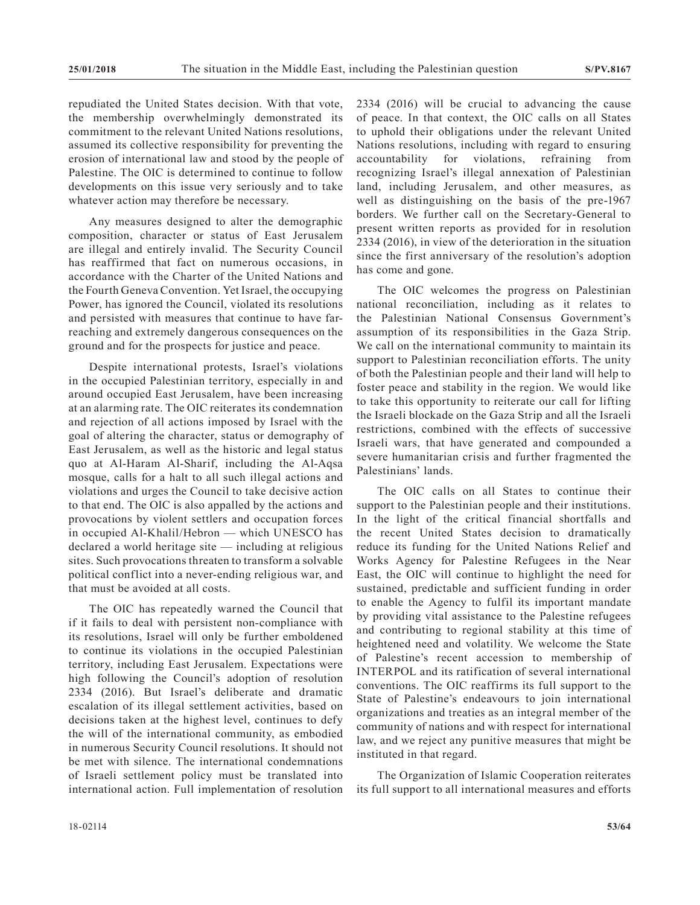repudiated the United States decision. With that vote, the membership overwhelmingly demonstrated its commitment to the relevant United Nations resolutions, assumed its collective responsibility for preventing the erosion of international law and stood by the people of Palestine. The OIC is determined to continue to follow developments on this issue very seriously and to take whatever action may therefore be necessary.

Any measures designed to alter the demographic composition, character or status of East Jerusalem are illegal and entirely invalid. The Security Council has reaffirmed that fact on numerous occasions, in accordance with the Charter of the United Nations and the Fourth Geneva Convention. Yet Israel, the occupying Power, has ignored the Council, violated its resolutions and persisted with measures that continue to have farreaching and extremely dangerous consequences on the ground and for the prospects for justice and peace.

Despite international protests, Israel's violations in the occupied Palestinian territory, especially in and around occupied East Jerusalem, have been increasing at an alarming rate. The OIC reiterates its condemnation and rejection of all actions imposed by Israel with the goal of altering the character, status or demography of East Jerusalem, as well as the historic and legal status quo at Al-Haram Al-Sharif, including the Al-Aqsa mosque, calls for a halt to all such illegal actions and violations and urges the Council to take decisive action to that end. The OIC is also appalled by the actions and provocations by violent settlers and occupation forces in occupied Al-Khalil/Hebron — which UNESCO has declared a world heritage site — including at religious sites. Such provocations threaten to transform a solvable political conflict into a never-ending religious war, and that must be avoided at all costs.

The OIC has repeatedly warned the Council that if it fails to deal with persistent non-compliance with its resolutions, Israel will only be further emboldened to continue its violations in the occupied Palestinian territory, including East Jerusalem. Expectations were high following the Council's adoption of resolution 2334 (2016). But Israel's deliberate and dramatic escalation of its illegal settlement activities, based on decisions taken at the highest level, continues to defy the will of the international community, as embodied in numerous Security Council resolutions. It should not be met with silence. The international condemnations of Israeli settlement policy must be translated into international action. Full implementation of resolution

2334 (2016) will be crucial to advancing the cause of peace. In that context, the OIC calls on all States to uphold their obligations under the relevant United Nations resolutions, including with regard to ensuring accountability for violations, refraining from recognizing Israel's illegal annexation of Palestinian land, including Jerusalem, and other measures, as well as distinguishing on the basis of the pre-1967 borders. We further call on the Secretary-General to present written reports as provided for in resolution 2334 (2016), in view of the deterioration in the situation since the first anniversary of the resolution's adoption has come and gone.

The OIC welcomes the progress on Palestinian national reconciliation, including as it relates to the Palestinian National Consensus Government's assumption of its responsibilities in the Gaza Strip. We call on the international community to maintain its support to Palestinian reconciliation efforts. The unity of both the Palestinian people and their land will help to foster peace and stability in the region. We would like to take this opportunity to reiterate our call for lifting the Israeli blockade on the Gaza Strip and all the Israeli restrictions, combined with the effects of successive Israeli wars, that have generated and compounded a severe humanitarian crisis and further fragmented the Palestinians' lands.

The OIC calls on all States to continue their support to the Palestinian people and their institutions. In the light of the critical financial shortfalls and the recent United States decision to dramatically reduce its funding for the United Nations Relief and Works Agency for Palestine Refugees in the Near East, the OIC will continue to highlight the need for sustained, predictable and sufficient funding in order to enable the Agency to fulfil its important mandate by providing vital assistance to the Palestine refugees and contributing to regional stability at this time of heightened need and volatility. We welcome the State of Palestine's recent accession to membership of INTERPOL and its ratification of several international conventions. The OIC reaffirms its full support to the State of Palestine's endeavours to join international organizations and treaties as an integral member of the community of nations and with respect for international law, and we reject any punitive measures that might be instituted in that regard.

The Organization of Islamic Cooperation reiterates its full support to all international measures and efforts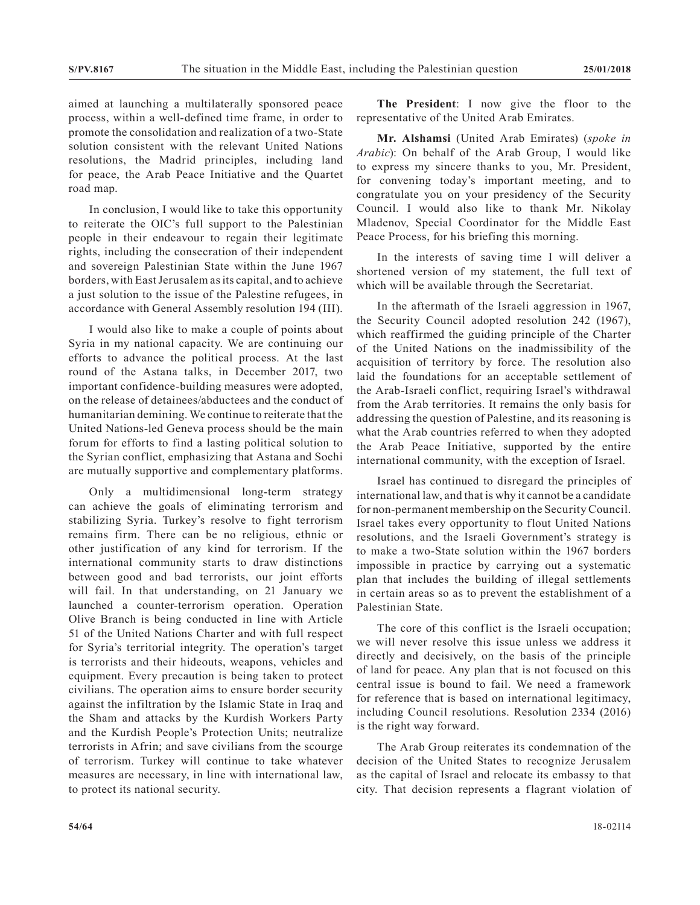aimed at launching a multilaterally sponsored peace process, within a well-defined time frame, in order to promote the consolidation and realization of a two-State solution consistent with the relevant United Nations resolutions, the Madrid principles, including land for peace, the Arab Peace Initiative and the Quartet road map.

In conclusion, I would like to take this opportunity to reiterate the OIC's full support to the Palestinian people in their endeavour to regain their legitimate rights, including the consecration of their independent and sovereign Palestinian State within the June 1967 borders, with East Jerusalem as its capital, and to achieve a just solution to the issue of the Palestine refugees, in accordance with General Assembly resolution 194 (III).

I would also like to make a couple of points about Syria in my national capacity. We are continuing our efforts to advance the political process. At the last round of the Astana talks, in December 2017, two important confidence-building measures were adopted, on the release of detainees/abductees and the conduct of humanitarian demining. We continue to reiterate that the United Nations-led Geneva process should be the main forum for efforts to find a lasting political solution to the Syrian conflict, emphasizing that Astana and Sochi are mutually supportive and complementary platforms.

Only a multidimensional long-term strategy can achieve the goals of eliminating terrorism and stabilizing Syria. Turkey's resolve to fight terrorism remains firm. There can be no religious, ethnic or other justification of any kind for terrorism. If the international community starts to draw distinctions between good and bad terrorists, our joint efforts will fail. In that understanding, on 21 January we launched a counter-terrorism operation. Operation Olive Branch is being conducted in line with Article 51 of the United Nations Charter and with full respect for Syria's territorial integrity. The operation's target is terrorists and their hideouts, weapons, vehicles and equipment. Every precaution is being taken to protect civilians. The operation aims to ensure border security against the infiltration by the Islamic State in Iraq and the Sham and attacks by the Kurdish Workers Party and the Kurdish People's Protection Units; neutralize terrorists in Afrin; and save civilians from the scourge of terrorism. Turkey will continue to take whatever measures are necessary, in line with international law, to protect its national security.

**The President**: I now give the floor to the representative of the United Arab Emirates.

**Mr. Alshamsi** (United Arab Emirates) (*spoke in Arabic*): On behalf of the Arab Group, I would like to express my sincere thanks to you, Mr. President, for convening today's important meeting, and to congratulate you on your presidency of the Security Council. I would also like to thank Mr. Nikolay Mladenov, Special Coordinator for the Middle East Peace Process, for his briefing this morning.

In the interests of saving time I will deliver a shortened version of my statement, the full text of which will be available through the Secretariat.

In the aftermath of the Israeli aggression in 1967, the Security Council adopted resolution 242 (1967), which reaffirmed the guiding principle of the Charter of the United Nations on the inadmissibility of the acquisition of territory by force. The resolution also laid the foundations for an acceptable settlement of the Arab-Israeli conflict, requiring Israel's withdrawal from the Arab territories. It remains the only basis for addressing the question of Palestine, and its reasoning is what the Arab countries referred to when they adopted the Arab Peace Initiative, supported by the entire international community, with the exception of Israel.

Israel has continued to disregard the principles of international law, and that is why it cannot be a candidate for non-permanent membership on the Security Council. Israel takes every opportunity to flout United Nations resolutions, and the Israeli Government's strategy is to make a two-State solution within the 1967 borders impossible in practice by carrying out a systematic plan that includes the building of illegal settlements in certain areas so as to prevent the establishment of a Palestinian State.

The core of this conflict is the Israeli occupation; we will never resolve this issue unless we address it directly and decisively, on the basis of the principle of land for peace. Any plan that is not focused on this central issue is bound to fail. We need a framework for reference that is based on international legitimacy, including Council resolutions. Resolution 2334 (2016) is the right way forward.

The Arab Group reiterates its condemnation of the decision of the United States to recognize Jerusalem as the capital of Israel and relocate its embassy to that city. That decision represents a flagrant violation of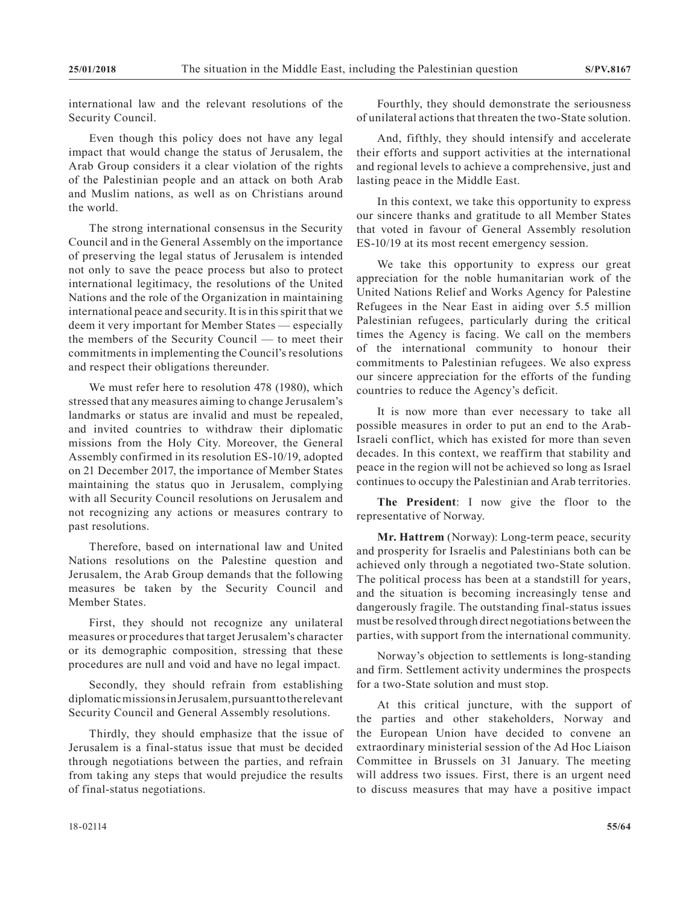international law and the relevant resolutions of the Security Council.

Even though this policy does not have any legal impact that would change the status of Jerusalem, the Arab Group considers it a clear violation of the rights of the Palestinian people and an attack on both Arab and Muslim nations, as well as on Christians around the world.

The strong international consensus in the Security Council and in the General Assembly on the importance of preserving the legal status of Jerusalem is intended not only to save the peace process but also to protect international legitimacy, the resolutions of the United Nations and the role of the Organization in maintaining international peace and security. It is in this spirit that we deem it very important for Member States — especially the members of the Security Council — to meet their commitments in implementing the Council's resolutions and respect their obligations thereunder.

We must refer here to resolution 478 (1980), which stressed that any measures aiming to change Jerusalem's landmarks or status are invalid and must be repealed, and invited countries to withdraw their diplomatic missions from the Holy City. Moreover, the General Assembly confirmed in its resolution ES-10/19, adopted on 21 December 2017, the importance of Member States maintaining the status quo in Jerusalem, complying with all Security Council resolutions on Jerusalem and not recognizing any actions or measures contrary to past resolutions.

Therefore, based on international law and United Nations resolutions on the Palestine question and Jerusalem, the Arab Group demands that the following measures be taken by the Security Council and Member States.

First, they should not recognize any unilateral measures or procedures that target Jerusalem's character or its demographic composition, stressing that these procedures are null and void and have no legal impact.

Secondly, they should refrain from establishing diplomatic missions in Jerusalem, pursuant to the relevant Security Council and General Assembly resolutions.

Thirdly, they should emphasize that the issue of Jerusalem is a final-status issue that must be decided through negotiations between the parties, and refrain from taking any steps that would prejudice the results of final-status negotiations.

Fourthly, they should demonstrate the seriousness of unilateral actions that threaten the two-State solution.

And, fifthly, they should intensify and accelerate their efforts and support activities at the international and regional levels to achieve a comprehensive, just and lasting peace in the Middle East.

In this context, we take this opportunity to express our sincere thanks and gratitude to all Member States that voted in favour of General Assembly resolution ES-10/19 at its most recent emergency session.

We take this opportunity to express our great appreciation for the noble humanitarian work of the United Nations Relief and Works Agency for Palestine Refugees in the Near East in aiding over 5.5 million Palestinian refugees, particularly during the critical times the Agency is facing. We call on the members of the international community to honour their commitments to Palestinian refugees. We also express our sincere appreciation for the efforts of the funding countries to reduce the Agency's deficit.

It is now more than ever necessary to take all possible measures in order to put an end to the Arab-Israeli conflict, which has existed for more than seven decades. In this context, we reaffirm that stability and peace in the region will not be achieved so long as Israel continues to occupy the Palestinian and Arab territories.

**The President**: I now give the floor to the representative of Norway.

**Mr. Hattrem** (Norway): Long-term peace, security and prosperity for Israelis and Palestinians both can be achieved only through a negotiated two-State solution. The political process has been at a standstill for years, and the situation is becoming increasingly tense and dangerously fragile. The outstanding final-status issues must be resolved through direct negotiations between the parties, with support from the international community.

Norway's objection to settlements is long-standing and firm. Settlement activity undermines the prospects for a two-State solution and must stop.

At this critical juncture, with the support of the parties and other stakeholders, Norway and the European Union have decided to convene an extraordinary ministerial session of the Ad Hoc Liaison Committee in Brussels on 31 January. The meeting will address two issues. First, there is an urgent need to discuss measures that may have a positive impact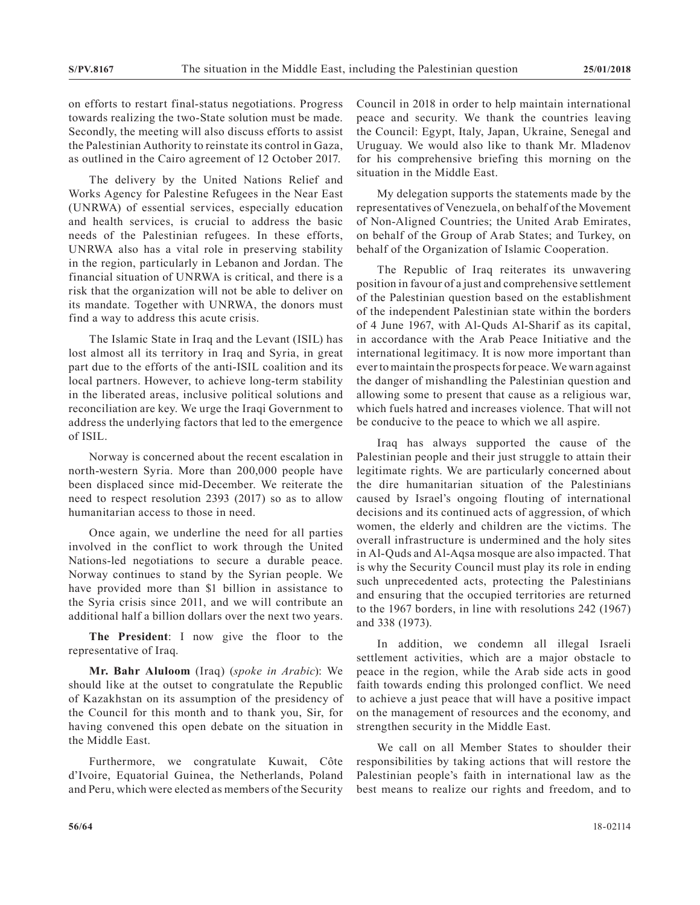on efforts to restart final-status negotiations. Progress towards realizing the two-State solution must be made. Secondly, the meeting will also discuss efforts to assist the Palestinian Authority to reinstate its control in Gaza, as outlined in the Cairo agreement of 12 October 2017.

The delivery by the United Nations Relief and Works Agency for Palestine Refugees in the Near East (UNRWA) of essential services, especially education and health services, is crucial to address the basic needs of the Palestinian refugees. In these efforts, UNRWA also has a vital role in preserving stability in the region, particularly in Lebanon and Jordan. The financial situation of UNRWA is critical, and there is a risk that the organization will not be able to deliver on its mandate. Together with UNRWA, the donors must find a way to address this acute crisis.

The Islamic State in Iraq and the Levant (ISIL) has lost almost all its territory in Iraq and Syria, in great part due to the efforts of the anti-ISIL coalition and its local partners. However, to achieve long-term stability in the liberated areas, inclusive political solutions and reconciliation are key. We urge the Iraqi Government to address the underlying factors that led to the emergence of ISIL.

Norway is concerned about the recent escalation in north-western Syria. More than 200,000 people have been displaced since mid-December. We reiterate the need to respect resolution 2393 (2017) so as to allow humanitarian access to those in need.

Once again, we underline the need for all parties involved in the conflict to work through the United Nations-led negotiations to secure a durable peace. Norway continues to stand by the Syrian people. We have provided more than \$1 billion in assistance to the Syria crisis since 2011, and we will contribute an additional half a billion dollars over the next two years.

**The President**: I now give the floor to the representative of Iraq.

**Mr. Bahr Aluloom** (Iraq) (*spoke in Arabic*): We should like at the outset to congratulate the Republic of Kazakhstan on its assumption of the presidency of the Council for this month and to thank you, Sir, for having convened this open debate on the situation in the Middle East.

Furthermore, we congratulate Kuwait, Côte d'Ivoire, Equatorial Guinea, the Netherlands, Poland and Peru, which were elected as members of the Security Council in 2018 in order to help maintain international peace and security. We thank the countries leaving the Council: Egypt, Italy, Japan, Ukraine, Senegal and Uruguay. We would also like to thank Mr. Mladenov for his comprehensive briefing this morning on the situation in the Middle East.

My delegation supports the statements made by the representatives of Venezuela, on behalf of the Movement of Non-Aligned Countries; the United Arab Emirates, on behalf of the Group of Arab States; and Turkey, on behalf of the Organization of Islamic Cooperation.

The Republic of Iraq reiterates its unwavering position in favour of a just and comprehensive settlement of the Palestinian question based on the establishment of the independent Palestinian state within the borders of 4 June 1967, with Al-Quds Al-Sharif as its capital, in accordance with the Arab Peace Initiative and the international legitimacy. It is now more important than ever to maintain the prospects for peace. We warn against the danger of mishandling the Palestinian question and allowing some to present that cause as a religious war, which fuels hatred and increases violence. That will not be conducive to the peace to which we all aspire.

Iraq has always supported the cause of the Palestinian people and their just struggle to attain their legitimate rights. We are particularly concerned about the dire humanitarian situation of the Palestinians caused by Israel's ongoing flouting of international decisions and its continued acts of aggression, of which women, the elderly and children are the victims. The overall infrastructure is undermined and the holy sites in Al-Quds and Al-Aqsa mosque are also impacted. That is why the Security Council must play its role in ending such unprecedented acts, protecting the Palestinians and ensuring that the occupied territories are returned to the 1967 borders, in line with resolutions 242 (1967) and 338 (1973).

In addition, we condemn all illegal Israeli settlement activities, which are a major obstacle to peace in the region, while the Arab side acts in good faith towards ending this prolonged conflict. We need to achieve a just peace that will have a positive impact on the management of resources and the economy, and strengthen security in the Middle East.

We call on all Member States to shoulder their responsibilities by taking actions that will restore the Palestinian people's faith in international law as the best means to realize our rights and freedom, and to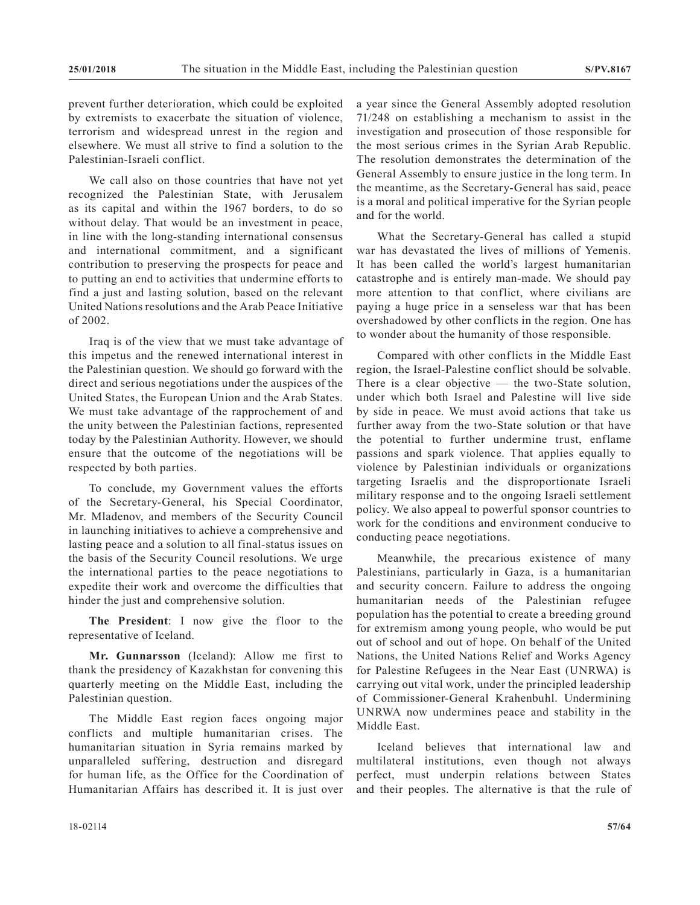prevent further deterioration, which could be exploited by extremists to exacerbate the situation of violence, terrorism and widespread unrest in the region and elsewhere. We must all strive to find a solution to the Palestinian-Israeli conflict.

We call also on those countries that have not yet recognized the Palestinian State, with Jerusalem as its capital and within the 1967 borders, to do so without delay. That would be an investment in peace, in line with the long-standing international consensus and international commitment, and a significant contribution to preserving the prospects for peace and to putting an end to activities that undermine efforts to find a just and lasting solution, based on the relevant United Nations resolutions and the Arab Peace Initiative of 2002.

Iraq is of the view that we must take advantage of this impetus and the renewed international interest in the Palestinian question. We should go forward with the direct and serious negotiations under the auspices of the United States, the European Union and the Arab States. We must take advantage of the rapprochement of and the unity between the Palestinian factions, represented today by the Palestinian Authority. However, we should ensure that the outcome of the negotiations will be respected by both parties.

To conclude, my Government values the efforts of the Secretary-General, his Special Coordinator, Mr. Mladenov, and members of the Security Council in launching initiatives to achieve a comprehensive and lasting peace and a solution to all final-status issues on the basis of the Security Council resolutions. We urge the international parties to the peace negotiations to expedite their work and overcome the difficulties that hinder the just and comprehensive solution.

**The President**: I now give the floor to the representative of Iceland.

**Mr. Gunnarsson** (Iceland): Allow me first to thank the presidency of Kazakhstan for convening this quarterly meeting on the Middle East, including the Palestinian question.

The Middle East region faces ongoing major conflicts and multiple humanitarian crises. The humanitarian situation in Syria remains marked by unparalleled suffering, destruction and disregard for human life, as the Office for the Coordination of Humanitarian Affairs has described it. It is just over a year since the General Assembly adopted resolution 71/248 on establishing a mechanism to assist in the investigation and prosecution of those responsible for the most serious crimes in the Syrian Arab Republic. The resolution demonstrates the determination of the General Assembly to ensure justice in the long term. In the meantime, as the Secretary-General has said, peace is a moral and political imperative for the Syrian people and for the world.

What the Secretary-General has called a stupid war has devastated the lives of millions of Yemenis. It has been called the world's largest humanitarian catastrophe and is entirely man-made. We should pay more attention to that conflict, where civilians are paying a huge price in a senseless war that has been overshadowed by other conflicts in the region. One has to wonder about the humanity of those responsible.

Compared with other conflicts in the Middle East region, the Israel-Palestine conflict should be solvable. There is a clear objective — the two-State solution, under which both Israel and Palestine will live side by side in peace. We must avoid actions that take us further away from the two-State solution or that have the potential to further undermine trust, enflame passions and spark violence. That applies equally to violence by Palestinian individuals or organizations targeting Israelis and the disproportionate Israeli military response and to the ongoing Israeli settlement policy. We also appeal to powerful sponsor countries to work for the conditions and environment conducive to conducting peace negotiations.

Meanwhile, the precarious existence of many Palestinians, particularly in Gaza, is a humanitarian and security concern. Failure to address the ongoing humanitarian needs of the Palestinian refugee population has the potential to create a breeding ground for extremism among young people, who would be put out of school and out of hope. On behalf of the United Nations, the United Nations Relief and Works Agency for Palestine Refugees in the Near East (UNRWA) is carrying out vital work, under the principled leadership of Commissioner-General Krahenbuhl. Undermining UNRWA now undermines peace and stability in the Middle East.

Iceland believes that international law and multilateral institutions, even though not always perfect, must underpin relations between States and their peoples. The alternative is that the rule of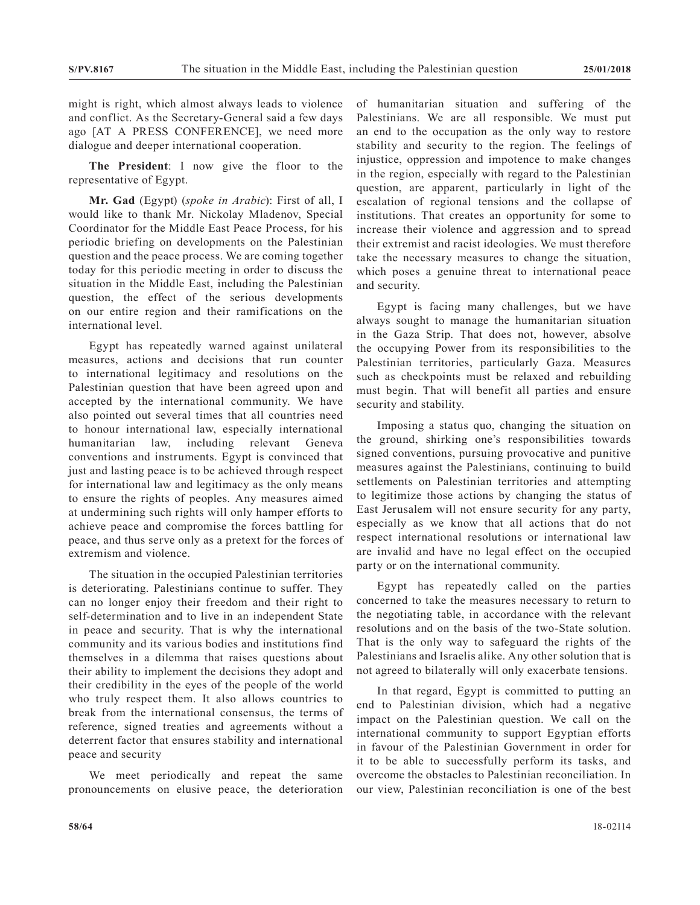might is right, which almost always leads to violence and conflict. As the Secretary-General said a few days ago [AT A PRESS CONFERENCE], we need more dialogue and deeper international cooperation.

**The President**: I now give the floor to the representative of Egypt.

**Mr. Gad** (Egypt) (*spoke in Arabic*): First of all, I would like to thank Mr. Nickolay Mladenov, Special Coordinator for the Middle East Peace Process, for his periodic briefing on developments on the Palestinian question and the peace process. We are coming together today for this periodic meeting in order to discuss the situation in the Middle East, including the Palestinian question, the effect of the serious developments on our entire region and their ramifications on the international level.

Egypt has repeatedly warned against unilateral measures, actions and decisions that run counter to international legitimacy and resolutions on the Palestinian question that have been agreed upon and accepted by the international community. We have also pointed out several times that all countries need to honour international law, especially international humanitarian law, including relevant Geneva conventions and instruments. Egypt is convinced that just and lasting peace is to be achieved through respect for international law and legitimacy as the only means to ensure the rights of peoples. Any measures aimed at undermining such rights will only hamper efforts to achieve peace and compromise the forces battling for peace, and thus serve only as a pretext for the forces of extremism and violence.

The situation in the occupied Palestinian territories is deteriorating. Palestinians continue to suffer. They can no longer enjoy their freedom and their right to self-determination and to live in an independent State in peace and security. That is why the international community and its various bodies and institutions find themselves in a dilemma that raises questions about their ability to implement the decisions they adopt and their credibility in the eyes of the people of the world who truly respect them. It also allows countries to break from the international consensus, the terms of reference, signed treaties and agreements without a deterrent factor that ensures stability and international peace and security

We meet periodically and repeat the same pronouncements on elusive peace, the deterioration of humanitarian situation and suffering of the Palestinians. We are all responsible. We must put an end to the occupation as the only way to restore stability and security to the region. The feelings of injustice, oppression and impotence to make changes in the region, especially with regard to the Palestinian question, are apparent, particularly in light of the escalation of regional tensions and the collapse of institutions. That creates an opportunity for some to increase their violence and aggression and to spread their extremist and racist ideologies. We must therefore take the necessary measures to change the situation, which poses a genuine threat to international peace and security.

Egypt is facing many challenges, but we have always sought to manage the humanitarian situation in the Gaza Strip. That does not, however, absolve the occupying Power from its responsibilities to the Palestinian territories, particularly Gaza. Measures such as checkpoints must be relaxed and rebuilding must begin. That will benefit all parties and ensure security and stability.

Imposing a status quo, changing the situation on the ground, shirking one's responsibilities towards signed conventions, pursuing provocative and punitive measures against the Palestinians, continuing to build settlements on Palestinian territories and attempting to legitimize those actions by changing the status of East Jerusalem will not ensure security for any party, especially as we know that all actions that do not respect international resolutions or international law are invalid and have no legal effect on the occupied party or on the international community.

Egypt has repeatedly called on the parties concerned to take the measures necessary to return to the negotiating table, in accordance with the relevant resolutions and on the basis of the two-State solution. That is the only way to safeguard the rights of the Palestinians and Israelis alike. Any other solution that is not agreed to bilaterally will only exacerbate tensions.

In that regard, Egypt is committed to putting an end to Palestinian division, which had a negative impact on the Palestinian question. We call on the international community to support Egyptian efforts in favour of the Palestinian Government in order for it to be able to successfully perform its tasks, and overcome the obstacles to Palestinian reconciliation. In our view, Palestinian reconciliation is one of the best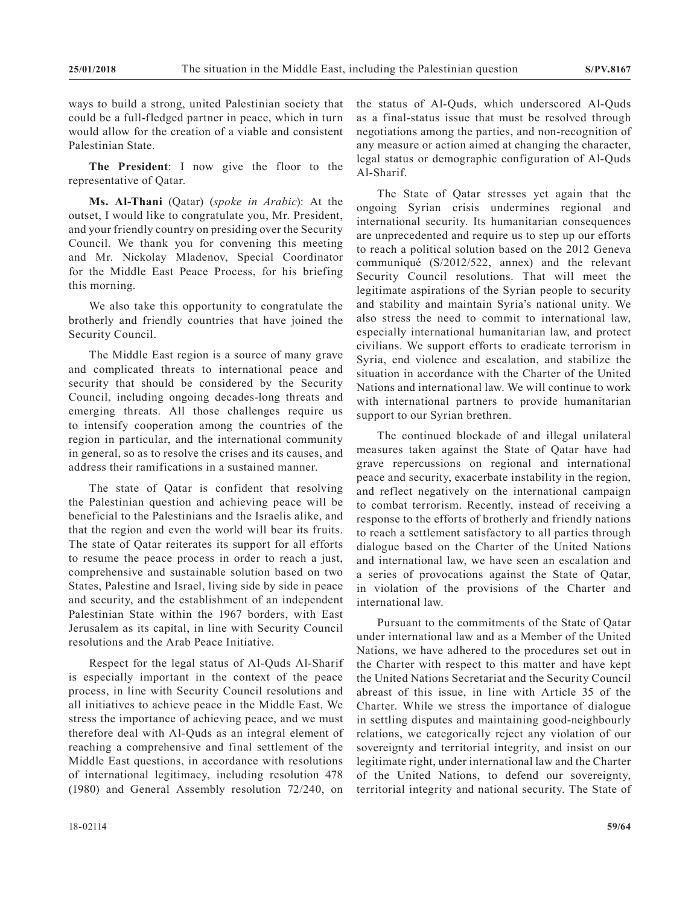ways to build a strong, united Palestinian society that could be a full-fledged partner in peace, which in turn would allow for the creation of a viable and consistent Palestinian State.

**The President**: I now give the floor to the representative of Qatar.

**Ms. Al-Thani** (Qatar) (*spoke in Arabic*): At the outset, I would like to congratulate you, Mr. President, and your friendly country on presiding over the Security Council. We thank you for convening this meeting and Mr. Nickolay Mladenov, Special Coordinator for the Middle East Peace Process, for his briefing this morning.

We also take this opportunity to congratulate the brotherly and friendly countries that have joined the Security Council.

The Middle East region is a source of many grave and complicated threats to international peace and security that should be considered by the Security Council, including ongoing decades-long threats and emerging threats. All those challenges require us to intensify cooperation among the countries of the region in particular, and the international community in general, so as to resolve the crises and its causes, and address their ramifications in a sustained manner.

The state of Qatar is confident that resolving the Palestinian question and achieving peace will be beneficial to the Palestinians and the Israelis alike, and that the region and even the world will bear its fruits. The state of Qatar reiterates its support for all efforts to resume the peace process in order to reach a just, comprehensive and sustainable solution based on two States, Palestine and Israel, living side by side in peace and security, and the establishment of an independent Palestinian State within the 1967 borders, with East Jerusalem as its capital, in line with Security Council resolutions and the Arab Peace Initiative.

Respect for the legal status of Al-Quds Al-Sharif is especially important in the context of the peace process, in line with Security Council resolutions and all initiatives to achieve peace in the Middle East. We stress the importance of achieving peace, and we must therefore deal with Al-Quds as an integral element of reaching a comprehensive and final settlement of the Middle East questions, in accordance with resolutions of international legitimacy, including resolution 478 (1980) and General Assembly resolution 72/240, on

the status of Al-Quds, which underscored Al-Quds as a final-status issue that must be resolved through negotiations among the parties, and non-recognition of any measure or action aimed at changing the character, legal status or demographic configuration of Al-Quds Al-Sharif.

The State of Qatar stresses yet again that the ongoing Syrian crisis undermines regional and international security. Its humanitarian consequences are unprecedented and require us to step up our efforts to reach a political solution based on the 2012 Geneva communiqué (S/2012/522, annex) and the relevant Security Council resolutions. That will meet the legitimate aspirations of the Syrian people to security and stability and maintain Syria's national unity. We also stress the need to commit to international law, especially international humanitarian law, and protect civilians. We support efforts to eradicate terrorism in Syria, end violence and escalation, and stabilize the situation in accordance with the Charter of the United Nations and international law. We will continue to work with international partners to provide humanitarian support to our Syrian brethren.

The continued blockade of and illegal unilateral measures taken against the State of Qatar have had grave repercussions on regional and international peace and security, exacerbate instability in the region, and reflect negatively on the international campaign to combat terrorism. Recently, instead of receiving a response to the efforts of brotherly and friendly nations to reach a settlement satisfactory to all parties through dialogue based on the Charter of the United Nations and international law, we have seen an escalation and a series of provocations against the State of Qatar, in violation of the provisions of the Charter and international law.

Pursuant to the commitments of the State of Qatar under international law and as a Member of the United Nations, we have adhered to the procedures set out in the Charter with respect to this matter and have kept the United Nations Secretariat and the Security Council abreast of this issue, in line with Article 35 of the Charter. While we stress the importance of dialogue in settling disputes and maintaining good-neighbourly relations, we categorically reject any violation of our sovereignty and territorial integrity, and insist on our legitimate right, under international law and the Charter of the United Nations, to defend our sovereignty, territorial integrity and national security. The State of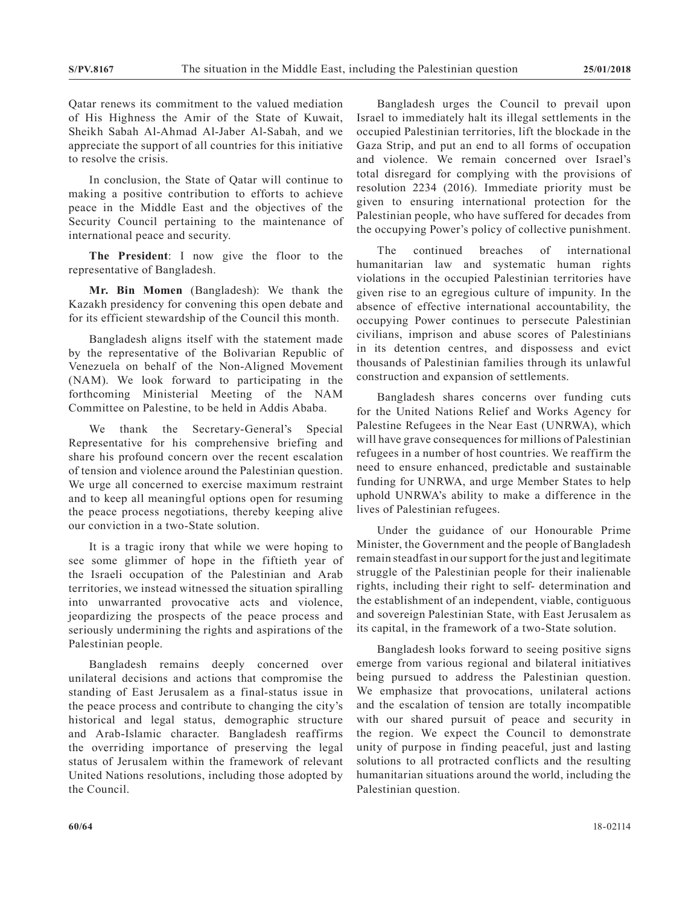Qatar renews its commitment to the valued mediation of His Highness the Amir of the State of Kuwait, Sheikh Sabah Al-Ahmad Al-Jaber Al-Sabah, and we appreciate the support of all countries for this initiative to resolve the crisis.

In conclusion, the State of Qatar will continue to making a positive contribution to efforts to achieve peace in the Middle East and the objectives of the Security Council pertaining to the maintenance of international peace and security.

**The President**: I now give the floor to the representative of Bangladesh.

**Mr. Bin Momen** (Bangladesh): We thank the Kazakh presidency for convening this open debate and for its efficient stewardship of the Council this month.

Bangladesh aligns itself with the statement made by the representative of the Bolivarian Republic of Venezuela on behalf of the Non-Aligned Movement (NAM). We look forward to participating in the forthcoming Ministerial Meeting of the NAM Committee on Palestine, to be held in Addis Ababa.

We thank the Secretary-General's Special Representative for his comprehensive briefing and share his profound concern over the recent escalation of tension and violence around the Palestinian question. We urge all concerned to exercise maximum restraint and to keep all meaningful options open for resuming the peace process negotiations, thereby keeping alive our conviction in a two-State solution.

It is a tragic irony that while we were hoping to see some glimmer of hope in the fiftieth year of the Israeli occupation of the Palestinian and Arab territories, we instead witnessed the situation spiralling into unwarranted provocative acts and violence, jeopardizing the prospects of the peace process and seriously undermining the rights and aspirations of the Palestinian people.

Bangladesh remains deeply concerned over unilateral decisions and actions that compromise the standing of East Jerusalem as a final-status issue in the peace process and contribute to changing the city's historical and legal status, demographic structure and Arab-Islamic character. Bangladesh reaffirms the overriding importance of preserving the legal status of Jerusalem within the framework of relevant United Nations resolutions, including those adopted by the Council.

Bangladesh urges the Council to prevail upon Israel to immediately halt its illegal settlements in the occupied Palestinian territories, lift the blockade in the Gaza Strip, and put an end to all forms of occupation and violence. We remain concerned over Israel's total disregard for complying with the provisions of resolution 2234 (2016). Immediate priority must be given to ensuring international protection for the Palestinian people, who have suffered for decades from the occupying Power's policy of collective punishment.

The continued breaches of international humanitarian law and systematic human rights violations in the occupied Palestinian territories have given rise to an egregious culture of impunity. In the absence of effective international accountability, the occupying Power continues to persecute Palestinian civilians, imprison and abuse scores of Palestinians in its detention centres, and dispossess and evict thousands of Palestinian families through its unlawful construction and expansion of settlements.

Bangladesh shares concerns over funding cuts for the United Nations Relief and Works Agency for Palestine Refugees in the Near East (UNRWA), which will have grave consequences for millions of Palestinian refugees in a number of host countries. We reaffirm the need to ensure enhanced, predictable and sustainable funding for UNRWA, and urge Member States to help uphold UNRWA's ability to make a difference in the lives of Palestinian refugees.

Under the guidance of our Honourable Prime Minister, the Government and the people of Bangladesh remain steadfast in our support for the just and legitimate struggle of the Palestinian people for their inalienable rights, including their right to self- determination and the establishment of an independent, viable, contiguous and sovereign Palestinian State, with East Jerusalem as its capital, in the framework of a two-State solution.

Bangladesh looks forward to seeing positive signs emerge from various regional and bilateral initiatives being pursued to address the Palestinian question. We emphasize that provocations, unilateral actions and the escalation of tension are totally incompatible with our shared pursuit of peace and security in the region. We expect the Council to demonstrate unity of purpose in finding peaceful, just and lasting solutions to all protracted conflicts and the resulting humanitarian situations around the world, including the Palestinian question.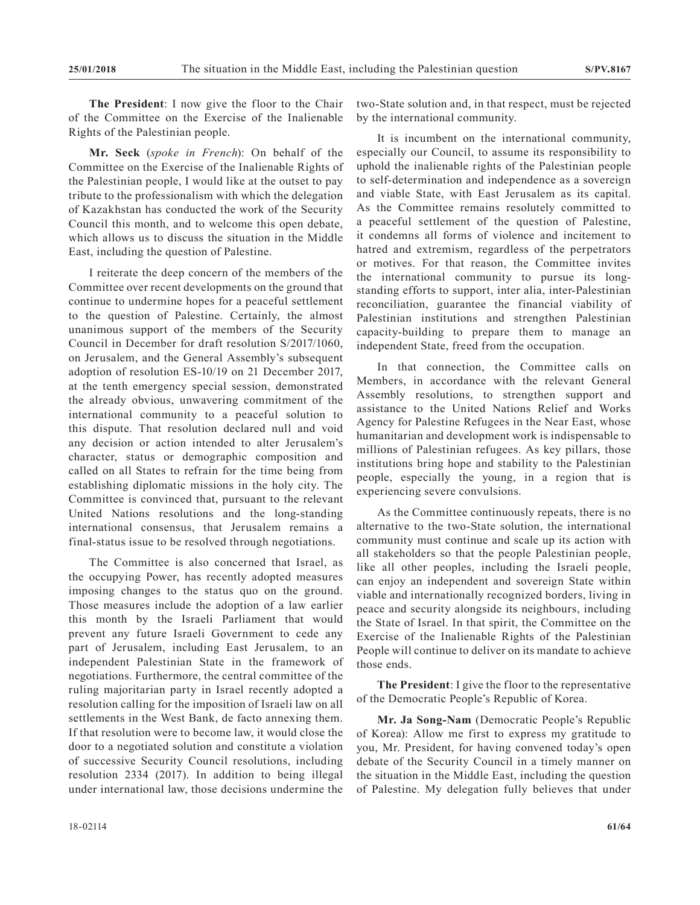**The President**: I now give the floor to the Chair of the Committee on the Exercise of the Inalienable Rights of the Palestinian people.

**Mr. Seck** (*spoke in French*): On behalf of the Committee on the Exercise of the Inalienable Rights of the Palestinian people, I would like at the outset to pay tribute to the professionalism with which the delegation of Kazakhstan has conducted the work of the Security Council this month, and to welcome this open debate, which allows us to discuss the situation in the Middle East, including the question of Palestine.

I reiterate the deep concern of the members of the Committee over recent developments on the ground that continue to undermine hopes for a peaceful settlement to the question of Palestine. Certainly, the almost unanimous support of the members of the Security Council in December for draft resolution S/2017/1060, on Jerusalem, and the General Assembly's subsequent adoption of resolution ES-10/19 on 21 December 2017, at the tenth emergency special session, demonstrated the already obvious, unwavering commitment of the international community to a peaceful solution to this dispute. That resolution declared null and void any decision or action intended to alter Jerusalem's character, status or demographic composition and called on all States to refrain for the time being from establishing diplomatic missions in the holy city. The Committee is convinced that, pursuant to the relevant United Nations resolutions and the long-standing international consensus, that Jerusalem remains a final-status issue to be resolved through negotiations.

The Committee is also concerned that Israel, as the occupying Power, has recently adopted measures imposing changes to the status quo on the ground. Those measures include the adoption of a law earlier this month by the Israeli Parliament that would prevent any future Israeli Government to cede any part of Jerusalem, including East Jerusalem, to an independent Palestinian State in the framework of negotiations. Furthermore, the central committee of the ruling majoritarian party in Israel recently adopted a resolution calling for the imposition of Israeli law on all settlements in the West Bank, de facto annexing them. If that resolution were to become law, it would close the door to a negotiated solution and constitute a violation of successive Security Council resolutions, including resolution 2334 (2017). In addition to being illegal under international law, those decisions undermine the

It is incumbent on the international community, especially our Council, to assume its responsibility to uphold the inalienable rights of the Palestinian people to self-determination and independence as a sovereign and viable State, with East Jerusalem as its capital. As the Committee remains resolutely committed to a peaceful settlement of the question of Palestine, it condemns all forms of violence and incitement to hatred and extremism, regardless of the perpetrators or motives. For that reason, the Committee invites the international community to pursue its longstanding efforts to support, inter alia, inter-Palestinian reconciliation, guarantee the financial viability of Palestinian institutions and strengthen Palestinian capacity-building to prepare them to manage an independent State, freed from the occupation.

In that connection, the Committee calls on Members, in accordance with the relevant General Assembly resolutions, to strengthen support and assistance to the United Nations Relief and Works Agency for Palestine Refugees in the Near East, whose humanitarian and development work is indispensable to millions of Palestinian refugees. As key pillars, those institutions bring hope and stability to the Palestinian people, especially the young, in a region that is experiencing severe convulsions.

As the Committee continuously repeats, there is no alternative to the two-State solution, the international community must continue and scale up its action with all stakeholders so that the people Palestinian people, like all other peoples, including the Israeli people, can enjoy an independent and sovereign State within viable and internationally recognized borders, living in peace and security alongside its neighbours, including the State of Israel. In that spirit, the Committee on the Exercise of the Inalienable Rights of the Palestinian People will continue to deliver on its mandate to achieve those ends.

**The President**: I give the floor to the representative of the Democratic People's Republic of Korea.

**Mr. Ja Song-Nam** (Democratic People's Republic of Korea): Allow me first to express my gratitude to you, Mr. President, for having convened today's open debate of the Security Council in a timely manner on the situation in the Middle East, including the question of Palestine. My delegation fully believes that under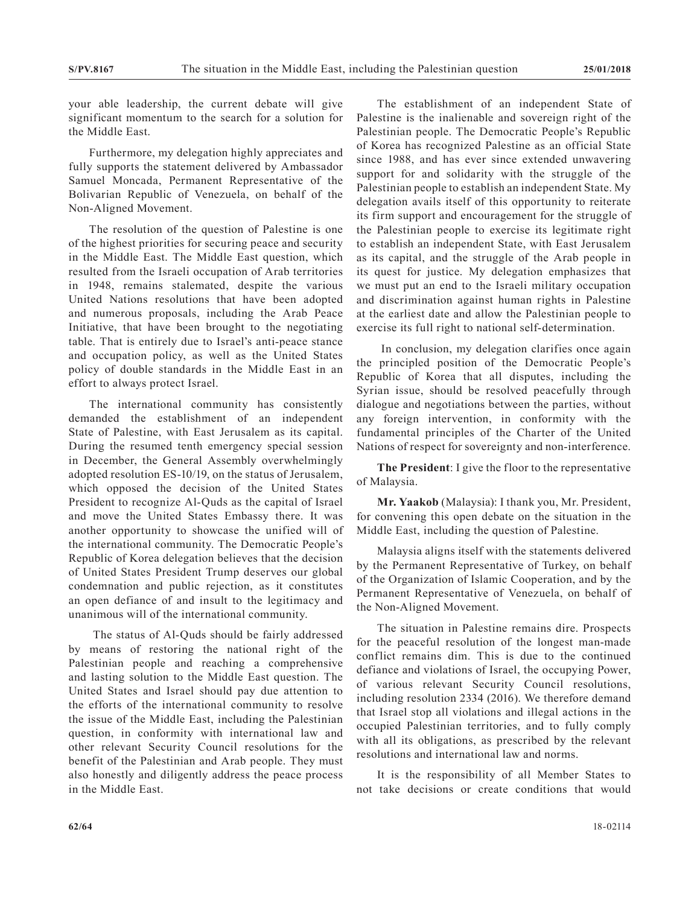your able leadership, the current debate will give significant momentum to the search for a solution for the Middle East.

Furthermore, my delegation highly appreciates and fully supports the statement delivered by Ambassador Samuel Moncada, Permanent Representative of the Bolivarian Republic of Venezuela, on behalf of the Non-Aligned Movement.

The resolution of the question of Palestine is one of the highest priorities for securing peace and security in the Middle East. The Middle East question, which resulted from the Israeli occupation of Arab territories in 1948, remains stalemated, despite the various United Nations resolutions that have been adopted and numerous proposals, including the Arab Peace Initiative, that have been brought to the negotiating table. That is entirely due to Israel's anti-peace stance and occupation policy, as well as the United States policy of double standards in the Middle East in an effort to always protect Israel.

The international community has consistently demanded the establishment of an independent State of Palestine, with East Jerusalem as its capital. During the resumed tenth emergency special session in December, the General Assembly overwhelmingly adopted resolution ES-10/19, on the status of Jerusalem, which opposed the decision of the United States President to recognize Al-Quds as the capital of Israel and move the United States Embassy there. It was another opportunity to showcase the unified will of the international community. The Democratic People's Republic of Korea delegation believes that the decision of United States President Trump deserves our global condemnation and public rejection, as it constitutes an open defiance of and insult to the legitimacy and unanimous will of the international community.

 The status of Al-Quds should be fairly addressed by means of restoring the national right of the Palestinian people and reaching a comprehensive and lasting solution to the Middle East question. The United States and Israel should pay due attention to the efforts of the international community to resolve the issue of the Middle East, including the Palestinian question, in conformity with international law and other relevant Security Council resolutions for the benefit of the Palestinian and Arab people. They must also honestly and diligently address the peace process in the Middle East.

The establishment of an independent State of Palestine is the inalienable and sovereign right of the Palestinian people. The Democratic People's Republic of Korea has recognized Palestine as an official State since 1988, and has ever since extended unwavering support for and solidarity with the struggle of the Palestinian people to establish an independent State. My delegation avails itself of this opportunity to reiterate its firm support and encouragement for the struggle of the Palestinian people to exercise its legitimate right to establish an independent State, with East Jerusalem as its capital, and the struggle of the Arab people in its quest for justice. My delegation emphasizes that we must put an end to the Israeli military occupation and discrimination against human rights in Palestine at the earliest date and allow the Palestinian people to exercise its full right to national self-determination.

 In conclusion, my delegation clarifies once again the principled position of the Democratic People's Republic of Korea that all disputes, including the Syrian issue, should be resolved peacefully through dialogue and negotiations between the parties, without any foreign intervention, in conformity with the fundamental principles of the Charter of the United Nations of respect for sovereignty and non-interference.

**The President**: I give the floor to the representative of Malaysia.

**Mr. Yaakob** (Malaysia): I thank you, Mr. President, for convening this open debate on the situation in the Middle East, including the question of Palestine.

Malaysia aligns itself with the statements delivered by the Permanent Representative of Turkey, on behalf of the Organization of Islamic Cooperation, and by the Permanent Representative of Venezuela, on behalf of the Non-Aligned Movement.

The situation in Palestine remains dire. Prospects for the peaceful resolution of the longest man-made conflict remains dim. This is due to the continued defiance and violations of Israel, the occupying Power, of various relevant Security Council resolutions, including resolution 2334 (2016). We therefore demand that Israel stop all violations and illegal actions in the occupied Palestinian territories, and to fully comply with all its obligations, as prescribed by the relevant resolutions and international law and norms.

It is the responsibility of all Member States to not take decisions or create conditions that would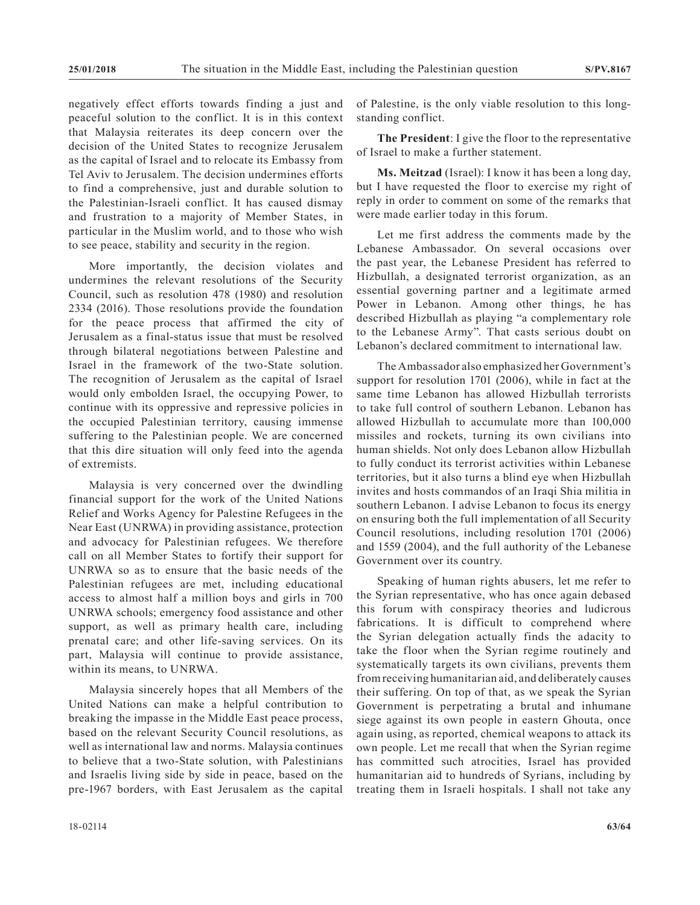negatively effect efforts towards finding a just and peaceful solution to the conflict. It is in this context that Malaysia reiterates its deep concern over the decision of the United States to recognize Jerusalem as the capital of Israel and to relocate its Embassy from Tel Aviv to Jerusalem. The decision undermines efforts to find a comprehensive, just and durable solution to the Palestinian-Israeli conflict. It has caused dismay and frustration to a majority of Member States, in particular in the Muslim world, and to those who wish to see peace, stability and security in the region.

More importantly, the decision violates and undermines the relevant resolutions of the Security Council, such as resolution 478 (1980) and resolution 2334 (2016). Those resolutions provide the foundation for the peace process that affirmed the city of Jerusalem as a final-status issue that must be resolved through bilateral negotiations between Palestine and Israel in the framework of the two-State solution. The recognition of Jerusalem as the capital of Israel would only embolden Israel, the occupying Power, to continue with its oppressive and repressive policies in the occupied Palestinian territory, causing immense suffering to the Palestinian people. We are concerned that this dire situation will only feed into the agenda of extremists.

Malaysia is very concerned over the dwindling financial support for the work of the United Nations Relief and Works Agency for Palestine Refugees in the Near East (UNRWA) in providing assistance, protection and advocacy for Palestinian refugees. We therefore call on all Member States to fortify their support for UNRWA so as to ensure that the basic needs of the Palestinian refugees are met, including educational access to almost half a million boys and girls in 700 UNRWA schools; emergency food assistance and other support, as well as primary health care, including prenatal care; and other life-saving services. On its part, Malaysia will continue to provide assistance, within its means, to UNRWA.

Malaysia sincerely hopes that all Members of the United Nations can make a helpful contribution to breaking the impasse in the Middle East peace process, based on the relevant Security Council resolutions, as well as international law and norms. Malaysia continues to believe that a two-State solution, with Palestinians and Israelis living side by side in peace, based on the pre-1967 borders, with East Jerusalem as the capital

**The President**: I give the floor to the representative of Israel to make a further statement.

**Ms. Meitzad** (Israel): I know it has been a long day, but I have requested the floor to exercise my right of reply in order to comment on some of the remarks that were made earlier today in this forum.

Let me first address the comments made by the Lebanese Ambassador. On several occasions over the past year, the Lebanese President has referred to Hizbullah, a designated terrorist organization, as an essential governing partner and a legitimate armed Power in Lebanon. Among other things, he has described Hizbullah as playing "a complementary role to the Lebanese Army". That casts serious doubt on Lebanon's declared commitment to international law.

The Ambassador also emphasized her Government's support for resolution 1701 (2006), while in fact at the same time Lebanon has allowed Hizbullah terrorists to take full control of southern Lebanon. Lebanon has allowed Hizbullah to accumulate more than 100,000 missiles and rockets, turning its own civilians into human shields. Not only does Lebanon allow Hizbullah to fully conduct its terrorist activities within Lebanese territories, but it also turns a blind eye when Hizbullah invites and hosts commandos of an Iraqi Shia militia in southern Lebanon. I advise Lebanon to focus its energy on ensuring both the full implementation of all Security Council resolutions, including resolution 1701 (2006) and 1559 (2004), and the full authority of the Lebanese Government over its country.

Speaking of human rights abusers, let me refer to the Syrian representative, who has once again debased this forum with conspiracy theories and ludicrous fabrications. It is difficult to comprehend where the Syrian delegation actually finds the adacity to take the floor when the Syrian regime routinely and systematically targets its own civilians, prevents them from receiving humanitarian aid, and deliberately causes their suffering. On top of that, as we speak the Syrian Government is perpetrating a brutal and inhumane siege against its own people in eastern Ghouta, once again using, as reported, chemical weapons to attack its own people. Let me recall that when the Syrian regime has committed such atrocities, Israel has provided humanitarian aid to hundreds of Syrians, including by treating them in Israeli hospitals. I shall not take any